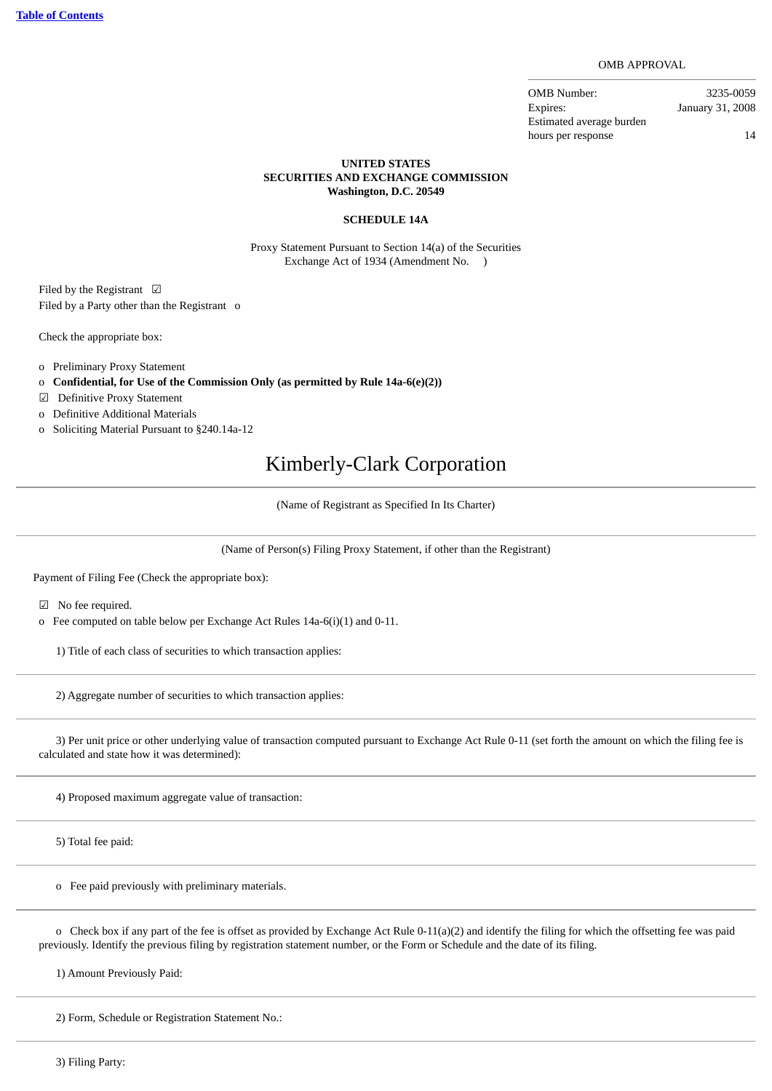#### OMB APPROVAL

OMB Number: 3235-0059 Expires: January 31, 2008 Estimated average burden hours per response and the set of  $14$ 

## **UNITED STATES SECURITIES AND EXCHANGE COMMISSION Washington, D.C. 20549**

## **SCHEDULE 14A**

Proxy Statement Pursuant to Section 14(a) of the Securities Exchange Act of 1934 (Amendment No. )

Filed by the Registrant ☑ Filed by a Party other than the Registrant o

Check the appropriate box:

- o Preliminary Proxy Statement
- o **Confidential, for Use of the Commission Only (as permitted by Rule 14a-6(e)(2))**
- ☑ Definitive Proxy Statement
- o Definitive Additional Materials
- o Soliciting Material Pursuant to §240.14a-12

## Kimberly-Clark Corporation

(Name of Registrant as Specified In Its Charter)

(Name of Person(s) Filing Proxy Statement, if other than the Registrant)

Payment of Filing Fee (Check the appropriate box):

☑ No fee required.

o Fee computed on table below per Exchange Act Rules 14a-6(i)(1) and 0-11.

1) Title of each class of securities to which transaction applies:

2) Aggregate number of securities to which transaction applies:

 3) Per unit price or other underlying value of transaction computed pursuant to Exchange Act Rule 0-11 (set forth the amount on which the filing fee is calculated and state how it was determined):

4) Proposed maximum aggregate value of transaction:

5) Total fee paid:

o Fee paid previously with preliminary materials.

o Check box if any part of the fee is offset as provided by Exchange Act Rule 0-11(a)(2) and identify the filing for which the offsetting fee was paid previously. Identify the previous filing by registration statement number, or the Form or Schedule and the date of its filing.

1) Amount Previously Paid:

2) Form, Schedule or Registration Statement No.:

3) Filing Party: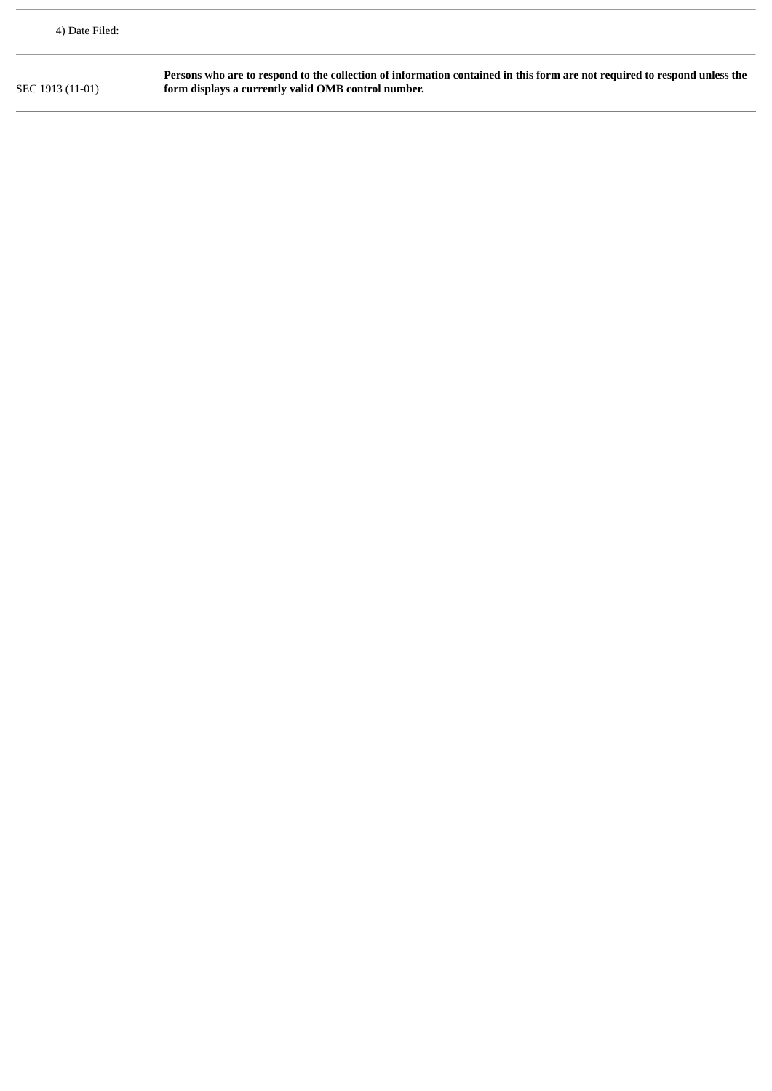| 4) Date Filed:   |                                                                                                                                                                                  |
|------------------|----------------------------------------------------------------------------------------------------------------------------------------------------------------------------------|
| SEC 1913 (11-01) | Persons who are to respond to the collection of information contained in this form are not required to respond unless the<br>form displays a currently valid OMB control number. |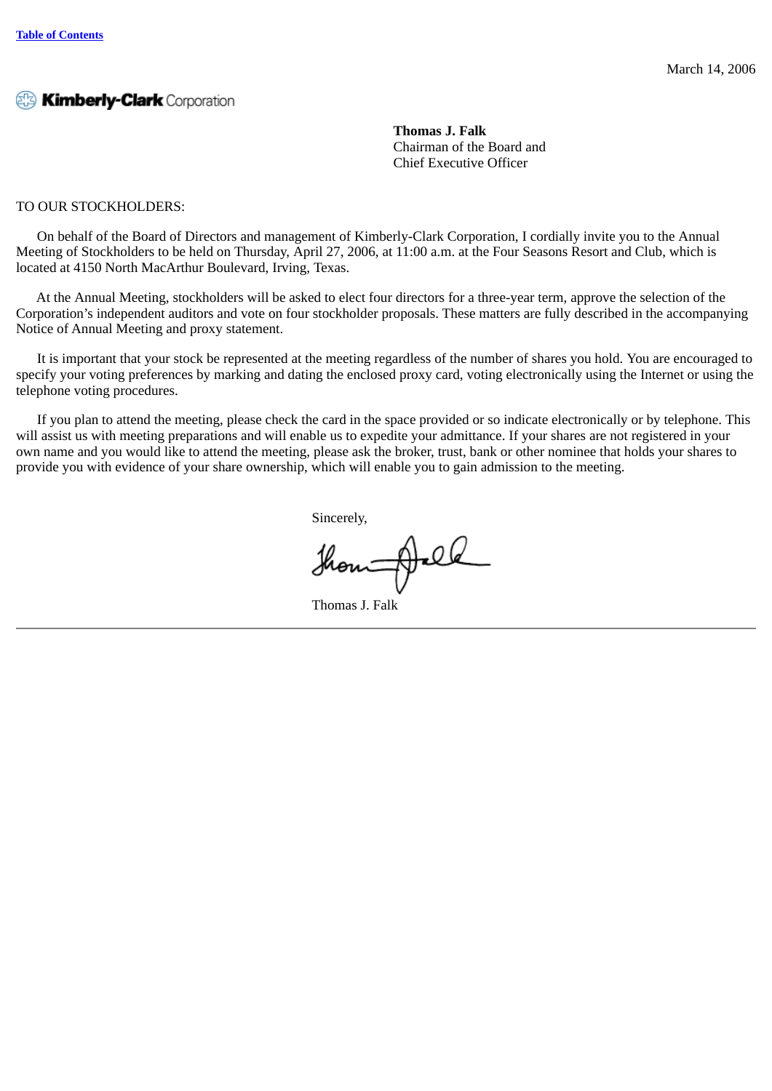**Thomas J. Falk** Chairman of the Board and Chief Executive Officer

## TO OUR STOCKHOLDERS:

 On behalf of the Board of Directors and management of Kimberly-Clark Corporation, I cordially invite you to the Annual Meeting of Stockholders to be held on Thursday, April 27, 2006, at 11:00 a.m. at the Four Seasons Resort and Club, which is located at 4150 North MacArthur Boulevard, Irving, Texas.

 At the Annual Meeting, stockholders will be asked to elect four directors for a three-year term, approve the selection of the Corporation's independent auditors and vote on four stockholder proposals. These matters are fully described in the accompanying Notice of Annual Meeting and proxy statement.

 It is important that your stock be represented at the meeting regardless of the number of shares you hold. You are encouraged to specify your voting preferences by marking and dating the enclosed proxy card, voting electronically using the Internet or using the telephone voting procedures.

 If you plan to attend the meeting, please check the card in the space provided or so indicate electronically or by telephone. This will assist us with meeting preparations and will enable us to expedite your admittance. If your shares are not registered in your own name and you would like to attend the meeting, please ask the broker, trust, bank or other nominee that holds your shares to provide you with evidence of your share ownership, which will enable you to gain admission to the meeting.

Sincerely,

though el

Thomas J. Falk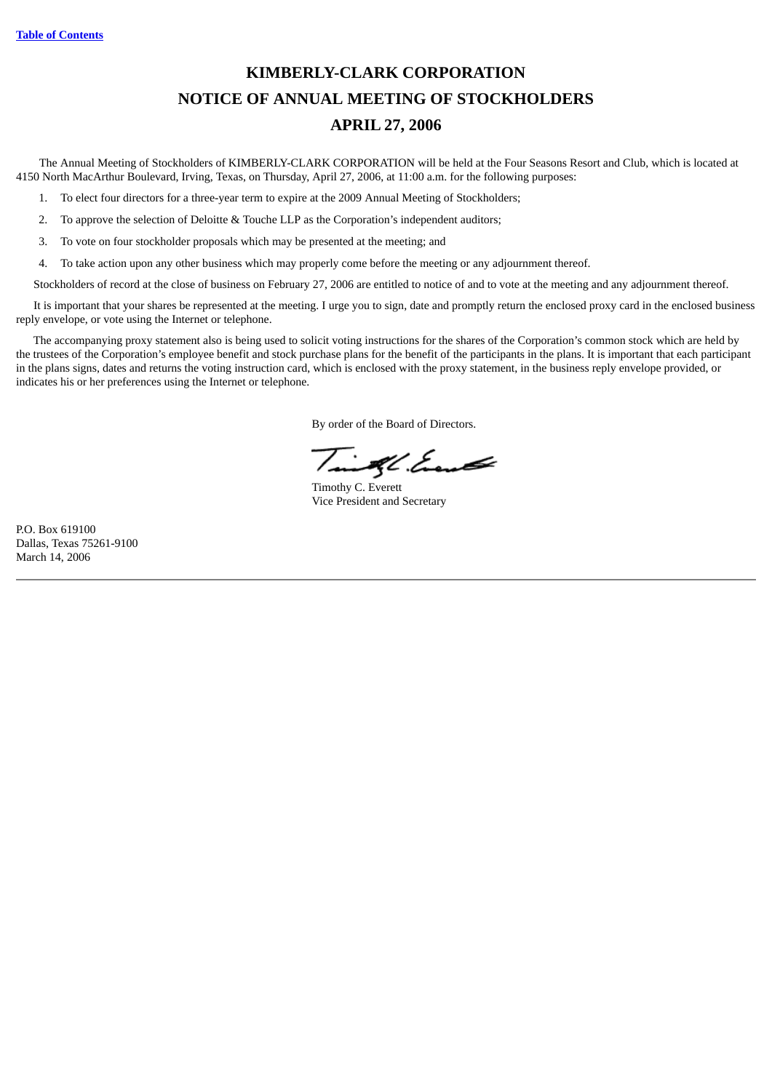## **KIMBERLY-CLARK CORPORATION NOTICE OF ANNUAL MEETING OF STOCKHOLDERS APRIL 27, 2006**

The Annual Meeting of Stockholders of KIMBERLY-CLARK CORPORATION will be held at the Four Seasons Resort and Club, which is located at 4150 North MacArthur Boulevard, Irving, Texas, on Thursday, April 27, 2006, at 11:00 a.m. for the following purposes:

1. To elect four directors for a three-year term to expire at the 2009 Annual Meeting of Stockholders;

2. To approve the selection of Deloitte & Touche LLP as the Corporation's independent auditors;

3. To vote on four stockholder proposals which may be presented at the meeting; and

4. To take action upon any other business which may properly come before the meeting or any adjournment thereof.

Stockholders of record at the close of business on February 27, 2006 are entitled to notice of and to vote at the meeting and any adjournment thereof.

It is important that your shares be represented at the meeting. I urge you to sign, date and promptly return the enclosed proxy card in the enclosed business reply envelope, or vote using the Internet or telephone.

The accompanying proxy statement also is being used to solicit voting instructions for the shares of the Corporation's common stock which are held by the trustees of the Corporation's employee benefit and stock purchase plans for the benefit of the participants in the plans. It is important that each participant in the plans signs, dates and returns the voting instruction card, which is enclosed with the proxy statement, in the business reply envelope provided, or indicates his or her preferences using the Internet or telephone.

By order of the Board of Directors.

Time of the East

Timothy C. Everett Vice President and Secretary

P.O. Box 619100 Dallas, Texas 75261-9100 March 14, 2006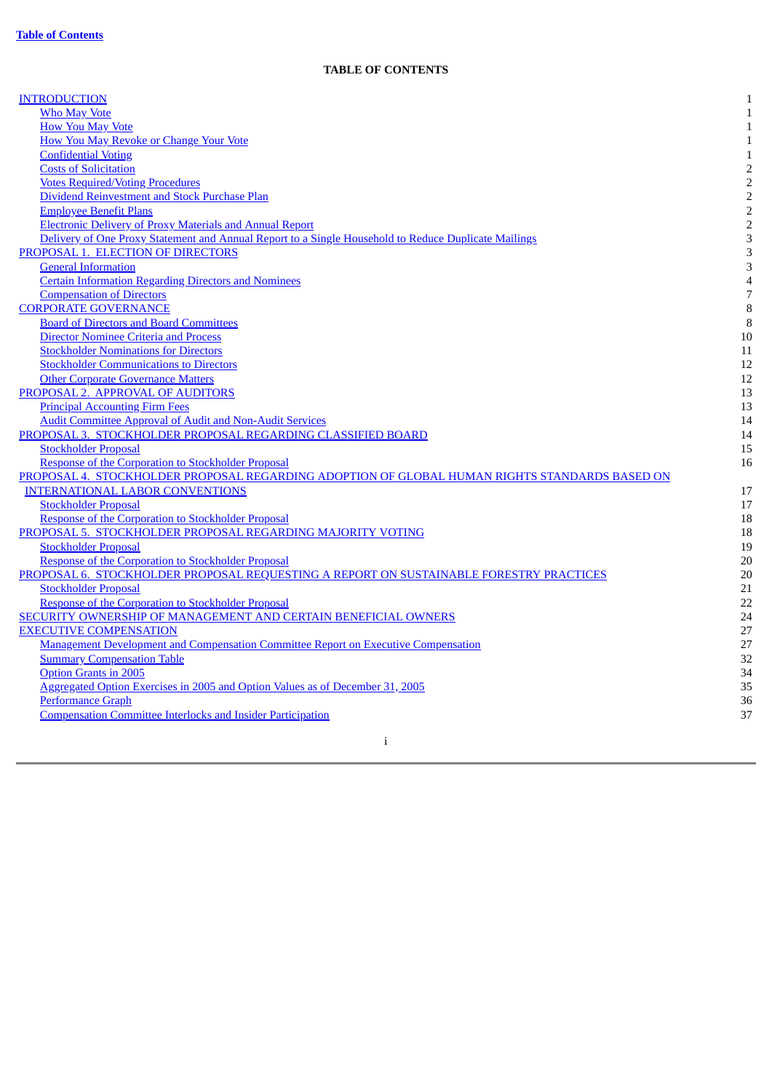## **TABLE OF CONTENTS**

<span id="page-5-0"></span>

| <b>INTRODUCTION</b>                                                                                  | $\mathbf{1}$   |
|------------------------------------------------------------------------------------------------------|----------------|
| <b>Who May Vote</b>                                                                                  | $\mathbf{1}$   |
| <b>How You May Vote</b>                                                                              | $\mathbf{1}$   |
| <b>How You May Revoke or Change Your Vote</b>                                                        | $\mathbf{1}$   |
| <b>Confidential Voting</b>                                                                           | $\mathbf{1}$   |
| <b>Costs of Solicitation</b>                                                                         | $\sqrt{2}$     |
| <b>Votes Required/Voting Procedures</b>                                                              | $\overline{2}$ |
| Dividend Reinvestment and Stock Purchase Plan                                                        | $\overline{c}$ |
| <b>Employee Benefit Plans</b>                                                                        | $\overline{2}$ |
| <b>Electronic Delivery of Proxy Materials and Annual Report</b>                                      | $\sqrt{2}$     |
|                                                                                                      | 3              |
| Delivery of One Proxy Statement and Annual Report to a Single Household to Reduce Duplicate Mailings |                |
| PROPOSAL 1. ELECTION OF DIRECTORS                                                                    | 3              |
| <b>General Information</b>                                                                           | 3              |
| <b>Certain Information Regarding Directors and Nominees</b>                                          | $\overline{4}$ |
| <b>Compensation of Directors</b>                                                                     | 7              |
| <b>CORPORATE GOVERNANCE</b>                                                                          | 8              |
| <b>Board of Directors and Board Committees</b>                                                       | 8              |
| <b>Director Nominee Criteria and Process</b>                                                         | 10             |
| <b>Stockholder Nominations for Directors</b>                                                         | 11             |
| <b>Stockholder Communications to Directors</b>                                                       | 12             |
| <b>Other Corporate Governance Matters</b>                                                            | 12             |
| PROPOSAL 2. APPROVAL OF AUDITORS                                                                     | 13             |
| <b>Principal Accounting Firm Fees</b>                                                                | 13             |
| <b>Audit Committee Approval of Audit and Non-Audit Services</b>                                      | 14             |
| PROPOSAL 3. STOCKHOLDER PROPOSAL REGARDING CLASSIFIED BOARD                                          | 14             |
| <b>Stockholder Proposal</b>                                                                          | 15             |
| Response of the Corporation to Stockholder Proposal                                                  | 16             |
| PROPOSAL 4. STOCKHOLDER PROPOSAL REGARDING ADOPTION OF GLOBAL HUMAN RIGHTS STANDARDS BASED ON        |                |
| <b>INTERNATIONAL LABOR CONVENTIONS</b>                                                               | 17             |
| <b>Stockholder Proposal</b>                                                                          | 17             |
| Response of the Corporation to Stockholder Proposal                                                  | 18             |
| PROPOSAL 5. STOCKHOLDER PROPOSAL REGARDING MAJORITY VOTING                                           |                |
|                                                                                                      | 18             |
| <b>Stockholder Proposal</b>                                                                          | 19             |
| Response of the Corporation to Stockholder Proposal                                                  | 20             |
| PROPOSAL 6. STOCKHOLDER PROPOSAL REQUESTING A REPORT ON SUSTAINABLE FORESTRY PRACTICES               | 20             |
| <b>Stockholder Proposal</b>                                                                          | 21             |
| Response of the Corporation to Stockholder Proposal                                                  | 22             |
| SECURITY OWNERSHIP OF MANAGEMENT AND CERTAIN BENEFICIAL OWNERS                                       | 24             |
| <b>EXECUTIVE COMPENSATION</b>                                                                        | 27             |
| <b>Management Development and Compensation Committee Report on Executive Compensation</b>            | 27             |
| <b>Summary Compensation Table</b>                                                                    | 32             |
| <b>Option Grants in 2005</b>                                                                         | 34             |
| Aggregated Option Exercises in 2005 and Option Values as of December 31, 2005                        | 35             |
| <b>Performance Graph</b>                                                                             | 36             |
| <b>Compensation Committee Interlocks and Insider Participation</b>                                   | 37             |
|                                                                                                      |                |
| i                                                                                                    |                |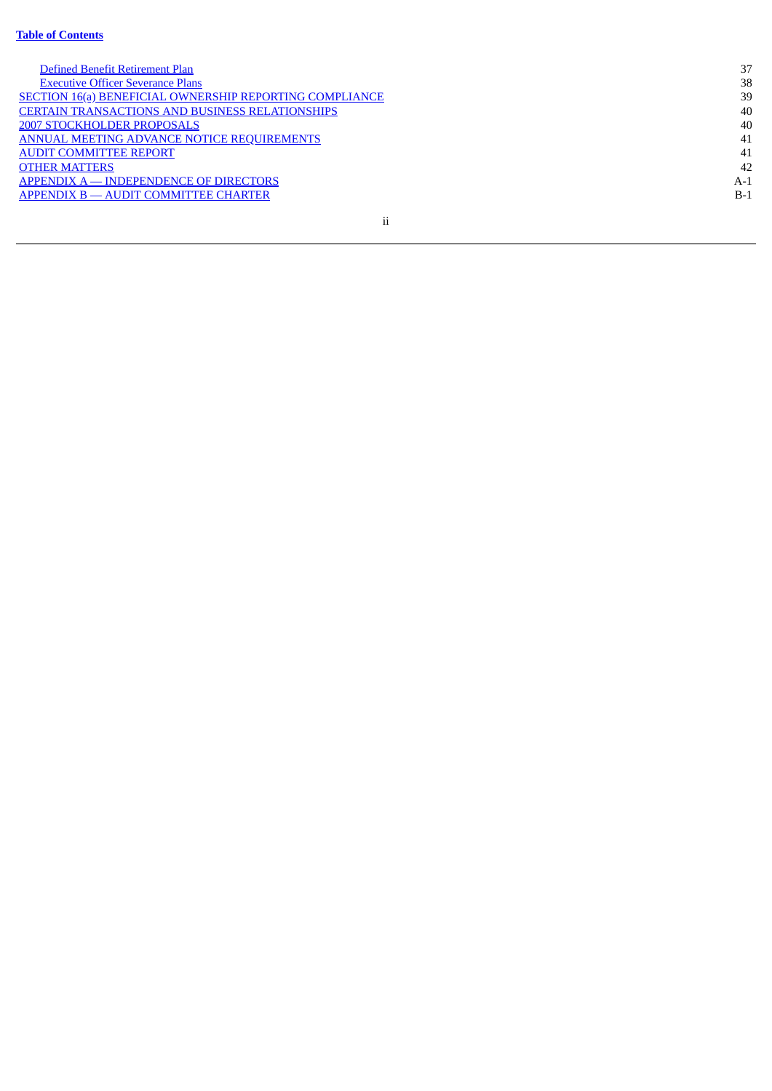#### **[Ta](#page-5-0)ble of Contents**

| Defined Benefit Retirement Plan                         | 37    |
|---------------------------------------------------------|-------|
| <b>Executive Officer Severance Plans</b>                | 38    |
| SECTION 16(a) BENEFICIAL OWNERSHIP REPORTING COMPLIANCE | 39    |
| <b>CERTAIN TRANSACTIONS AND BUSINESS RELATIONSHIPS</b>  | 40    |
| <b>2007 STOCKHOLDER PROPOSALS</b>                       | 40    |
| ANNUAL MEETING ADVANCE NOTICE REQUIREMENTS              | 41    |
| <b>AUDIT COMMITTEE REPORT</b>                           | 41    |
| <b>OTHER MATTERS</b>                                    | 42    |
| APPENDIX A — INDEPENDENCE OF DIRECTORS                  | A-1   |
| APPENDIX B - AUDIT COMMITTEE CHARTER                    | $B-1$ |
|                                                         |       |

i i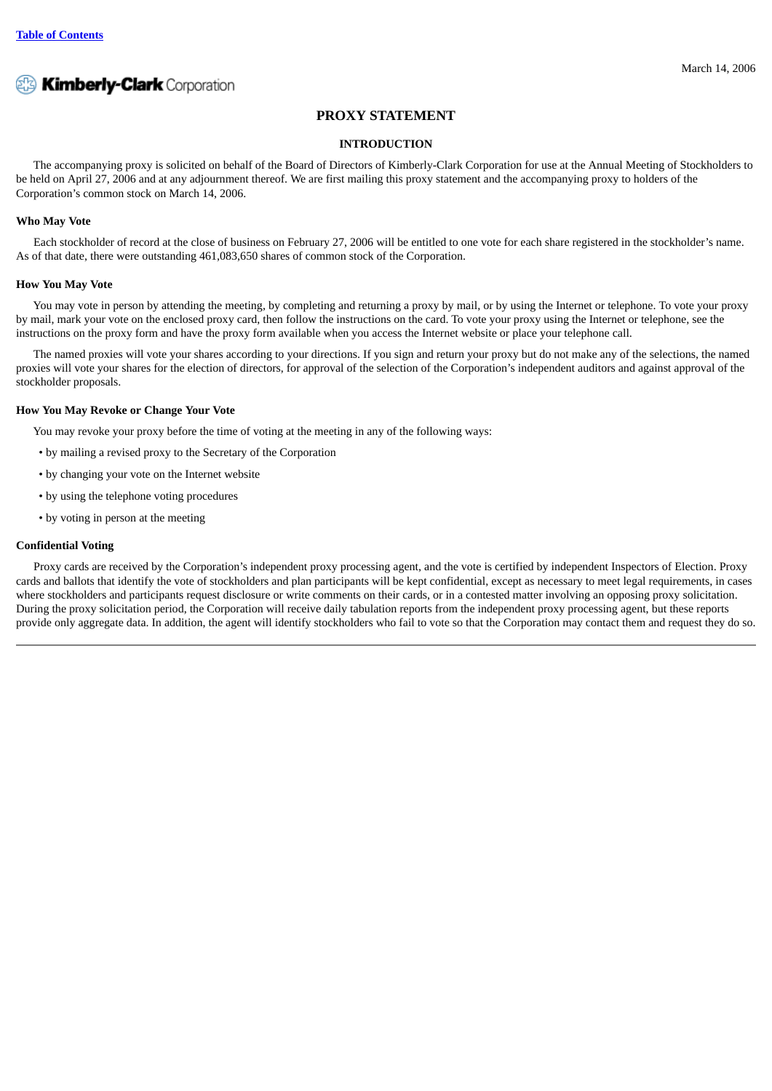

## **PROXY STATEMENT**

## **INTRODUCTION**

<span id="page-7-0"></span>The accompanying proxy is solicited on behalf of the Board of Directors of Kimberly-Clark Corporation for use at the Annual Meeting of Stockholders to be held on April 27, 2006 and at any adjournment thereof. We are first mailing this proxy statement and the accompanying proxy to holders of the Corporation's common stock on March 14, 2006.

## <span id="page-7-1"></span>**Who May Vote**

Each stockholder of record at the close of business on February 27, 2006 will be entitled to one vote for each share registered in the stockholder's name. As of that date, there were outstanding 461,083,650 shares of common stock of the Corporation.

#### <span id="page-7-2"></span>**How You May Vote**

You may vote in person by attending the meeting, by completing and returning a proxy by mail, or by using the Internet or telephone. To vote your proxy by mail, mark your vote on the enclosed proxy card, then follow the instructions on the card. To vote your proxy using the Internet or telephone, see the instructions on the proxy form and have the proxy form available when you access the Internet website or place your telephone call.

The named proxies will vote your shares according to your directions. If you sign and return your proxy but do not make any of the selections, the named proxies will vote your shares for the election of directors, for approval of the selection of the Corporation's independent auditors and against approval of the stockholder proposals.

#### <span id="page-7-3"></span>**How You May Revoke or Change Your Vote**

You may revoke your proxy before the time of voting at the meeting in any of the following ways:

- by mailing a revised proxy to the Secretary of the Corporation
- by changing your vote on the Internet website
- by using the telephone voting procedures
- by voting in person at the meeting

## <span id="page-7-4"></span>**Confidential Voting**

Proxy cards are received by the Corporation's independent proxy processing agent, and the vote is certified by independent Inspectors of Election. Proxy cards and ballots that identify the vote of stockholders and plan participants will be kept confidential, except as necessary to meet legal requirements, in cases where stockholders and participants request disclosure or write comments on their cards, or in a contested matter involving an opposing proxy solicitation. During the proxy solicitation period, the Corporation will receive daily tabulation reports from the independent proxy processing agent, but these reports provide only aggregate data. In addition, the agent will identify stockholders who fail to vote so that the Corporation may contact them and request they do so.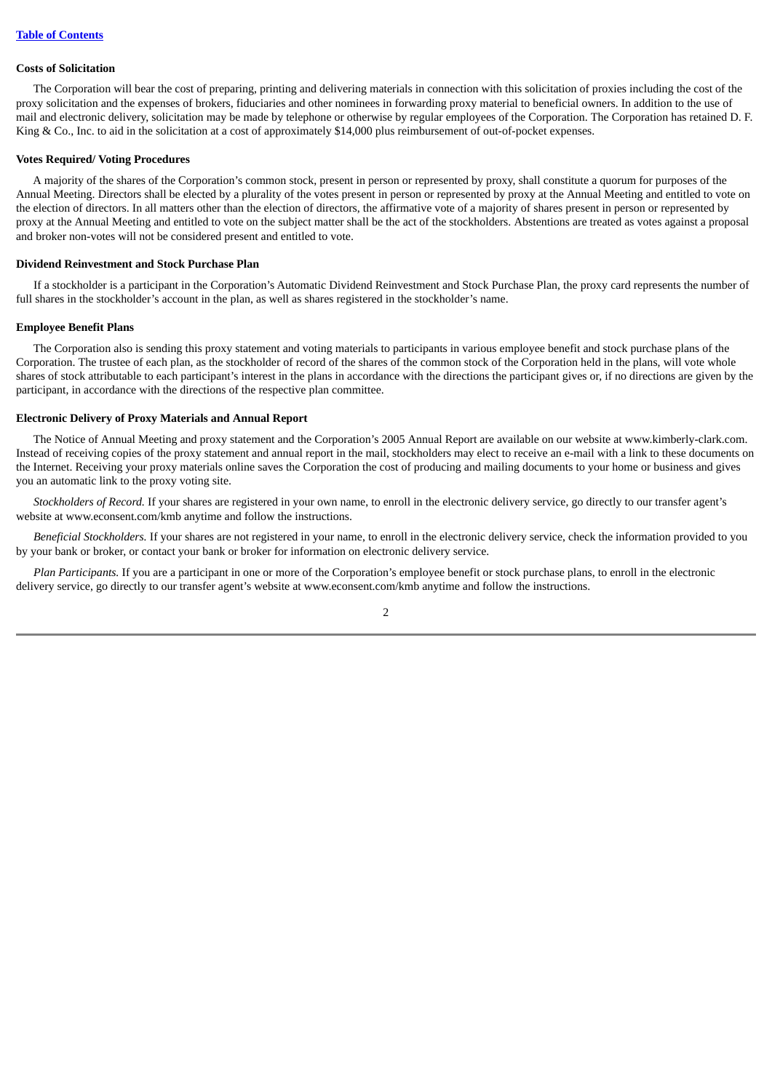#### <span id="page-8-0"></span>**Costs of Solicitation**

The Corporation will bear the cost of preparing, printing and delivering materials in connection with this solicitation of proxies including the cost of the proxy solicitation and the expenses of brokers, fiduciaries and other nominees in forwarding proxy material to beneficial owners. In addition to the use of mail and electronic delivery, solicitation may be made by telephone or otherwise by regular employees of the Corporation. The Corporation has retained D. F. King & Co., Inc. to aid in the solicitation at a cost of approximately \$14,000 plus reimbursement of out-of-pocket expenses.

#### <span id="page-8-1"></span>**Votes Required/ Voting Procedures**

A majority of the shares of the Corporation's common stock, present in person or represented by proxy, shall constitute a quorum for purposes of the Annual Meeting. Directors shall be elected by a plurality of the votes present in person or represented by proxy at the Annual Meeting and entitled to vote on the election of directors. In all matters other than the election of directors, the affirmative vote of a majority of shares present in person or represented by proxy at the Annual Meeting and entitled to vote on the subject matter shall be the act of the stockholders. Abstentions are treated as votes against a proposal and broker non-votes will not be considered present and entitled to vote.

#### <span id="page-8-2"></span>**Dividend Reinvestment and Stock Purchase Plan**

If a stockholder is a participant in the Corporation's Automatic Dividend Reinvestment and Stock Purchase Plan, the proxy card represents the number of full shares in the stockholder's account in the plan, as well as shares registered in the stockholder's name.

#### <span id="page-8-3"></span>**Employee Benefit Plans**

The Corporation also is sending this proxy statement and voting materials to participants in various employee benefit and stock purchase plans of the Corporation. The trustee of each plan, as the stockholder of record of the shares of the common stock of the Corporation held in the plans, will vote whole shares of stock attributable to each participant's interest in the plans in accordance with the directions the participant gives or, if no directions are given by the participant, in accordance with the directions of the respective plan committee.

## <span id="page-8-4"></span>**Electronic Delivery of Proxy Materials and Annual Report**

The Notice of Annual Meeting and proxy statement and the Corporation's 2005 Annual Report are available on our website at www.kimberly-clark.com. Instead of receiving copies of the proxy statement and annual report in the mail, stockholders may elect to receive an e-mail with a link to these documents on the Internet. Receiving your proxy materials online saves the Corporation the cost of producing and mailing documents to your home or business and gives you an automatic link to the proxy voting site.

*Stockholders of Record.* If your shares are registered in your own name, to enroll in the electronic delivery service, go directly to our transfer agent's website at www.econsent.com/kmb anytime and follow the instructions.

*Beneficial Stockholders.* If your shares are not registered in your name, to enroll in the electronic delivery service, check the information provided to you by your bank or broker, or contact your bank or broker for information on electronic delivery service.

*Plan Participants.* If you are a participant in one or more of the Corporation's employee benefit or stock purchase plans, to enroll in the electronic delivery service, go directly to our transfer agent's website at www.econsent.com/kmb anytime and follow the instructions.

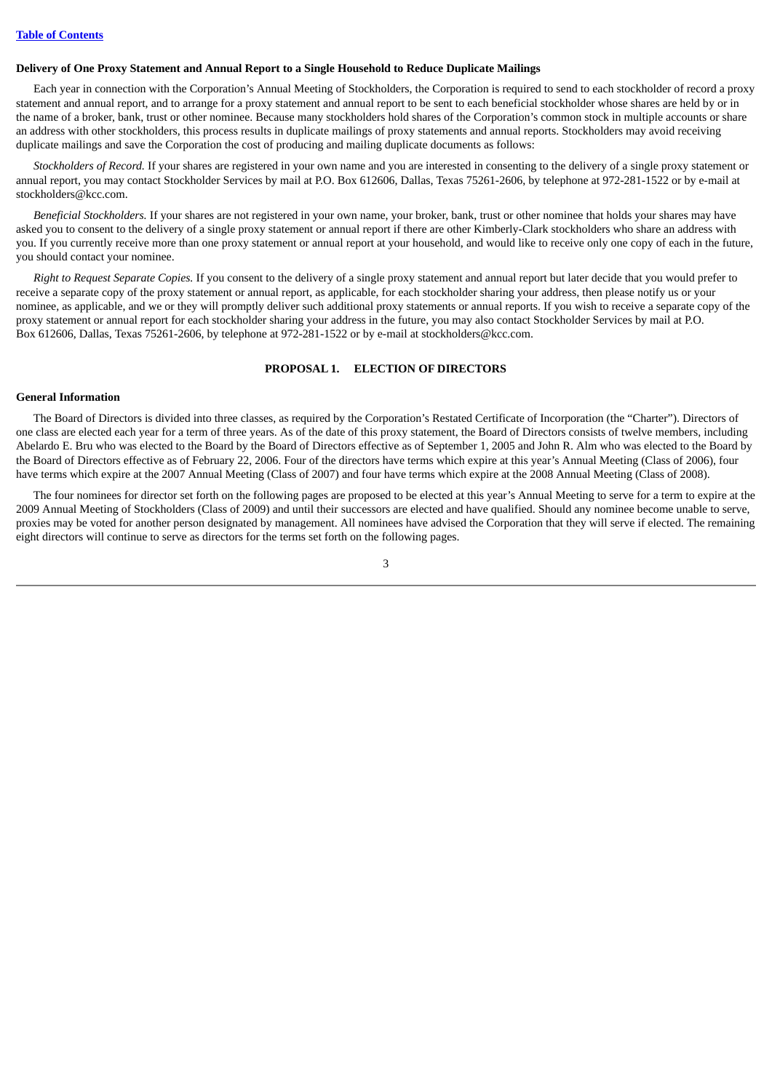#### <span id="page-9-0"></span>**Delivery of One Proxy Statement and Annual Report to a Single Household to Reduce Duplicate Mailings**

Each year in connection with the Corporation's Annual Meeting of Stockholders, the Corporation is required to send to each stockholder of record a proxy statement and annual report, and to arrange for a proxy statement and annual report to be sent to each beneficial stockholder whose shares are held by or in the name of a broker, bank, trust or other nominee. Because many stockholders hold shares of the Corporation's common stock in multiple accounts or share an address with other stockholders, this process results in duplicate mailings of proxy statements and annual reports. Stockholders may avoid receiving duplicate mailings and save the Corporation the cost of producing and mailing duplicate documents as follows:

*Stockholders of Record.* If your shares are registered in your own name and you are interested in consenting to the delivery of a single proxy statement or annual report, you may contact Stockholder Services by mail at P.O. Box 612606, Dallas, Texas 75261-2606, by telephone at 972-281-1522 or by e-mail at stockholders@kcc.com.

*Beneficial Stockholders.* If your shares are not registered in your own name, your broker, bank, trust or other nominee that holds your shares may have asked you to consent to the delivery of a single proxy statement or annual report if there are other Kimberly-Clark stockholders who share an address with you. If you currently receive more than one proxy statement or annual report at your household, and would like to receive only one copy of each in the future, you should contact your nominee.

*Right to Request Separate Copies.* If you consent to the delivery of a single proxy statement and annual report but later decide that you would prefer to receive a separate copy of the proxy statement or annual report, as applicable, for each stockholder sharing your address, then please notify us or your nominee, as applicable, and we or they will promptly deliver such additional proxy statements or annual reports. If you wish to receive a separate copy of the proxy statement or annual report for each stockholder sharing your address in the future, you may also contact Stockholder Services by mail at P.O. Box 612606, Dallas, Texas 75261-2606, by telephone at 972-281-1522 or by e-mail at stockholders@kcc.com.

## **PROPOSAL 1. ELECTION OF DIRECTORS**

## <span id="page-9-2"></span><span id="page-9-1"></span>**General Information**

The Board of Directors is divided into three classes, as required by the Corporation's Restated Certificate of Incorporation (the "Charter"). Directors of one class are elected each year for a term of three years. As of the date of this proxy statement, the Board of Directors consists of twelve members, including Abelardo E. Bru who was elected to the Board by the Board of Directors effective as of September 1, 2005 and John R. Alm who was elected to the Board by the Board of Directors effective as of February 22, 2006. Four of the directors have terms which expire at this year's Annual Meeting (Class of 2006), four have terms which expire at the 2007 Annual Meeting (Class of 2007) and four have terms which expire at the 2008 Annual Meeting (Class of 2008).

The four nominees for director set forth on the following pages are proposed to be elected at this year's Annual Meeting to serve for a term to expire at the 2009 Annual Meeting of Stockholders (Class of 2009) and until their successors are elected and have qualified. Should any nominee become unable to serve, proxies may be voted for another person designated by management. All nominees have advised the Corporation that they will serve if elected. The remaining eight directors will continue to serve as directors for the terms set forth on the following pages.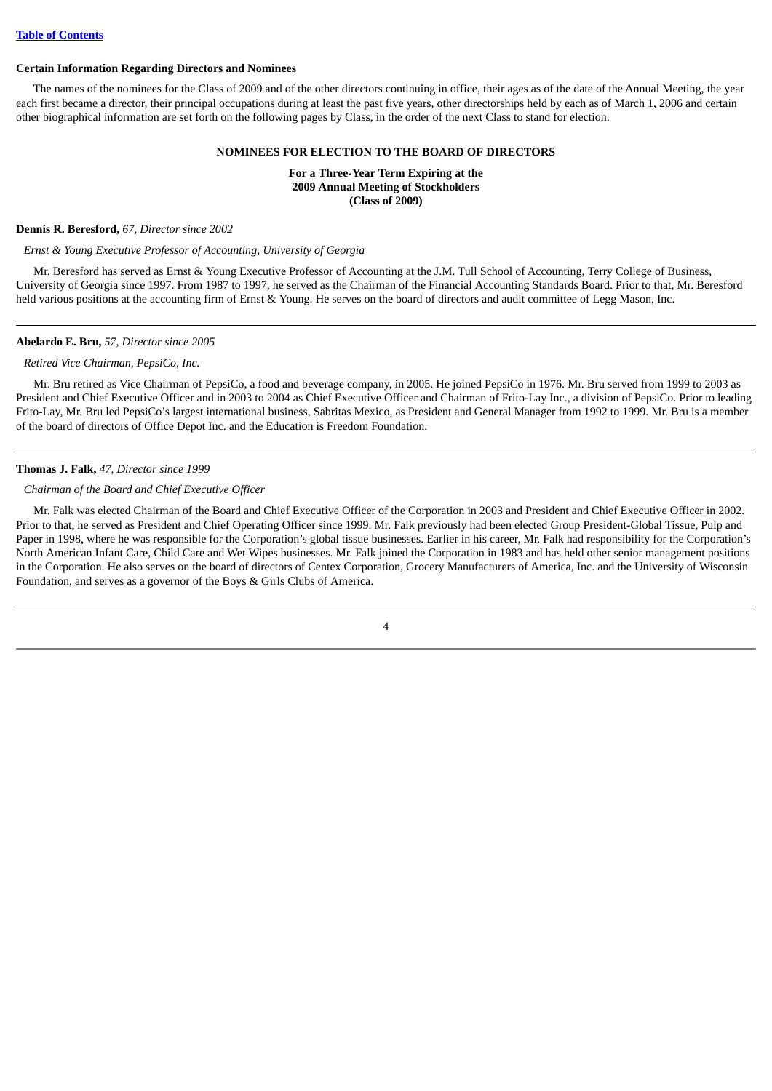#### <span id="page-10-0"></span>**Certain Information Regarding Directors and Nominees**

The names of the nominees for the Class of 2009 and of the other directors continuing in office, their ages as of the date of the Annual Meeting, the year each first became a director, their principal occupations during at least the past five years, other directorships held by each as of March 1, 2006 and certain other biographical information are set forth on the following pages by Class, in the order of the next Class to stand for election.

### **NOMINEES FOR ELECTION TO THE BOARD OF DIRECTORS**

**For a Three-Year Term Expiring at the 2009 Annual Meeting of Stockholders (Class of 2009)**

#### **Dennis R. Beresford,** *67, Director since 2002*

## *Ernst & Young Executive Professor of Accounting, University of Georgia*

Mr. Beresford has served as Ernst & Young Executive Professor of Accounting at the J.M. Tull School of Accounting, Terry College of Business, University of Georgia since 1997. From 1987 to 1997, he served as the Chairman of the Financial Accounting Standards Board. Prior to that, Mr. Beresford held various positions at the accounting firm of Ernst & Young. He serves on the board of directors and audit committee of Legg Mason, Inc.

#### **Abelardo E. Bru,** *57, Director since 2005*

#### *Retired Vice Chairman, PepsiCo, Inc.*

Mr. Bru retired as Vice Chairman of PepsiCo, a food and beverage company, in 2005. He joined PepsiCo in 1976. Mr. Bru served from 1999 to 2003 as President and Chief Executive Officer and in 2003 to 2004 as Chief Executive Officer and Chairman of Frito-Lay Inc., a division of PepsiCo. Prior to leading Frito-Lay, Mr. Bru led PepsiCo's largest international business, Sabritas Mexico, as President and General Manager from 1992 to 1999. Mr. Bru is a member of the board of directors of Office Depot Inc. and the Education is Freedom Foundation.

#### **Thomas J. Falk,** *47, Director since 1999*

#### *Chairman of the Board and Chief Executive Officer*

Mr. Falk was elected Chairman of the Board and Chief Executive Officer of the Corporation in 2003 and President and Chief Executive Officer in 2002. Prior to that, he served as President and Chief Operating Officer since 1999. Mr. Falk previously had been elected Group President-Global Tissue, Pulp and Paper in 1998, where he was responsible for the Corporation's global tissue businesses. Earlier in his career, Mr. Falk had responsibility for the Corporation's North American Infant Care, Child Care and Wet Wipes businesses. Mr. Falk joined the Corporation in 1983 and has held other senior management positions in the Corporation. He also serves on the board of directors of Centex Corporation, Grocery Manufacturers of America, Inc. and the University of Wisconsin Foundation, and serves as a governor of the Boys & Girls Clubs of America.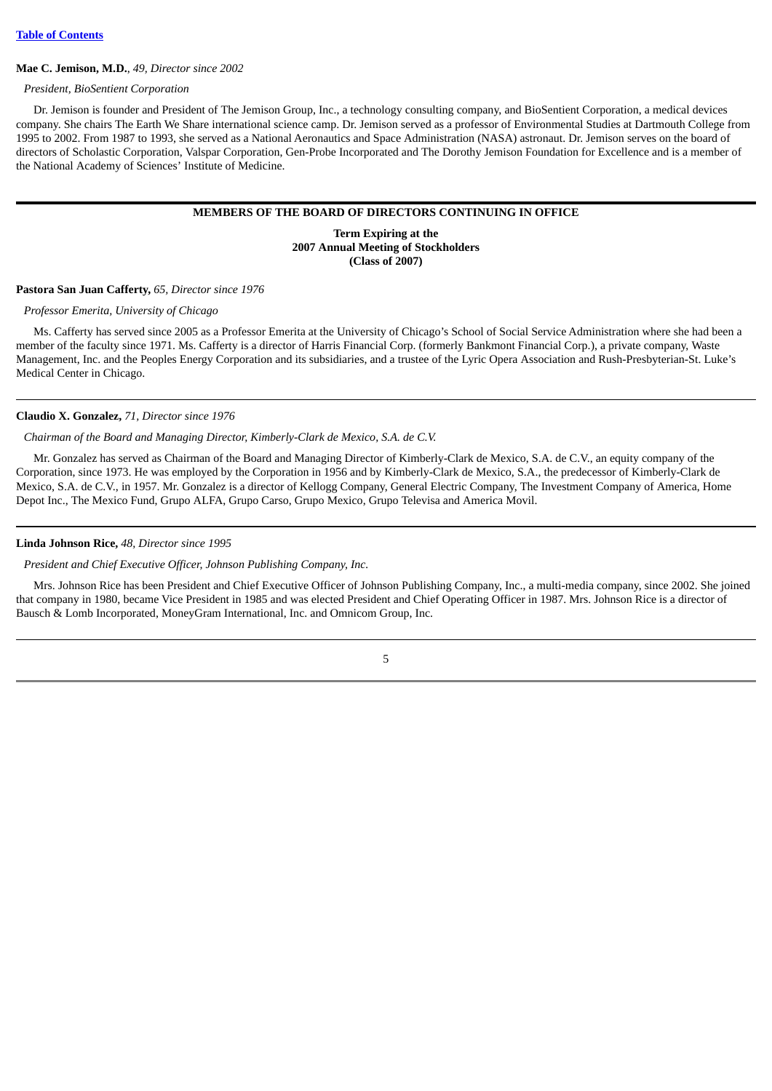#### **Mae C. Jemison, M.D.**, *49, Director since 2002*

*President, BioSentient Corporation*

Dr. Jemison is founder and President of The Jemison Group, Inc., a technology consulting company, and BioSentient Corporation, a medical devices company. She chairs The Earth We Share international science camp. Dr. Jemison served as a professor of Environmental Studies at Dartmouth College from 1995 to 2002. From 1987 to 1993, she served as a National Aeronautics and Space Administration (NASA) astronaut. Dr. Jemison serves on the board of directors of Scholastic Corporation, Valspar Corporation, Gen-Probe Incorporated and The Dorothy Jemison Foundation for Excellence and is a member of the National Academy of Sciences' Institute of Medicine.

### **MEMBERS OF THE BOARD OF DIRECTORS CONTINUING IN OFFICE**

**Term Expiring at the 2007 Annual Meeting of Stockholders (Class of 2007)**

### **Pastora San Juan Cafferty,** *65, Director since 1976*

#### *Professor Emerita, University of Chicago*

Ms. Cafferty has served since 2005 as a Professor Emerita at the University of Chicago's School of Social Service Administration where she had been a member of the faculty since 1971. Ms. Cafferty is a director of Harris Financial Corp. (formerly Bankmont Financial Corp.), a private company, Waste Management, Inc. and the Peoples Energy Corporation and its subsidiaries, and a trustee of the Lyric Opera Association and Rush-Presbyterian-St. Luke's Medical Center in Chicago.

#### **Claudio X. Gonzalez,** *71, Director since 1976*

## *Chairman of the Board and Managing Director, Kimberly-Clark de Mexico, S.A. de C.V.*

Mr. Gonzalez has served as Chairman of the Board and Managing Director of Kimberly-Clark de Mexico, S.A. de C.V., an equity company of the Corporation, since 1973. He was employed by the Corporation in 1956 and by Kimberly-Clark de Mexico, S.A., the predecessor of Kimberly-Clark de Mexico, S.A. de C.V., in 1957. Mr. Gonzalez is a director of Kellogg Company, General Electric Company, The Investment Company of America, Home Depot Inc., The Mexico Fund, Grupo ALFA, Grupo Carso, Grupo Mexico, Grupo Televisa and America Movil.

## **Linda Johnson Rice,** *48, Director since 1995*

*President and Chief Executive Officer, Johnson Publishing Company, Inc.*

Mrs. Johnson Rice has been President and Chief Executive Officer of Johnson Publishing Company, Inc., a multi-media company, since 2002. She joined that company in 1980, became Vice President in 1985 and was elected President and Chief Operating Officer in 1987. Mrs. Johnson Rice is a director of Bausch & Lomb Incorporated, MoneyGram International, Inc. and Omnicom Group, Inc.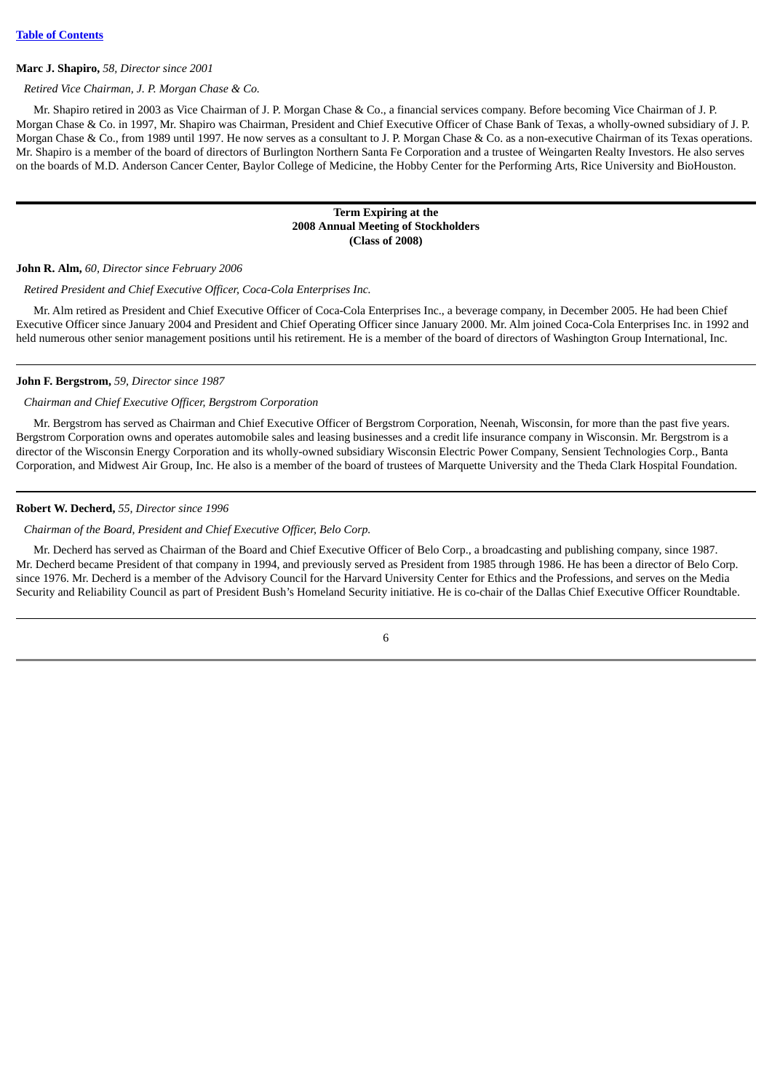#### **Marc J. Shapiro,** *58, Director since 2001*

#### *Retired Vice Chairman, J. P. Morgan Chase & Co.*

Mr. Shapiro retired in 2003 as Vice Chairman of J. P. Morgan Chase & Co., a financial services company. Before becoming Vice Chairman of J. P. Morgan Chase & Co. in 1997, Mr. Shapiro was Chairman, President and Chief Executive Officer of Chase Bank of Texas, a wholly-owned subsidiary of J. P. Morgan Chase & Co., from 1989 until 1997. He now serves as a consultant to J. P. Morgan Chase & Co. as a non-executive Chairman of its Texas operations. Mr. Shapiro is a member of the board of directors of Burlington Northern Santa Fe Corporation and a trustee of Weingarten Realty Investors. He also serves on the boards of M.D. Anderson Cancer Center, Baylor College of Medicine, the Hobby Center for the Performing Arts, Rice University and BioHouston.

## **Term Expiring at the 2008 Annual Meeting of Stockholders (Class of 2008)**

#### **John R. Alm,** *60, Director since February 2006*

#### *Retired President and Chief Executive Officer, Coca-Cola Enterprises Inc.*

Mr. Alm retired as President and Chief Executive Officer of Coca-Cola Enterprises Inc., a beverage company, in December 2005. He had been Chief Executive Officer since January 2004 and President and Chief Operating Officer since January 2000. Mr. Alm joined Coca-Cola Enterprises Inc. in 1992 and held numerous other senior management positions until his retirement. He is a member of the board of directors of Washington Group International, Inc.

#### **John F. Bergstrom,** *59, Director since 1987*

#### *Chairman and Chief Executive Officer, Bergstrom Corporation*

Mr. Bergstrom has served as Chairman and Chief Executive Officer of Bergstrom Corporation, Neenah, Wisconsin, for more than the past five years. Bergstrom Corporation owns and operates automobile sales and leasing businesses and a credit life insurance company in Wisconsin. Mr. Bergstrom is a director of the Wisconsin Energy Corporation and its wholly-owned subsidiary Wisconsin Electric Power Company, Sensient Technologies Corp., Banta Corporation, and Midwest Air Group, Inc. He also is a member of the board of trustees of Marquette University and the Theda Clark Hospital Foundation.

#### **Robert W. Decherd,** *55, Director since 1996*

## *Chairman of the Board, President and Chief Executive Officer, Belo Corp.*

Mr. Decherd has served as Chairman of the Board and Chief Executive Officer of Belo Corp., a broadcasting and publishing company, since 1987. Mr. Decherd became President of that company in 1994, and previously served as President from 1985 through 1986. He has been a director of Belo Corp. since 1976. Mr. Decherd is a member of the Advisory Council for the Harvard University Center for Ethics and the Professions, and serves on the Media Security and Reliability Council as part of President Bush's Homeland Security initiative. He is co-chair of the Dallas Chief Executive Officer Roundtable.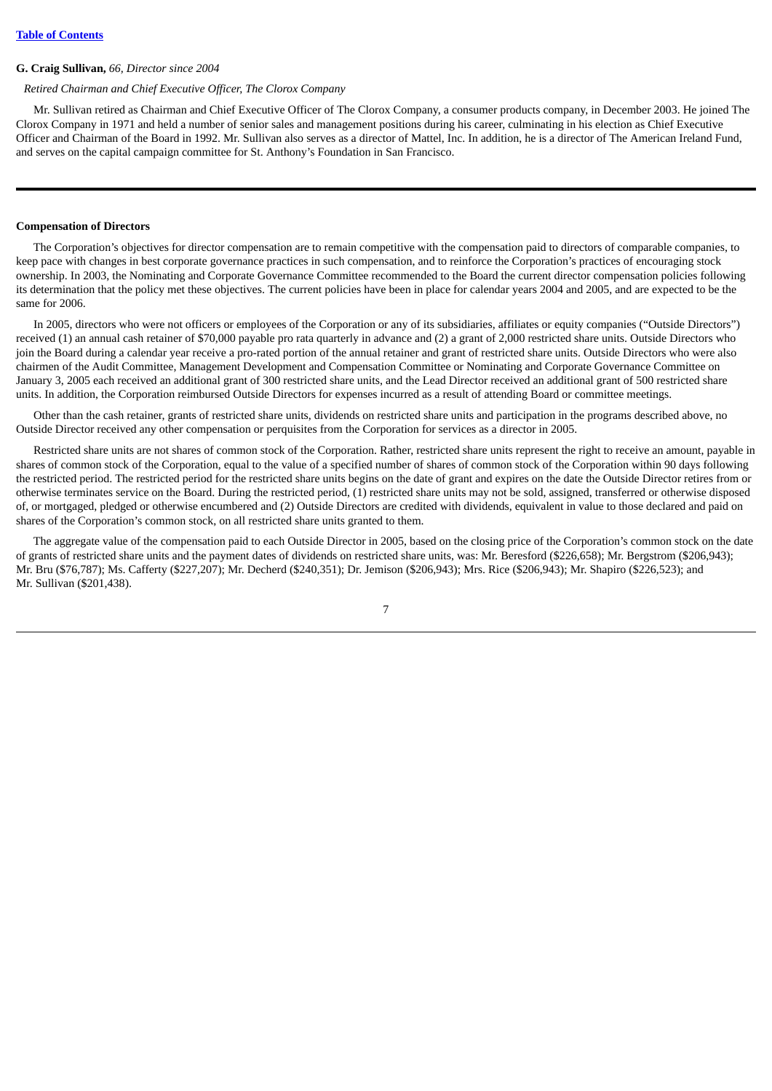#### **G. Craig Sullivan,** *66, Director since 2004*

#### *Retired Chairman and Chief Executive Officer, The Clorox Company*

Mr. Sullivan retired as Chairman and Chief Executive Officer of The Clorox Company, a consumer products company, in December 2003. He joined The Clorox Company in 1971 and held a number of senior sales and management positions during his career, culminating in his election as Chief Executive Officer and Chairman of the Board in 1992. Mr. Sullivan also serves as a director of Mattel, Inc. In addition, he is a director of The American Ireland Fund, and serves on the capital campaign committee for St. Anthony's Foundation in San Francisco.

## <span id="page-13-0"></span>**Compensation of Directors**

The Corporation's objectives for director compensation are to remain competitive with the compensation paid to directors of comparable companies, to keep pace with changes in best corporate governance practices in such compensation, and to reinforce the Corporation's practices of encouraging stock ownership. In 2003, the Nominating and Corporate Governance Committee recommended to the Board the current director compensation policies following its determination that the policy met these objectives. The current policies have been in place for calendar years 2004 and 2005, and are expected to be the same for 2006.

In 2005, directors who were not officers or employees of the Corporation or any of its subsidiaries, affiliates or equity companies ("Outside Directors") received (1) an annual cash retainer of \$70,000 payable pro rata quarterly in advance and (2) a grant of 2,000 restricted share units. Outside Directors who join the Board during a calendar year receive a pro-rated portion of the annual retainer and grant of restricted share units. Outside Directors who were also chairmen of the Audit Committee, Management Development and Compensation Committee or Nominating and Corporate Governance Committee on January 3, 2005 each received an additional grant of 300 restricted share units, and the Lead Director received an additional grant of 500 restricted share units. In addition, the Corporation reimbursed Outside Directors for expenses incurred as a result of attending Board or committee meetings.

Other than the cash retainer, grants of restricted share units, dividends on restricted share units and participation in the programs described above, no Outside Director received any other compensation or perquisites from the Corporation for services as a director in 2005.

Restricted share units are not shares of common stock of the Corporation. Rather, restricted share units represent the right to receive an amount, payable in shares of common stock of the Corporation, equal to the value of a specified number of shares of common stock of the Corporation within 90 days following the restricted period. The restricted period for the restricted share units begins on the date of grant and expires on the date the Outside Director retires from or otherwise terminates service on the Board. During the restricted period, (1) restricted share units may not be sold, assigned, transferred or otherwise disposed of, or mortgaged, pledged or otherwise encumbered and (2) Outside Directors are credited with dividends, equivalent in value to those declared and paid on shares of the Corporation's common stock, on all restricted share units granted to them.

The aggregate value of the compensation paid to each Outside Director in 2005, based on the closing price of the Corporation's common stock on the date of grants of restricted share units and the payment dates of dividends on restricted share units, was: Mr. Beresford (\$226,658); Mr. Bergstrom (\$206,943); Mr. Bru (\$76,787); Ms. Cafferty (\$227,207); Mr. Decherd (\$240,351); Dr. Jemison (\$206,943); Mrs. Rice (\$206,943); Mr. Shapiro (\$226,523); and Mr. Sullivan (\$201,438).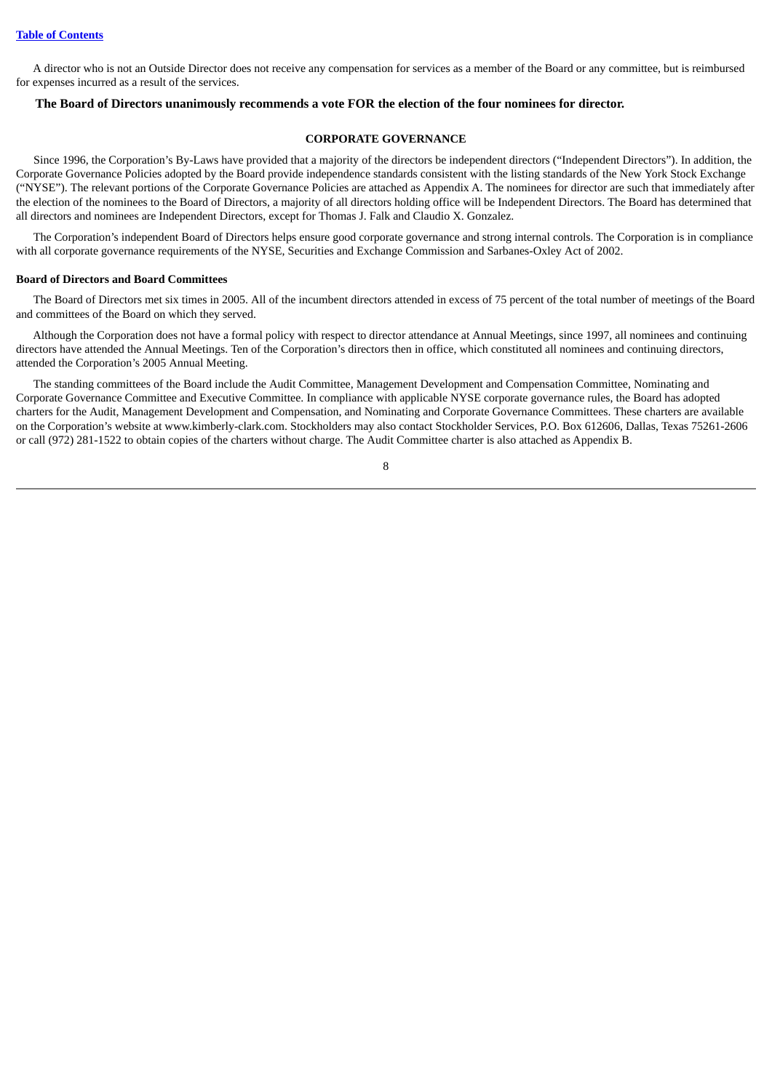A director who is not an Outside Director does not receive any compensation for services as a member of the Board or any committee, but is reimbursed for expenses incurred as a result of the services.

## <span id="page-14-0"></span>**The Board of Directors unanimously recommends a vote FOR the election of the four nominees for director.**

## **CORPORATE GOVERNANCE**

Since 1996, the Corporation's By-Laws have provided that a majority of the directors be independent directors ("Independent Directors"). In addition, the Corporate Governance Policies adopted by the Board provide independence standards consistent with the listing standards of the New York Stock Exchange ("NYSE"). The relevant portions of the Corporate Governance Policies are attached as Appendix A. The nominees for director are such that immediately after the election of the nominees to the Board of Directors, a majority of all directors holding office will be Independent Directors. The Board has determined that all directors and nominees are Independent Directors, except for Thomas J. Falk and Claudio X. Gonzalez.

The Corporation's independent Board of Directors helps ensure good corporate governance and strong internal controls. The Corporation is in compliance with all corporate governance requirements of the NYSE, Securities and Exchange Commission and Sarbanes-Oxley Act of 2002.

#### <span id="page-14-1"></span>**Board of Directors and Board Committees**

The Board of Directors met six times in 2005. All of the incumbent directors attended in excess of 75 percent of the total number of meetings of the Board and committees of the Board on which they served.

Although the Corporation does not have a formal policy with respect to director attendance at Annual Meetings, since 1997, all nominees and continuing directors have attended the Annual Meetings. Ten of the Corporation's directors then in office, which constituted all nominees and continuing directors, attended the Corporation's 2005 Annual Meeting.

The standing committees of the Board include the Audit Committee, Management Development and Compensation Committee, Nominating and Corporate Governance Committee and Executive Committee. In compliance with applicable NYSE corporate governance rules, the Board has adopted charters for the Audit, Management Development and Compensation, and Nominating and Corporate Governance Committees. These charters are available on the Corporation's website at www.kimberly-clark.com. Stockholders may also contact Stockholder Services, P.O. Box 612606, Dallas, Texas 75261-2606 or call (972) 281-1522 to obtain copies of the charters without charge. The Audit Committee charter is also attached as Appendix B.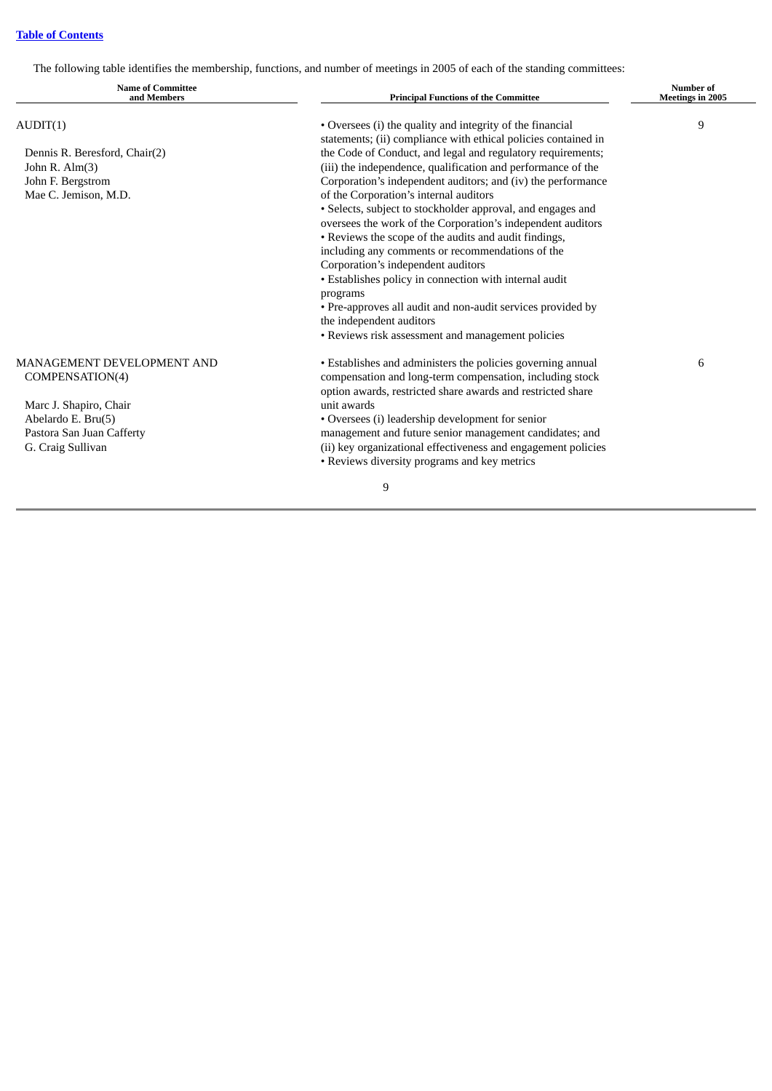The following table identifies the membership, functions, and number of meetings in 2005 of each of the standing committees:

| <b>Name of Committee</b><br>and Members | <b>Principal Functions of the Committee</b>                    | <b>Number of</b><br><b>Meetings in 2005</b> |  |
|-----------------------------------------|----------------------------------------------------------------|---------------------------------------------|--|
| AUDIT(1)                                | • Oversees (i) the quality and integrity of the financial      | 9                                           |  |
|                                         | statements; (ii) compliance with ethical policies contained in |                                             |  |
| Dennis R. Beresford, Chair(2)           | the Code of Conduct, and legal and regulatory requirements;    |                                             |  |
| John R. $Alm(3)$                        | (iii) the independence, qualification and performance of the   |                                             |  |
| John F. Bergstrom                       | Corporation's independent auditors; and (iv) the performance   |                                             |  |
| Mae C. Jemison, M.D.                    | of the Corporation's internal auditors                         |                                             |  |
|                                         | • Selects, subject to stockholder approval, and engages and    |                                             |  |
|                                         | oversees the work of the Corporation's independent auditors    |                                             |  |
|                                         | • Reviews the scope of the audits and audit findings,          |                                             |  |
|                                         | including any comments or recommendations of the               |                                             |  |
|                                         | Corporation's independent auditors                             |                                             |  |
|                                         | • Establishes policy in connection with internal audit         |                                             |  |
|                                         | programs                                                       |                                             |  |
|                                         | • Pre-approves all audit and non-audit services provided by    |                                             |  |
|                                         | the independent auditors                                       |                                             |  |
|                                         | • Reviews risk assessment and management policies              |                                             |  |
| <b>MANAGEMENT DEVELOPMENT AND</b>       | • Establishes and administers the policies governing annual    | 6                                           |  |
| COMPENSATION(4)                         | compensation and long-term compensation, including stock       |                                             |  |
|                                         | option awards, restricted share awards and restricted share    |                                             |  |
| Marc J. Shapiro, Chair                  | unit awards                                                    |                                             |  |
| Abelardo E. Bru(5)                      | • Oversees (i) leadership development for senior               |                                             |  |
| Pastora San Juan Cafferty               | management and future senior management candidates; and        |                                             |  |
| G. Craig Sullivan                       | (ii) key organizational effectiveness and engagement policies  |                                             |  |
|                                         | • Reviews diversity programs and key metrics                   |                                             |  |
|                                         | 9                                                              |                                             |  |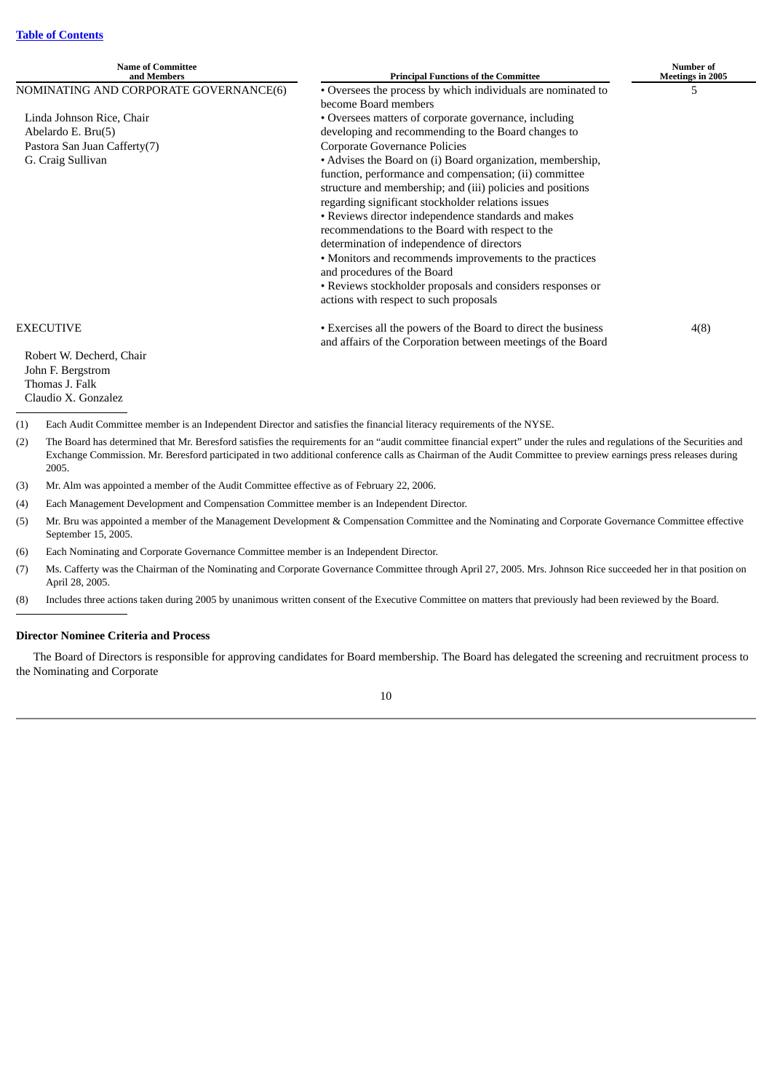| <b>Name of Committee</b><br>and Members                                                | <b>Principal Functions of the Committee</b>                                                                                                                                                                                                                                                                                                                                                                                                                                                                                                                                                         | Number of<br><b>Meetings in 2005</b> |
|----------------------------------------------------------------------------------------|-----------------------------------------------------------------------------------------------------------------------------------------------------------------------------------------------------------------------------------------------------------------------------------------------------------------------------------------------------------------------------------------------------------------------------------------------------------------------------------------------------------------------------------------------------------------------------------------------------|--------------------------------------|
| NOMINATING AND CORPORATE GOVERNANCE(6)                                                 | • Oversees the process by which individuals are nominated to                                                                                                                                                                                                                                                                                                                                                                                                                                                                                                                                        | 5                                    |
|                                                                                        | become Board members                                                                                                                                                                                                                                                                                                                                                                                                                                                                                                                                                                                |                                      |
| Linda Johnson Rice, Chair                                                              | • Oversees matters of corporate governance, including                                                                                                                                                                                                                                                                                                                                                                                                                                                                                                                                               |                                      |
| Abelardo E. Bru(5)                                                                     | developing and recommending to the Board changes to                                                                                                                                                                                                                                                                                                                                                                                                                                                                                                                                                 |                                      |
| Pastora San Juan Cafferty(7)                                                           | Corporate Governance Policies                                                                                                                                                                                                                                                                                                                                                                                                                                                                                                                                                                       |                                      |
| G. Craig Sullivan                                                                      | • Advises the Board on (i) Board organization, membership,<br>function, performance and compensation; (ii) committee<br>structure and membership; and (iii) policies and positions<br>regarding significant stockholder relations issues<br>• Reviews director independence standards and makes<br>recommendations to the Board with respect to the<br>determination of independence of directors<br>• Monitors and recommends improvements to the practices<br>and procedures of the Board<br>• Reviews stockholder proposals and considers responses or<br>actions with respect to such proposals |                                      |
| <b>EXECUTIVE</b>                                                                       | • Exercises all the powers of the Board to direct the business<br>and affairs of the Corporation between meetings of the Board                                                                                                                                                                                                                                                                                                                                                                                                                                                                      | 4(8)                                 |
| Robert W. Decherd, Chair<br>John F. Bergstrom<br>Thomas J. Falk<br>Claudio X. Gonzalez |                                                                                                                                                                                                                                                                                                                                                                                                                                                                                                                                                                                                     |                                      |

- (1) Each Audit Committee member is an Independent Director and satisfies the financial literacy requirements of the NYSE.
- (2) The Board has determined that Mr. Beresford satisfies the requirements for an "audit committee financial expert" under the rules and regulations of the Securities and Exchange Commission. Mr. Beresford participated in two additional conference calls as Chairman of the Audit Committee to preview earnings press releases during 2005.
- (3) Mr. Alm was appointed a member of the Audit Committee effective as of February 22, 2006.
- (4) Each Management Development and Compensation Committee member is an Independent Director.
- (5) Mr. Bru was appointed a member of the Management Development & Compensation Committee and the Nominating and Corporate Governance Committee effective September 15, 2005.
- (6) Each Nominating and Corporate Governance Committee member is an Independent Director.
- (7) Ms. Cafferty was the Chairman of the Nominating and Corporate Governance Committee through April 27, 2005. Mrs. Johnson Rice succeeded her in that position on April 28, 2005.
- (8) Includes three actions taken during 2005 by unanimous written consent of the Executive Committee on matters that previously had been reviewed by the Board.

## <span id="page-16-0"></span>**Director Nominee Criteria and Process**

The Board of Directors is responsible for approving candidates for Board membership. The Board has delegated the screening and recruitment process to the Nominating and Corporate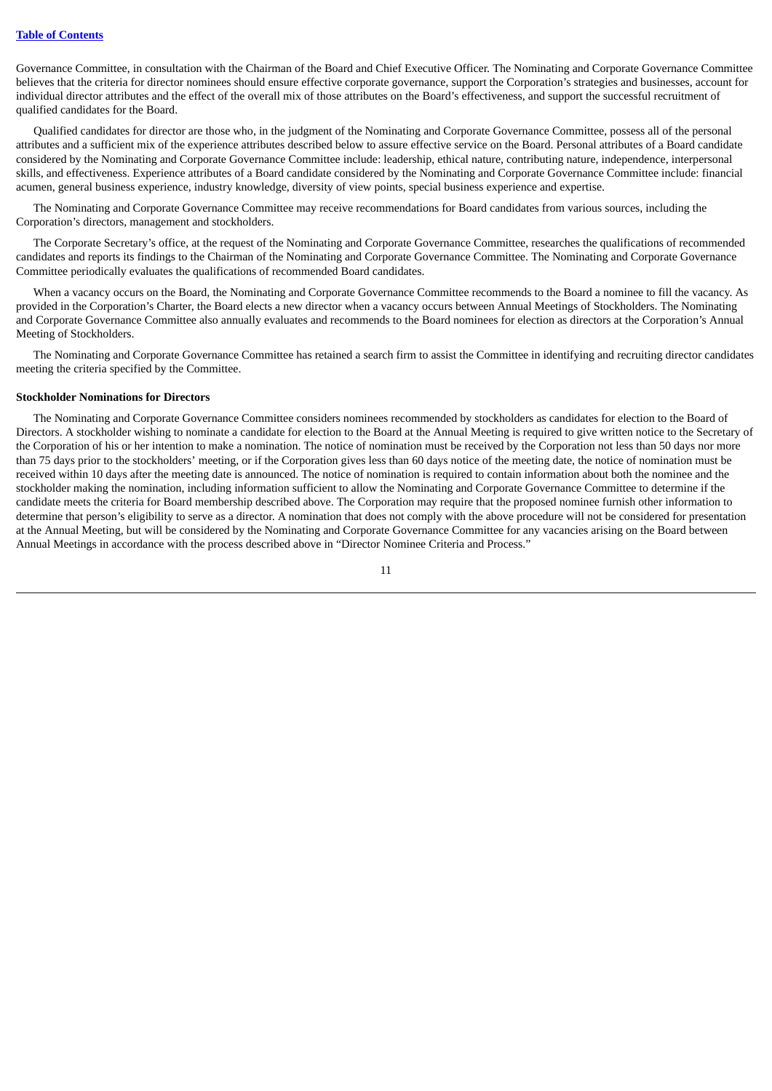Governance Committee, in consultation with the Chairman of the Board and Chief Executive Officer. The Nominating and Corporate Governance Committee believes that the criteria for director nominees should ensure effective corporate governance, support the Corporation's strategies and businesses, account for individual director attributes and the effect of the overall mix of those attributes on the Board's effectiveness, and support the successful recruitment of qualified candidates for the Board.

Qualified candidates for director are those who, in the judgment of the Nominating and Corporate Governance Committee, possess all of the personal attributes and a sufficient mix of the experience attributes described below to assure effective service on the Board. Personal attributes of a Board candidate considered by the Nominating and Corporate Governance Committee include: leadership, ethical nature, contributing nature, independence, interpersonal skills, and effectiveness. Experience attributes of a Board candidate considered by the Nominating and Corporate Governance Committee include: financial acumen, general business experience, industry knowledge, diversity of view points, special business experience and expertise.

The Nominating and Corporate Governance Committee may receive recommendations for Board candidates from various sources, including the Corporation's directors, management and stockholders.

The Corporate Secretary's office, at the request of the Nominating and Corporate Governance Committee, researches the qualifications of recommended candidates and reports its findings to the Chairman of the Nominating and Corporate Governance Committee. The Nominating and Corporate Governance Committee periodically evaluates the qualifications of recommended Board candidates.

When a vacancy occurs on the Board, the Nominating and Corporate Governance Committee recommends to the Board a nominee to fill the vacancy. As provided in the Corporation's Charter, the Board elects a new director when a vacancy occurs between Annual Meetings of Stockholders. The Nominating and Corporate Governance Committee also annually evaluates and recommends to the Board nominees for election as directors at the Corporation's Annual Meeting of Stockholders.

The Nominating and Corporate Governance Committee has retained a search firm to assist the Committee in identifying and recruiting director candidates meeting the criteria specified by the Committee.

## <span id="page-17-0"></span>**Stockholder Nominations for Directors**

The Nominating and Corporate Governance Committee considers nominees recommended by stockholders as candidates for election to the Board of Directors. A stockholder wishing to nominate a candidate for election to the Board at the Annual Meeting is required to give written notice to the Secretary of the Corporation of his or her intention to make a nomination. The notice of nomination must be received by the Corporation not less than 50 days nor more than 75 days prior to the stockholders' meeting, or if the Corporation gives less than 60 days notice of the meeting date, the notice of nomination must be received within 10 days after the meeting date is announced. The notice of nomination is required to contain information about both the nominee and the stockholder making the nomination, including information sufficient to allow the Nominating and Corporate Governance Committee to determine if the candidate meets the criteria for Board membership described above. The Corporation may require that the proposed nominee furnish other information to determine that person's eligibility to serve as a director. A nomination that does not comply with the above procedure will not be considered for presentation at the Annual Meeting, but will be considered by the Nominating and Corporate Governance Committee for any vacancies arising on the Board between Annual Meetings in accordance with the process described above in "Director Nominee Criteria and Process."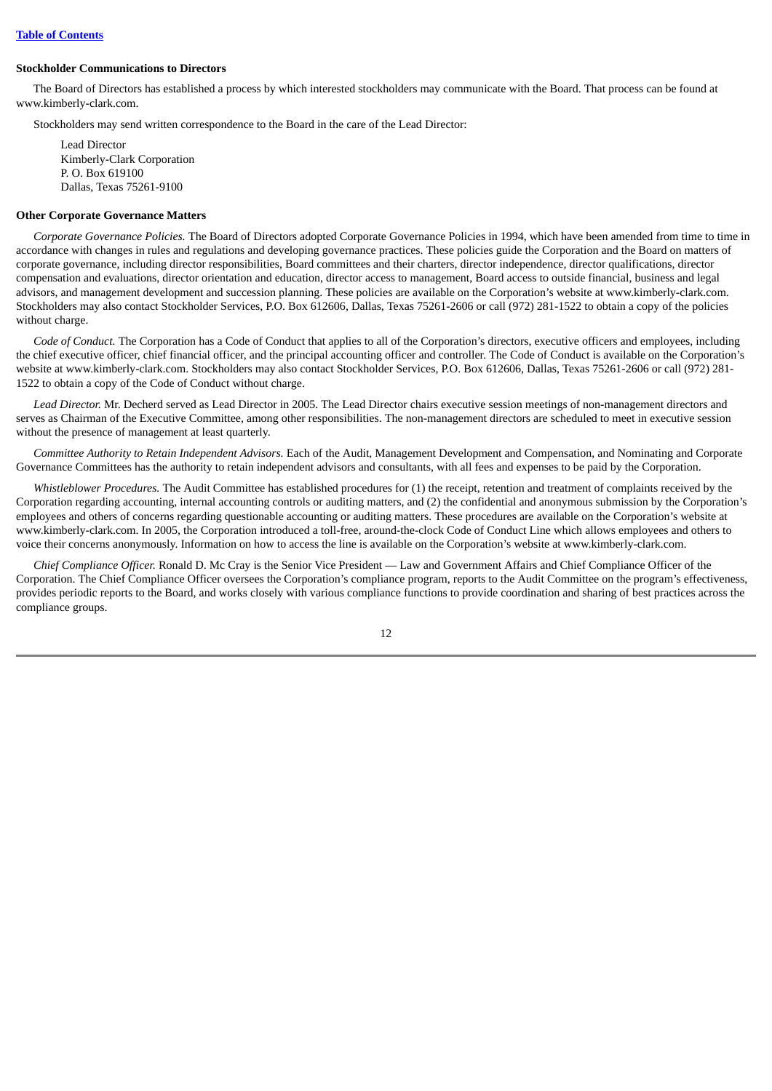#### <span id="page-18-0"></span>**Stockholder Communications to Directors**

The Board of Directors has established a process by which interested stockholders may communicate with the Board. That process can be found at www.kimberly-clark.com.

Stockholders may send written correspondence to the Board in the care of the Lead Director:

Lead Director Kimberly-Clark Corporation P. O. Box 619100 Dallas, Texas 75261-9100

#### <span id="page-18-1"></span>**Other Corporate Governance Matters**

*Corporate Governance Policies.* The Board of Directors adopted Corporate Governance Policies in 1994, which have been amended from time to time in accordance with changes in rules and regulations and developing governance practices. These policies guide the Corporation and the Board on matters of corporate governance, including director responsibilities, Board committees and their charters, director independence, director qualifications, director compensation and evaluations, director orientation and education, director access to management, Board access to outside financial, business and legal advisors, and management development and succession planning. These policies are available on the Corporation's website at www.kimberly-clark.com. Stockholders may also contact Stockholder Services, P.O. Box 612606, Dallas, Texas 75261-2606 or call (972) 281-1522 to obtain a copy of the policies without charge.

*Code of Conduct.* The Corporation has a Code of Conduct that applies to all of the Corporation's directors, executive officers and employees, including the chief executive officer, chief financial officer, and the principal accounting officer and controller. The Code of Conduct is available on the Corporation's website at www.kimberly-clark.com. Stockholders may also contact Stockholder Services, P.O. Box 612606, Dallas, Texas 75261-2606 or call (972) 281- 1522 to obtain a copy of the Code of Conduct without charge.

*Lead Director.* Mr. Decherd served as Lead Director in 2005. The Lead Director chairs executive session meetings of non-management directors and serves as Chairman of the Executive Committee, among other responsibilities. The non-management directors are scheduled to meet in executive session without the presence of management at least quarterly.

*Committee Authority to Retain Independent Advisors.* Each of the Audit, Management Development and Compensation, and Nominating and Corporate Governance Committees has the authority to retain independent advisors and consultants, with all fees and expenses to be paid by the Corporation.

*Whistleblower Procedures.* The Audit Committee has established procedures for (1) the receipt, retention and treatment of complaints received by the Corporation regarding accounting, internal accounting controls or auditing matters, and (2) the confidential and anonymous submission by the Corporation's employees and others of concerns regarding questionable accounting or auditing matters. These procedures are available on the Corporation's website at www.kimberly-clark.com. In 2005, the Corporation introduced a toll-free, around-the-clock Code of Conduct Line which allows employees and others to voice their concerns anonymously. Information on how to access the line is available on the Corporation's website at www.kimberly-clark.com.

*Chief Compliance Officer.* Ronald D. Mc Cray is the Senior Vice President — Law and Government Affairs and Chief Compliance Officer of the Corporation. The Chief Compliance Officer oversees the Corporation's compliance program, reports to the Audit Committee on the program's effectiveness, provides periodic reports to the Board, and works closely with various compliance functions to provide coordination and sharing of best practices across the compliance groups.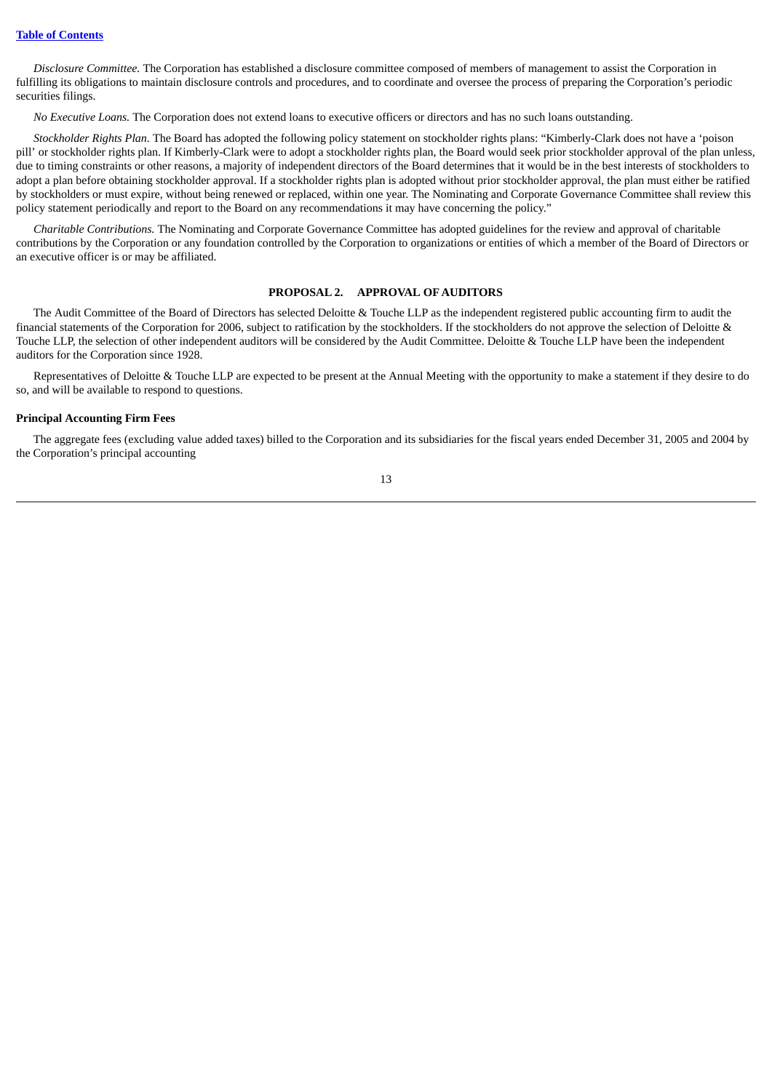*Disclosure Committee.* The Corporation has established a disclosure committee composed of members of management to assist the Corporation in fulfilling its obligations to maintain disclosure controls and procedures, and to coordinate and oversee the process of preparing the Corporation's periodic securities filings.

*No Executive Loans.* The Corporation does not extend loans to executive officers or directors and has no such loans outstanding.

*Stockholder Rights Plan.* The Board has adopted the following policy statement on stockholder rights plans: "Kimberly-Clark does not have a 'poison pill' or stockholder rights plan. If Kimberly-Clark were to adopt a stockholder rights plan, the Board would seek prior stockholder approval of the plan unless, due to timing constraints or other reasons, a majority of independent directors of the Board determines that it would be in the best interests of stockholders to adopt a plan before obtaining stockholder approval. If a stockholder rights plan is adopted without prior stockholder approval, the plan must either be ratified by stockholders or must expire, without being renewed or replaced, within one year. The Nominating and Corporate Governance Committee shall review this policy statement periodically and report to the Board on any recommendations it may have concerning the policy."

<span id="page-19-0"></span>*Charitable Contributions.* The Nominating and Corporate Governance Committee has adopted guidelines for the review and approval of charitable contributions by the Corporation or any foundation controlled by the Corporation to organizations or entities of which a member of the Board of Directors or an executive officer is or may be affiliated.

## **PROPOSAL 2. APPROVAL OF AUDITORS**

The Audit Committee of the Board of Directors has selected Deloitte & Touche LLP as the independent registered public accounting firm to audit the financial statements of the Corporation for 2006, subject to ratification by the stockholders. If the stockholders do not approve the selection of Deloitte & Touche LLP, the selection of other independent auditors will be considered by the Audit Committee. Deloitte & Touche LLP have been the independent auditors for the Corporation since 1928.

Representatives of Deloitte & Touche LLP are expected to be present at the Annual Meeting with the opportunity to make a statement if they desire to do so, and will be available to respond to questions.

## <span id="page-19-1"></span>**Principal Accounting Firm Fees**

The aggregate fees (excluding value added taxes) billed to the Corporation and its subsidiaries for the fiscal years ended December 31, 2005 and 2004 by the Corporation's principal accounting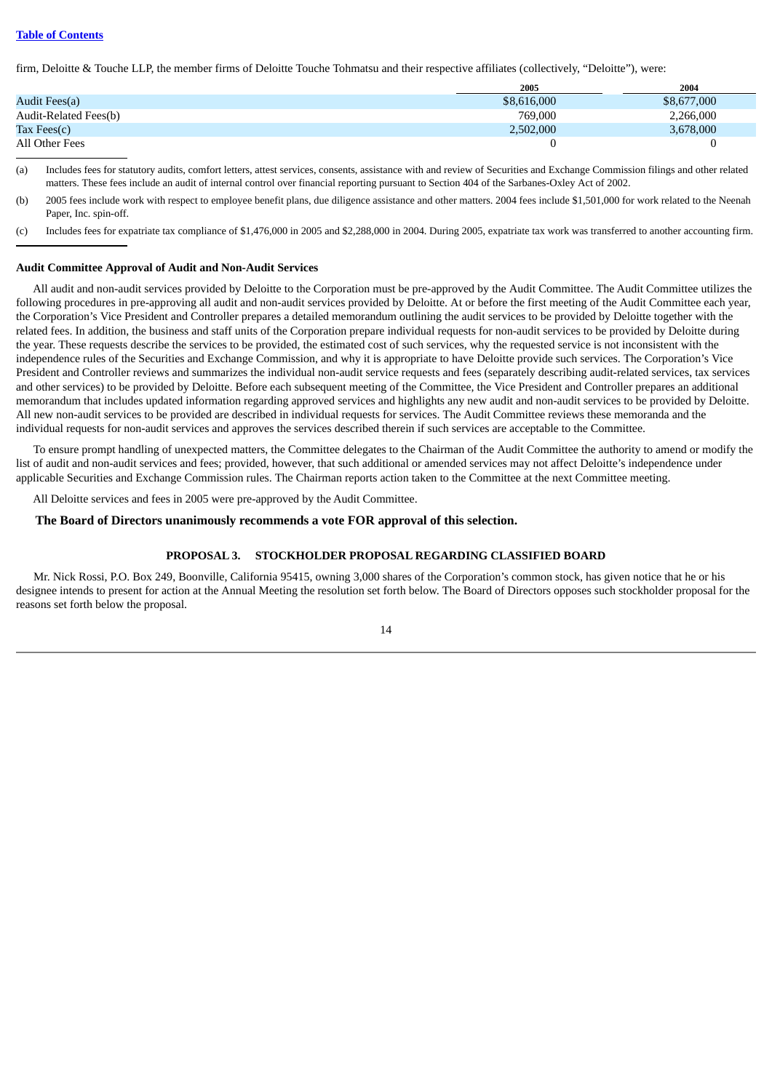## **Table of [Contents](#page-5-0)**

firm, Deloitte & Touche LLP, the member firms of Deloitte Touche Tohmatsu and their respective affiliates (collectively, "Deloitte"), were:

|                       | 2005        | 2004        |
|-----------------------|-------------|-------------|
| Audit Fees(a)         | \$8,616,000 | \$8,677,000 |
| Audit-Related Fees(b) | 769,000     | 2,266,000   |
| Tax Fees $(c)$        | 2,502,000   | 3,678,000   |
| All Other Fees        |             |             |

(a) Includes fees for statutory audits, comfort letters, attest services, consents, assistance with and review of Securities and Exchange Commission filings and other related matters. These fees include an audit of internal control over financial reporting pursuant to Section 404 of the Sarbanes-Oxley Act of 2002.

(b) 2005 fees include work with respect to employee benefit plans, due diligence assistance and other matters. 2004 fees include \$1,501,000 for work related to the Neenah Paper, Inc. spin-off.

(c) Includes fees for expatriate tax compliance of \$1,476,000 in 2005 and \$2,288,000 in 2004. During 2005, expatriate tax work was transferred to another accounting firm.

#### <span id="page-20-0"></span>**Audit Committee Approval of Audit and Non-Audit Services**

All audit and non-audit services provided by Deloitte to the Corporation must be pre-approved by the Audit Committee. The Audit Committee utilizes the following procedures in pre-approving all audit and non-audit services provided by Deloitte. At or before the first meeting of the Audit Committee each year, the Corporation's Vice President and Controller prepares a detailed memorandum outlining the audit services to be provided by Deloitte together with the related fees. In addition, the business and staff units of the Corporation prepare individual requests for non-audit services to be provided by Deloitte during the year. These requests describe the services to be provided, the estimated cost of such services, why the requested service is not inconsistent with the independence rules of the Securities and Exchange Commission, and why it is appropriate to have Deloitte provide such services. The Corporation's Vice President and Controller reviews and summarizes the individual non-audit service requests and fees (separately describing audit-related services, tax services and other services) to be provided by Deloitte. Before each subsequent meeting of the Committee, the Vice President and Controller prepares an additional memorandum that includes updated information regarding approved services and highlights any new audit and non-audit services to be provided by Deloitte. All new non-audit services to be provided are described in individual requests for services. The Audit Committee reviews these memoranda and the individual requests for non-audit services and approves the services described therein if such services are acceptable to the Committee.

To ensure prompt handling of unexpected matters, the Committee delegates to the Chairman of the Audit Committee the authority to amend or modify the list of audit and non-audit services and fees; provided, however, that such additional or amended services may not affect Deloitte's independence under applicable Securities and Exchange Commission rules. The Chairman reports action taken to the Committee at the next Committee meeting.

All Deloitte services and fees in 2005 were pre-approved by the Audit Committee.

#### <span id="page-20-1"></span>**The Board of Directors unanimously recommends a vote FOR approval of this selection.**

#### **PROPOSAL 3. STOCKHOLDER PROPOSAL REGARDING CLASSIFIED BOARD**

Mr. Nick Rossi, P.O. Box 249, Boonville, California 95415, owning 3,000 shares of the Corporation's common stock, has given notice that he or his designee intends to present for action at the Annual Meeting the resolution set forth below. The Board of Directors opposes such stockholder proposal for the reasons set forth below the proposal.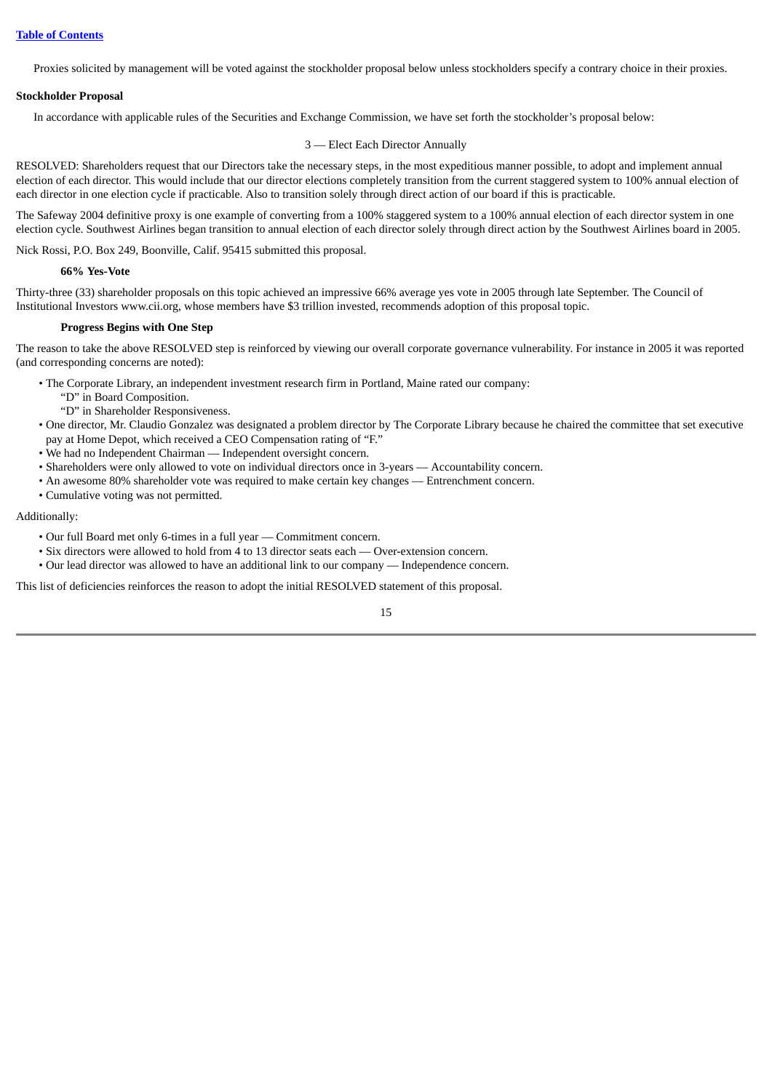Proxies solicited by management will be voted against the stockholder proposal below unless stockholders specify a contrary choice in their proxies.

## <span id="page-21-0"></span>**Stockholder Proposal**

In accordance with applicable rules of the Securities and Exchange Commission, we have set forth the stockholder's proposal below:

## 3 — Elect Each Director Annually

RESOLVED: Shareholders request that our Directors take the necessary steps, in the most expeditious manner possible, to adopt and implement annual election of each director. This would include that our director elections completely transition from the current staggered system to 100% annual election of each director in one election cycle if practicable. Also to transition solely through direct action of our board if this is practicable.

The Safeway 2004 definitive proxy is one example of converting from a 100% staggered system to a 100% annual election of each director system in one election cycle. Southwest Airlines began transition to annual election of each director solely through direct action by the Southwest Airlines board in 2005.

Nick Rossi, P.O. Box 249, Boonville, Calif. 95415 submitted this proposal.

## **66% Yes-Vote**

Thirty-three (33) shareholder proposals on this topic achieved an impressive 66% average yes vote in 2005 through late September. The Council of Institutional Investors www.cii.org, whose members have \$3 trillion invested, recommends adoption of this proposal topic.

## **Progress Begins with One Step**

The reason to take the above RESOLVED step is reinforced by viewing our overall corporate governance vulnerability. For instance in 2005 it was reported (and corresponding concerns are noted):

- The Corporate Library, an independent investment research firm in Portland, Maine rated our company:
	- "D" in Board Composition.
	- "D" in Shareholder Responsiveness.
- One director, Mr. Claudio Gonzalez was designated a problem director by The Corporate Library because he chaired the committee that set executive pay at Home Depot, which received a CEO Compensation rating of "F."
- We had no Independent Chairman Independent oversight concern.
- Shareholders were only allowed to vote on individual directors once in 3-years Accountability concern.
- An awesome 80% shareholder vote was required to make certain key changes Entrenchment concern.
- Cumulative voting was not permitted.

## Additionally:

- Our full Board met only 6-times in a full year Commitment concern.
- Six directors were allowed to hold from 4 to 13 director seats each Over-extension concern.
- Our lead director was allowed to have an additional link to our company Independence concern.

This list of deficiencies reinforces the reason to adopt the initial RESOLVED statement of this proposal.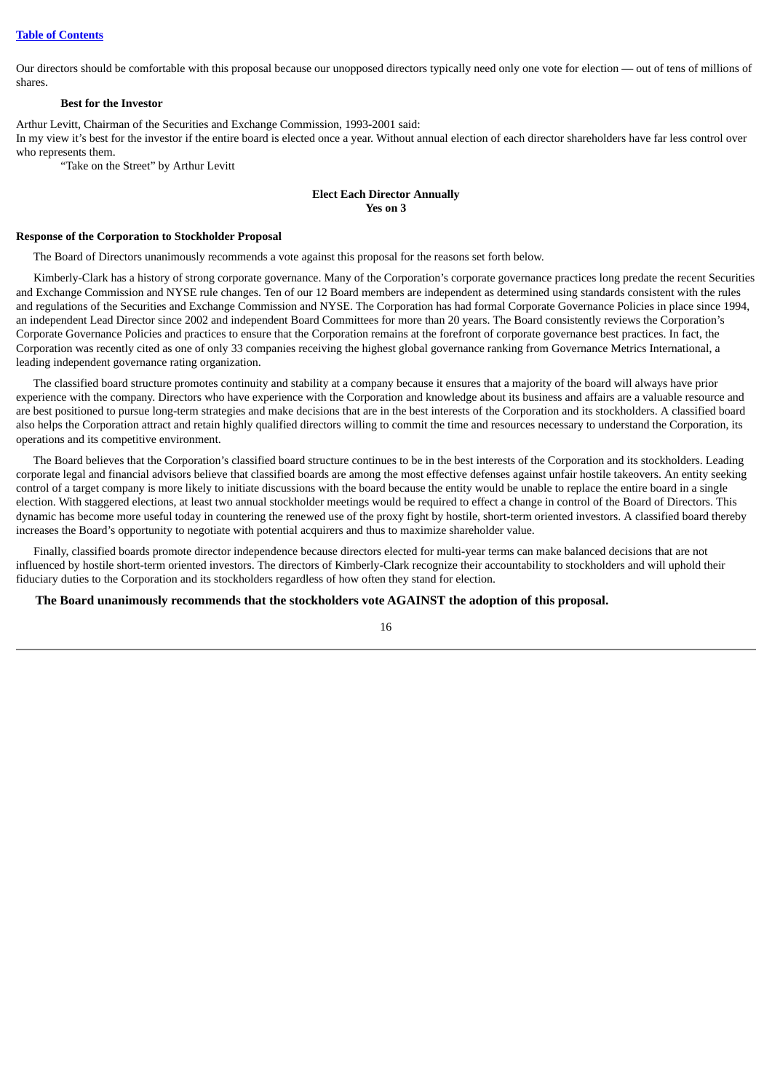Our directors should be comfortable with this proposal because our unopposed directors typically need only one vote for election — out of tens of millions of shares.

## **Best for the Investor**

Arthur Levitt, Chairman of the Securities and Exchange Commission, 1993-2001 said:

In my view it's best for the investor if the entire board is elected once a year. Without annual election of each director shareholders have far less control over who represents them.

"Take on the Street" by Arthur Levitt

## **Elect Each Director Annually Yes on 3**

## <span id="page-22-0"></span>**Response of the Corporation to Stockholder Proposal**

The Board of Directors unanimously recommends a vote against this proposal for the reasons set forth below.

Kimberly-Clark has a history of strong corporate governance. Many of the Corporation's corporate governance practices long predate the recent Securities and Exchange Commission and NYSE rule changes. Ten of our 12 Board members are independent as determined using standards consistent with the rules and regulations of the Securities and Exchange Commission and NYSE. The Corporation has had formal Corporate Governance Policies in place since 1994, an independent Lead Director since 2002 and independent Board Committees for more than 20 years. The Board consistently reviews the Corporation's Corporate Governance Policies and practices to ensure that the Corporation remains at the forefront of corporate governance best practices. In fact, the Corporation was recently cited as one of only 33 companies receiving the highest global governance ranking from Governance Metrics International, a leading independent governance rating organization.

The classified board structure promotes continuity and stability at a company because it ensures that a majority of the board will always have prior experience with the company. Directors who have experience with the Corporation and knowledge about its business and affairs are a valuable resource and are best positioned to pursue long-term strategies and make decisions that are in the best interests of the Corporation and its stockholders. A classified board also helps the Corporation attract and retain highly qualified directors willing to commit the time and resources necessary to understand the Corporation, its operations and its competitive environment.

The Board believes that the Corporation's classified board structure continues to be in the best interests of the Corporation and its stockholders. Leading corporate legal and financial advisors believe that classified boards are among the most effective defenses against unfair hostile takeovers. An entity seeking control of a target company is more likely to initiate discussions with the board because the entity would be unable to replace the entire board in a single election. With staggered elections, at least two annual stockholder meetings would be required to effect a change in control of the Board of Directors. This dynamic has become more useful today in countering the renewed use of the proxy fight by hostile, short-term oriented investors. A classified board thereby increases the Board's opportunity to negotiate with potential acquirers and thus to maximize shareholder value.

Finally, classified boards promote director independence because directors elected for multi-year terms can make balanced decisions that are not influenced by hostile short-term oriented investors. The directors of Kimberly-Clark recognize their accountability to stockholders and will uphold their fiduciary duties to the Corporation and its stockholders regardless of how often they stand for election.

**The Board unanimously recommends that the stockholders vote AGAINST the adoption of this proposal.**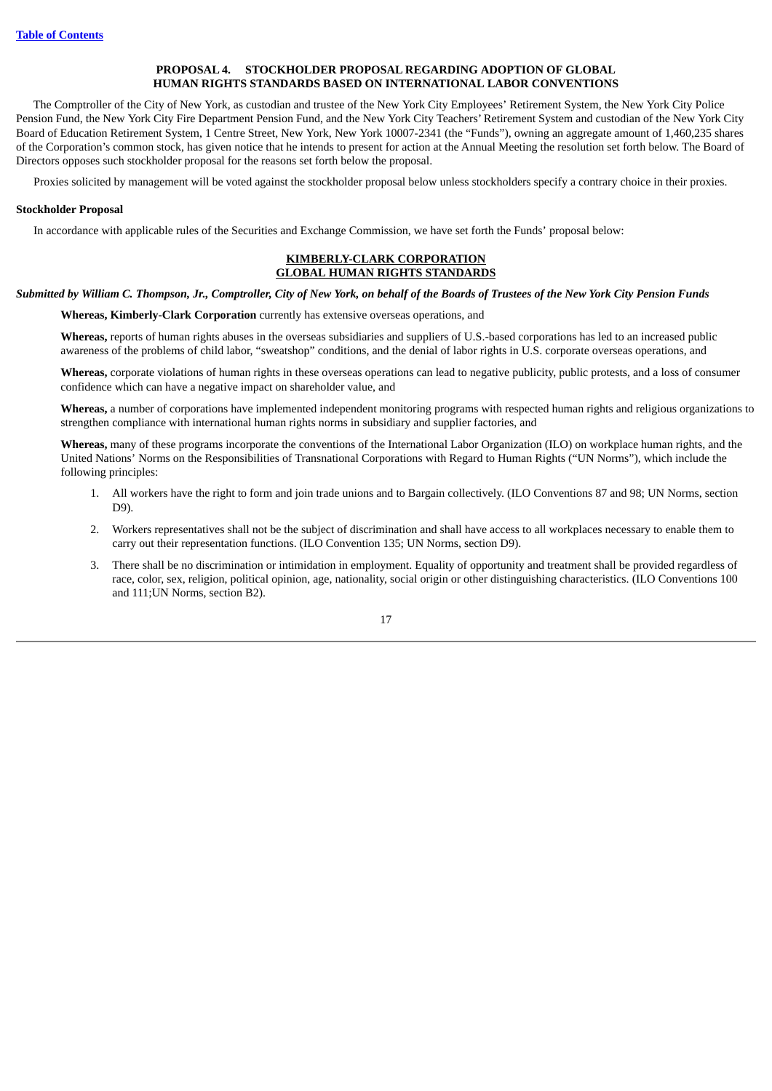## **PROPOSAL 4. STOCKHOLDER PROPOSAL REGARDING ADOPTION OF GLOBAL HUMAN RIGHTS STANDARDS BASED ON INTERNATIONAL LABOR CONVENTIONS**

<span id="page-23-0"></span>The Comptroller of the City of New York, as custodian and trustee of the New York City Employees' Retirement System, the New York City Police Pension Fund, the New York City Fire Department Pension Fund, and the New York City Teachers' Retirement System and custodian of the New York City Board of Education Retirement System, 1 Centre Street, New York, New York 10007-2341 (the "Funds"), owning an aggregate amount of 1,460,235 shares of the Corporation's common stock, has given notice that he intends to present for action at the Annual Meeting the resolution set forth below. The Board of Directors opposes such stockholder proposal for the reasons set forth below the proposal.

Proxies solicited by management will be voted against the stockholder proposal below unless stockholders specify a contrary choice in their proxies.

### <span id="page-23-1"></span>**Stockholder Proposal**

In accordance with applicable rules of the Securities and Exchange Commission, we have set forth the Funds' proposal below:

#### **KIMBERLY-CLARK CORPORATION GLOBAL HUMAN RIGHTS STANDARDS**

## Submitted by William C. Thompson, Jr., Comptroller, City of New York, on behalf of the Boards of Trustees of the New York City Pension Funds

**Whereas, Kimberly-Clark Corporation** currently has extensive overseas operations, and

**Whereas,** reports of human rights abuses in the overseas subsidiaries and suppliers of U.S.-based corporations has led to an increased public awareness of the problems of child labor, "sweatshop" conditions, and the denial of labor rights in U.S. corporate overseas operations, and

**Whereas,** corporate violations of human rights in these overseas operations can lead to negative publicity, public protests, and a loss of consumer confidence which can have a negative impact on shareholder value, and

**Whereas,** a number of corporations have implemented independent monitoring programs with respected human rights and religious organizations to strengthen compliance with international human rights norms in subsidiary and supplier factories, and

**Whereas,** many of these programs incorporate the conventions of the International Labor Organization (ILO) on workplace human rights, and the United Nations' Norms on the Responsibilities of Transnational Corporations with Regard to Human Rights ("UN Norms"), which include the following principles:

- 1. All workers have the right to form and join trade unions and to Bargain collectively. (ILO Conventions 87 and 98; UN Norms, section D9).
- 2. Workers representatives shall not be the subject of discrimination and shall have access to all workplaces necessary to enable them to carry out their representation functions. (ILO Convention 135; UN Norms, section D9).
- 3. There shall be no discrimination or intimidation in employment. Equality of opportunity and treatment shall be provided regardless of race, color, sex, religion, political opinion, age, nationality, social origin or other distinguishing characteristics. (ILO Conventions 100 and 111;UN Norms, section B2).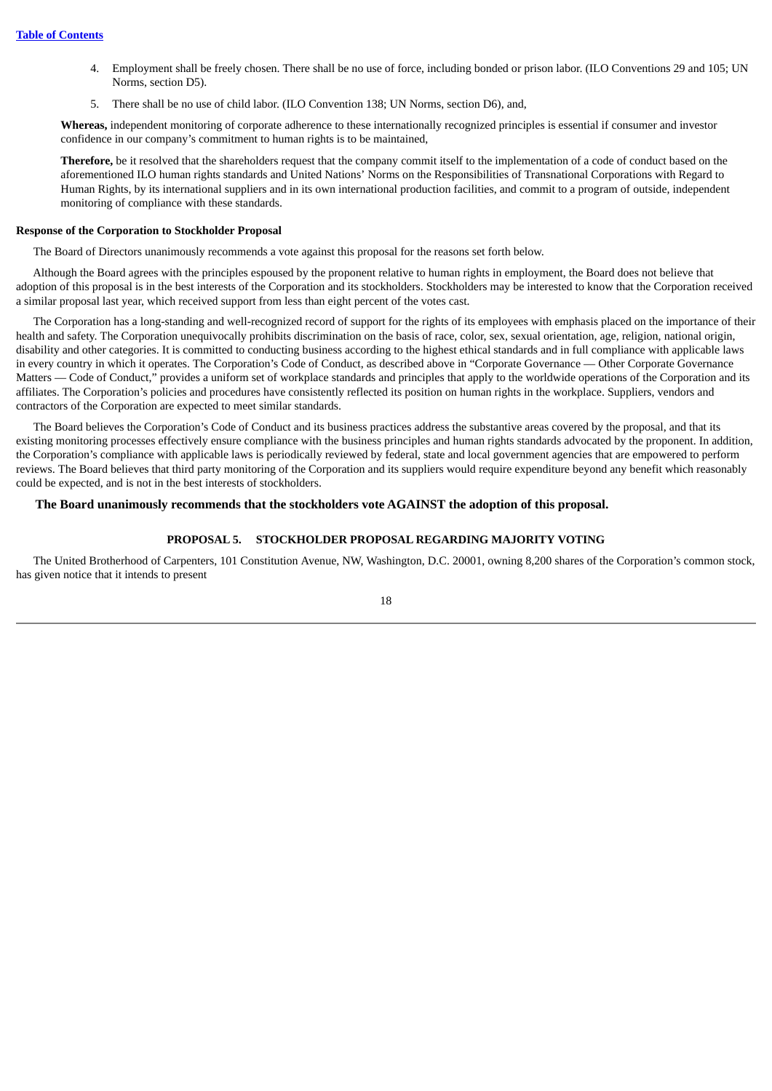- 4. Employment shall be freely chosen. There shall be no use of force, including bonded or prison labor. (ILO Conventions 29 and 105; UN Norms, section D5).
- 5. There shall be no use of child labor. (ILO Convention 138; UN Norms, section D6), and,

**Whereas,** independent monitoring of corporate adherence to these internationally recognized principles is essential if consumer and investor confidence in our company's commitment to human rights is to be maintained,

**Therefore,** be it resolved that the shareholders request that the company commit itself to the implementation of a code of conduct based on the aforementioned ILO human rights standards and United Nations' Norms on the Responsibilities of Transnational Corporations with Regard to Human Rights, by its international suppliers and in its own international production facilities, and commit to a program of outside, independent monitoring of compliance with these standards.

#### <span id="page-24-0"></span>**Response of the Corporation to Stockholder Proposal**

The Board of Directors unanimously recommends a vote against this proposal for the reasons set forth below.

Although the Board agrees with the principles espoused by the proponent relative to human rights in employment, the Board does not believe that adoption of this proposal is in the best interests of the Corporation and its stockholders. Stockholders may be interested to know that the Corporation received a similar proposal last year, which received support from less than eight percent of the votes cast.

The Corporation has a long-standing and well-recognized record of support for the rights of its employees with emphasis placed on the importance of their health and safety. The Corporation unequivocally prohibits discrimination on the basis of race, color, sex, sexual orientation, age, religion, national origin, disability and other categories. It is committed to conducting business according to the highest ethical standards and in full compliance with applicable laws in every country in which it operates. The Corporation's Code of Conduct, as described above in "Corporate Governance — Other Corporate Governance Matters — Code of Conduct," provides a uniform set of workplace standards and principles that apply to the worldwide operations of the Corporation and its affiliates. The Corporation's policies and procedures have consistently reflected its position on human rights in the workplace. Suppliers, vendors and contractors of the Corporation are expected to meet similar standards.

The Board believes the Corporation's Code of Conduct and its business practices address the substantive areas covered by the proposal, and that its existing monitoring processes effectively ensure compliance with the business principles and human rights standards advocated by the proponent. In addition, the Corporation's compliance with applicable laws is periodically reviewed by federal, state and local government agencies that are empowered to perform reviews. The Board believes that third party monitoring of the Corporation and its suppliers would require expenditure beyond any benefit which reasonably could be expected, and is not in the best interests of stockholders.

## <span id="page-24-1"></span>**The Board unanimously recommends that the stockholders vote AGAINST the adoption of this proposal.**

## **PROPOSAL 5. STOCKHOLDER PROPOSAL REGARDING MAJORITY VOTING**

The United Brotherhood of Carpenters, 101 Constitution Avenue, NW, Washington, D.C. 20001, owning 8,200 shares of the Corporation's common stock, has given notice that it intends to present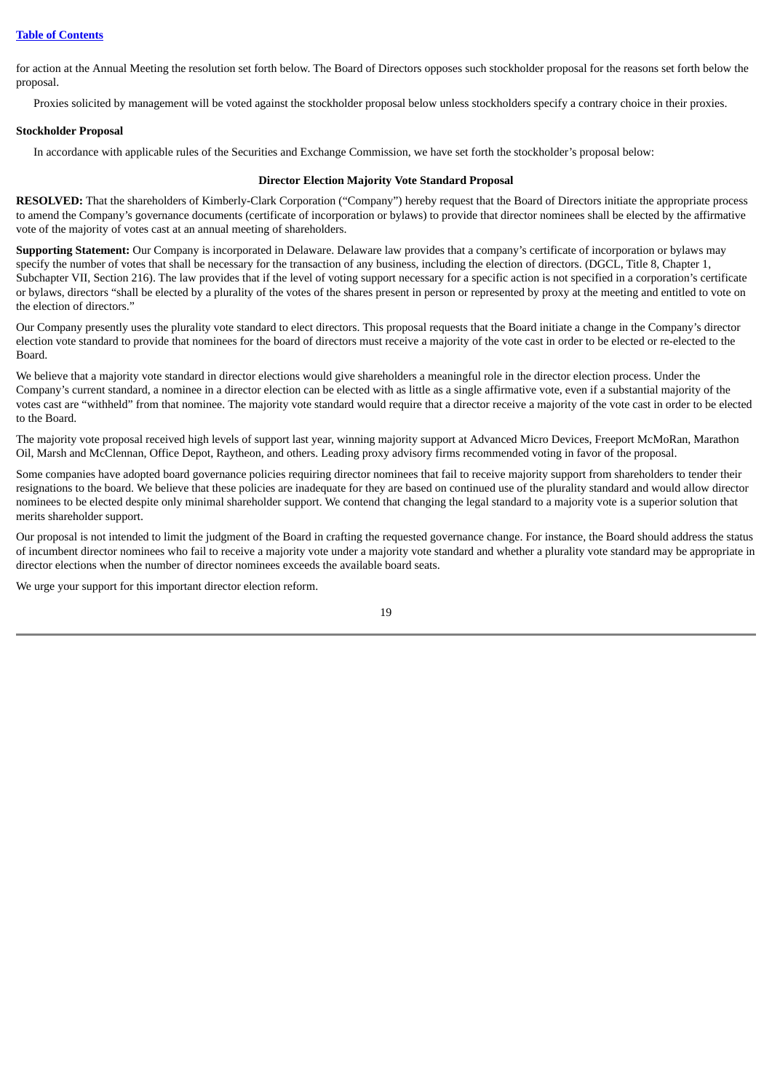for action at the Annual Meeting the resolution set forth below. The Board of Directors opposes such stockholder proposal for the reasons set forth below the proposal.

Proxies solicited by management will be voted against the stockholder proposal below unless stockholders specify a contrary choice in their proxies.

## <span id="page-25-0"></span>**Stockholder Proposal**

In accordance with applicable rules of the Securities and Exchange Commission, we have set forth the stockholder's proposal below:

### **Director Election Majority Vote Standard Proposal**

**RESOLVED:** That the shareholders of Kimberly-Clark Corporation ("Company") hereby request that the Board of Directors initiate the appropriate process to amend the Company's governance documents (certificate of incorporation or bylaws) to provide that director nominees shall be elected by the affirmative vote of the majority of votes cast at an annual meeting of shareholders.

**Supporting Statement:** Our Company is incorporated in Delaware. Delaware law provides that a company's certificate of incorporation or bylaws may specify the number of votes that shall be necessary for the transaction of any business, including the election of directors. (DGCL, Title 8, Chapter 1, Subchapter VII, Section 216). The law provides that if the level of voting support necessary for a specific action is not specified in a corporation's certificate or bylaws, directors "shall be elected by a plurality of the votes of the shares present in person or represented by proxy at the meeting and entitled to vote on the election of directors."

Our Company presently uses the plurality vote standard to elect directors. This proposal requests that the Board initiate a change in the Company's director election vote standard to provide that nominees for the board of directors must receive a majority of the vote cast in order to be elected or re-elected to the Board.

We believe that a majority vote standard in director elections would give shareholders a meaningful role in the director election process. Under the Company's current standard, a nominee in a director election can be elected with as little as a single affirmative vote, even if a substantial majority of the votes cast are "withheld" from that nominee. The majority vote standard would require that a director receive a majority of the vote cast in order to be elected to the Board.

The majority vote proposal received high levels of support last year, winning majority support at Advanced Micro Devices, Freeport McMoRan, Marathon Oil, Marsh and McClennan, Office Depot, Raytheon, and others. Leading proxy advisory firms recommended voting in favor of the proposal.

Some companies have adopted board governance policies requiring director nominees that fail to receive majority support from shareholders to tender their resignations to the board. We believe that these policies are inadequate for they are based on continued use of the plurality standard and would allow director nominees to be elected despite only minimal shareholder support. We contend that changing the legal standard to a majority vote is a superior solution that merits shareholder support.

Our proposal is not intended to limit the judgment of the Board in crafting the requested governance change. For instance, the Board should address the status of incumbent director nominees who fail to receive a majority vote under a majority vote standard and whether a plurality vote standard may be appropriate in director elections when the number of director nominees exceeds the available board seats.

We urge your support for this important director election reform.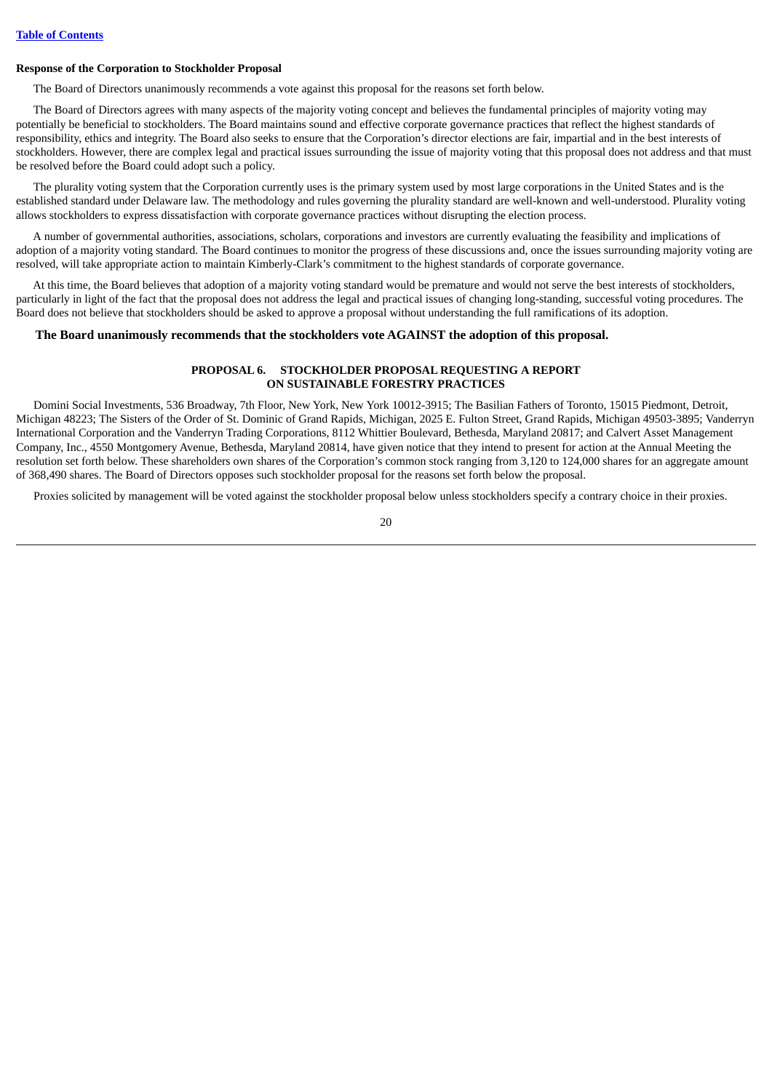#### <span id="page-26-0"></span>**Response of the Corporation to Stockholder Proposal**

The Board of Directors unanimously recommends a vote against this proposal for the reasons set forth below.

The Board of Directors agrees with many aspects of the majority voting concept and believes the fundamental principles of majority voting may potentially be beneficial to stockholders. The Board maintains sound and effective corporate governance practices that reflect the highest standards of responsibility, ethics and integrity. The Board also seeks to ensure that the Corporation's director elections are fair, impartial and in the best interests of stockholders. However, there are complex legal and practical issues surrounding the issue of majority voting that this proposal does not address and that must be resolved before the Board could adopt such a policy.

The plurality voting system that the Corporation currently uses is the primary system used by most large corporations in the United States and is the established standard under Delaware law. The methodology and rules governing the plurality standard are well-known and well-understood. Plurality voting allows stockholders to express dissatisfaction with corporate governance practices without disrupting the election process.

A number of governmental authorities, associations, scholars, corporations and investors are currently evaluating the feasibility and implications of adoption of a majority voting standard. The Board continues to monitor the progress of these discussions and, once the issues surrounding majority voting are resolved, will take appropriate action to maintain Kimberly-Clark's commitment to the highest standards of corporate governance.

At this time, the Board believes that adoption of a majority voting standard would be premature and would not serve the best interests of stockholders, particularly in light of the fact that the proposal does not address the legal and practical issues of changing long-standing, successful voting procedures. The Board does not believe that stockholders should be asked to approve a proposal without understanding the full ramifications of its adoption.

## <span id="page-26-1"></span>**The Board unanimously recommends that the stockholders vote AGAINST the adoption of this proposal.**

#### **PROPOSAL 6. STOCKHOLDER PROPOSAL REQUESTING A REPORT ON SUSTAINABLE FORESTRY PRACTICES**

Domini Social Investments, 536 Broadway, 7th Floor, New York, New York 10012-3915; The Basilian Fathers of Toronto, 15015 Piedmont, Detroit, Michigan 48223; The Sisters of the Order of St. Dominic of Grand Rapids, Michigan, 2025 E. Fulton Street, Grand Rapids, Michigan 49503-3895; Vanderryn International Corporation and the Vanderryn Trading Corporations, 8112 Whittier Boulevard, Bethesda, Maryland 20817; and Calvert Asset Management Company, Inc., 4550 Montgomery Avenue, Bethesda, Maryland 20814, have given notice that they intend to present for action at the Annual Meeting the resolution set forth below. These shareholders own shares of the Corporation's common stock ranging from 3,120 to 124,000 shares for an aggregate amount of 368,490 shares. The Board of Directors opposes such stockholder proposal for the reasons set forth below the proposal.

Proxies solicited by management will be voted against the stockholder proposal below unless stockholders specify a contrary choice in their proxies.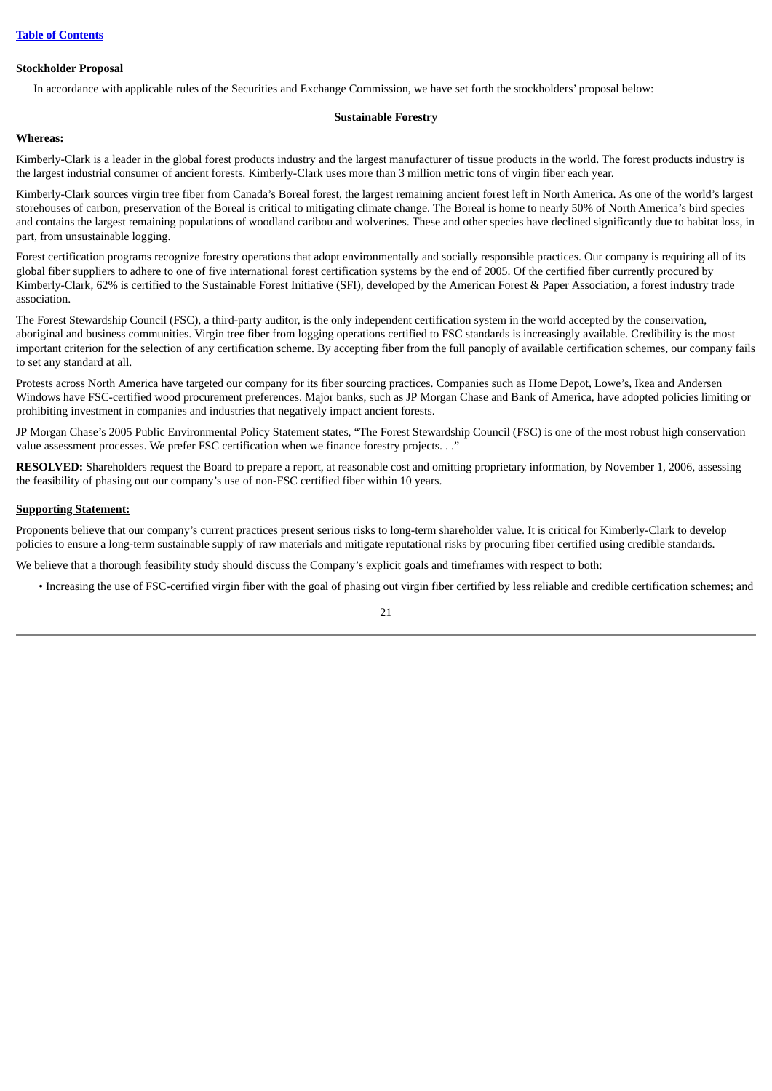## <span id="page-27-0"></span>**Stockholder Proposal**

In accordance with applicable rules of the Securities and Exchange Commission, we have set forth the stockholders' proposal below:

#### **Sustainable Forestry**

## **Whereas:**

Kimberly-Clark is a leader in the global forest products industry and the largest manufacturer of tissue products in the world. The forest products industry is the largest industrial consumer of ancient forests. Kimberly-Clark uses more than 3 million metric tons of virgin fiber each year.

Kimberly-Clark sources virgin tree fiber from Canada's Boreal forest, the largest remaining ancient forest left in North America. As one of the world's largest storehouses of carbon, preservation of the Boreal is critical to mitigating climate change. The Boreal is home to nearly 50% of North America's bird species and contains the largest remaining populations of woodland caribou and wolverines. These and other species have declined significantly due to habitat loss, in part, from unsustainable logging.

Forest certification programs recognize forestry operations that adopt environmentally and socially responsible practices. Our company is requiring all of its global fiber suppliers to adhere to one of five international forest certification systems by the end of 2005. Of the certified fiber currently procured by Kimberly-Clark, 62% is certified to the Sustainable Forest Initiative (SFI), developed by the American Forest & Paper Association, a forest industry trade association.

The Forest Stewardship Council (FSC), a third-party auditor, is the only independent certification system in the world accepted by the conservation, aboriginal and business communities. Virgin tree fiber from logging operations certified to FSC standards is increasingly available. Credibility is the most important criterion for the selection of any certification scheme. By accepting fiber from the full panoply of available certification schemes, our company fails to set any standard at all.

Protests across North America have targeted our company for its fiber sourcing practices. Companies such as Home Depot, Lowe's, Ikea and Andersen Windows have FSC-certified wood procurement preferences. Major banks, such as JP Morgan Chase and Bank of America, have adopted policies limiting or prohibiting investment in companies and industries that negatively impact ancient forests.

JP Morgan Chase's 2005 Public Environmental Policy Statement states, "The Forest Stewardship Council (FSC) is one of the most robust high conservation value assessment processes. We prefer FSC certification when we finance forestry projects. . ."

**RESOLVED:** Shareholders request the Board to prepare a report, at reasonable cost and omitting proprietary information, by November 1, 2006, assessing the feasibility of phasing out our company's use of non-FSC certified fiber within 10 years.

## **Supporting Statement:**

Proponents believe that our company's current practices present serious risks to long-term shareholder value. It is critical for Kimberly-Clark to develop policies to ensure a long-term sustainable supply of raw materials and mitigate reputational risks by procuring fiber certified using credible standards.

We believe that a thorough feasibility study should discuss the Company's explicit goals and timeframes with respect to both:

• Increasing the use of FSC-certified virgin fiber with the goal of phasing out virgin fiber certified by less reliable and credible certification schemes; and

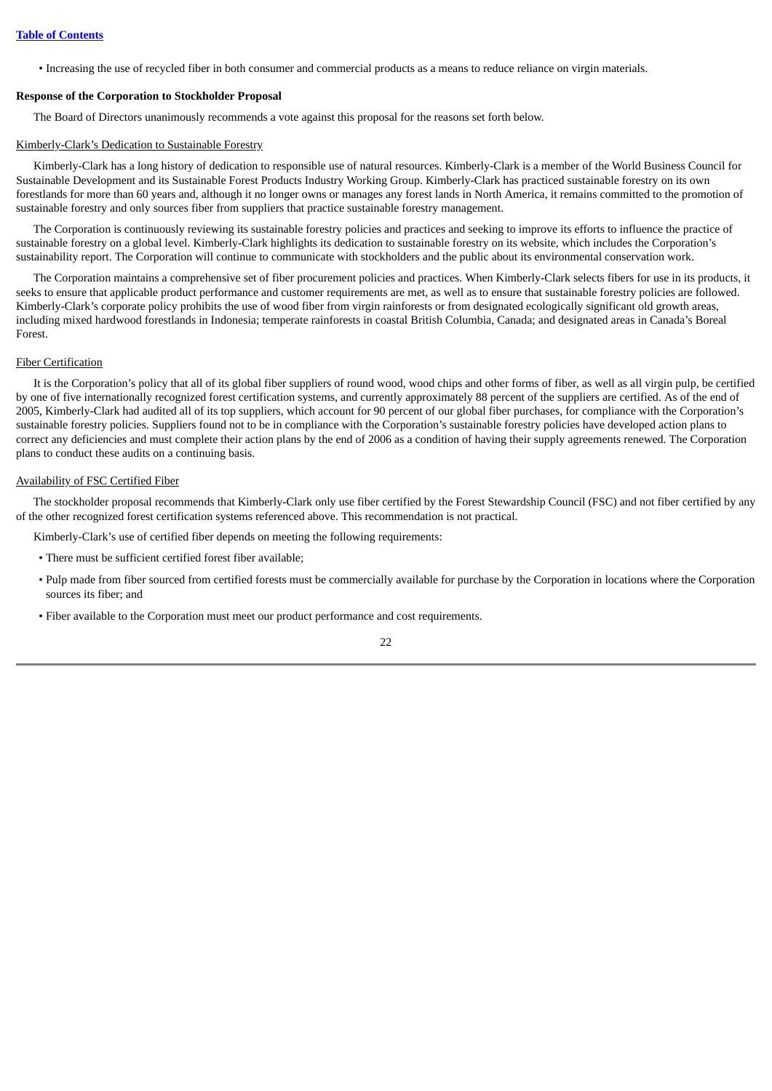• Increasing the use of recycled fiber in both consumer and commercial products as a means to reduce reliance on virgin materials.

#### <span id="page-28-0"></span>**Response of the Corporation to Stockholder Proposal**

The Board of Directors unanimously recommends a vote against this proposal for the reasons set forth below.

#### Kimberly-Clark's Dedication to Sustainable Forestry

Kimberly-Clark has a long history of dedication to responsible use of natural resources. Kimberly-Clark is a member of the World Business Council for Sustainable Development and its Sustainable Forest Products Industry Working Group. Kimberly-Clark has practiced sustainable forestry on its own forestlands for more than 60 years and, although it no longer owns or manages any forest lands in North America, it remains committed to the promotion of sustainable forestry and only sources fiber from suppliers that practice sustainable forestry management.

The Corporation is continuously reviewing its sustainable forestry policies and practices and seeking to improve its efforts to influence the practice of sustainable forestry on a global level. Kimberly-Clark highlights its dedication to sustainable forestry on its website, which includes the Corporation's sustainability report. The Corporation will continue to communicate with stockholders and the public about its environmental conservation work.

The Corporation maintains a comprehensive set of fiber procurement policies and practices. When Kimberly-Clark selects fibers for use in its products, it seeks to ensure that applicable product performance and customer requirements are met, as well as to ensure that sustainable forestry policies are followed. Kimberly-Clark's corporate policy prohibits the use of wood fiber from virgin rainforests or from designated ecologically significant old growth areas, including mixed hardwood forestlands in Indonesia; temperate rainforests in coastal British Columbia, Canada; and designated areas in Canada's Boreal Forest.

## Fiber Certification

It is the Corporation's policy that all of its global fiber suppliers of round wood, wood chips and other forms of fiber, as well as all virgin pulp, be certified by one of five internationally recognized forest certification systems, and currently approximately 88 percent of the suppliers are certified. As of the end of 2005, Kimberly-Clark had audited all of its top suppliers, which account for 90 percent of our global fiber purchases, for compliance with the Corporation's sustainable forestry policies. Suppliers found not to be in compliance with the Corporation's sustainable forestry policies have developed action plans to correct any deficiencies and must complete their action plans by the end of 2006 as a condition of having their supply agreements renewed. The Corporation plans to conduct these audits on a continuing basis.

#### Availability of FSC Certified Fiber

The stockholder proposal recommends that Kimberly-Clark only use fiber certified by the Forest Stewardship Council (FSC) and not fiber certified by any of the other recognized forest certification systems referenced above. This recommendation is not practical.

Kimberly-Clark's use of certified fiber depends on meeting the following requirements:

- There must be sufficient certified forest fiber available;
- Pulp made from fiber sourced from certified forests must be commercially available for purchase by the Corporation in locations where the Corporation sources its fiber; and
- Fiber available to the Corporation must meet our product performance and cost requirements.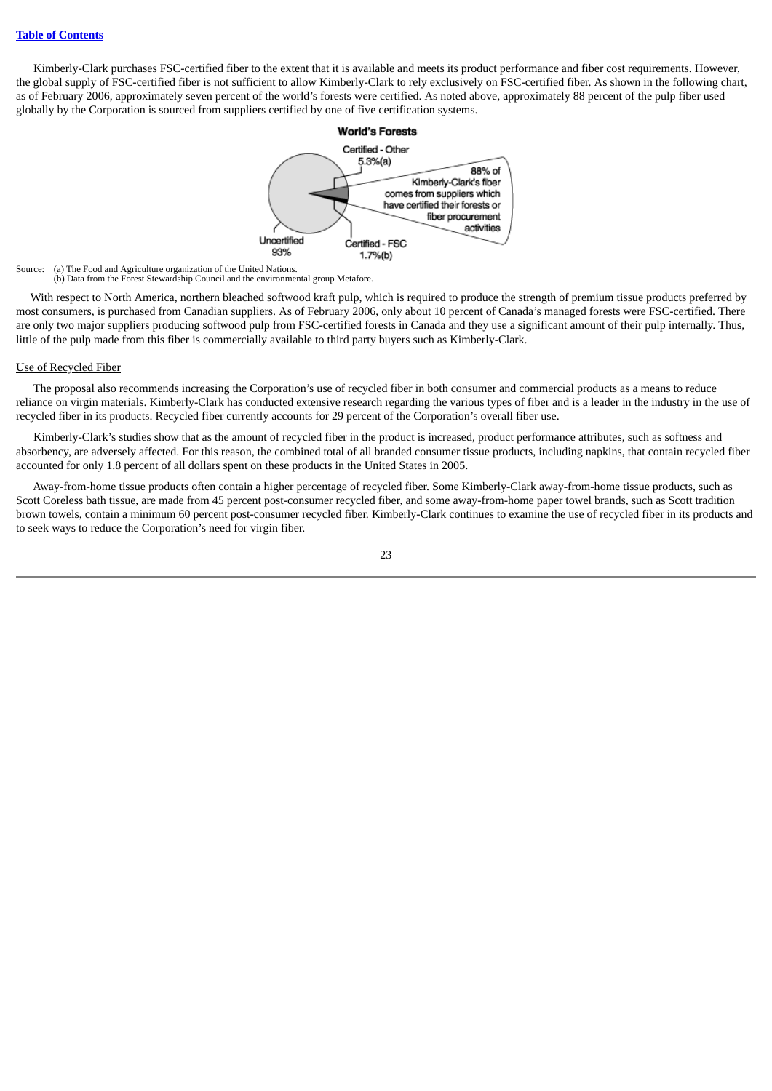Kimberly-Clark purchases FSC-certified fiber to the extent that it is available and meets its product performance and fiber cost requirements. However, the global supply of FSC-certified fiber is not sufficient to allow Kimberly-Clark to rely exclusively on FSC-certified fiber. As shown in the following chart, as of February 2006, approximately seven percent of the world's forests were certified. As noted above, approximately 88 percent of the pulp fiber used globally by the Corporation is sourced from suppliers certified by one of five certification systems.



Source: (a) The Food and Agriculture organization of the United Nations. (b) Data from the Forest Stewardship Council and the environmental group Metafore.

With respect to North America, northern bleached softwood kraft pulp, which is required to produce the strength of premium tissue products preferred by most consumers, is purchased from Canadian suppliers. As of February 2006, only about 10 percent of Canada's managed forests were FSC-certified. There are only two major suppliers producing softwood pulp from FSC-certified forests in Canada and they use a significant amount of their pulp internally. Thus, little of the pulp made from this fiber is commercially available to third party buyers such as Kimberly-Clark.

#### Use of Recycled Fiber

The proposal also recommends increasing the Corporation's use of recycled fiber in both consumer and commercial products as a means to reduce reliance on virgin materials. Kimberly-Clark has conducted extensive research regarding the various types of fiber and is a leader in the industry in the use of recycled fiber in its products. Recycled fiber currently accounts for 29 percent of the Corporation's overall fiber use.

Kimberly-Clark's studies show that as the amount of recycled fiber in the product is increased, product performance attributes, such as softness and absorbency, are adversely affected. For this reason, the combined total of all branded consumer tissue products, including napkins, that contain recycled fiber accounted for only 1.8 percent of all dollars spent on these products in the United States in 2005.

Away-from-home tissue products often contain a higher percentage of recycled fiber. Some Kimberly-Clark away-from-home tissue products, such as Scott Coreless bath tissue, are made from 45 percent post-consumer recycled fiber, and some away-from-home paper towel brands, such as Scott tradition brown towels, contain a minimum 60 percent post-consumer recycled fiber. Kimberly-Clark continues to examine the use of recycled fiber in its products and to seek ways to reduce the Corporation's need for virgin fiber.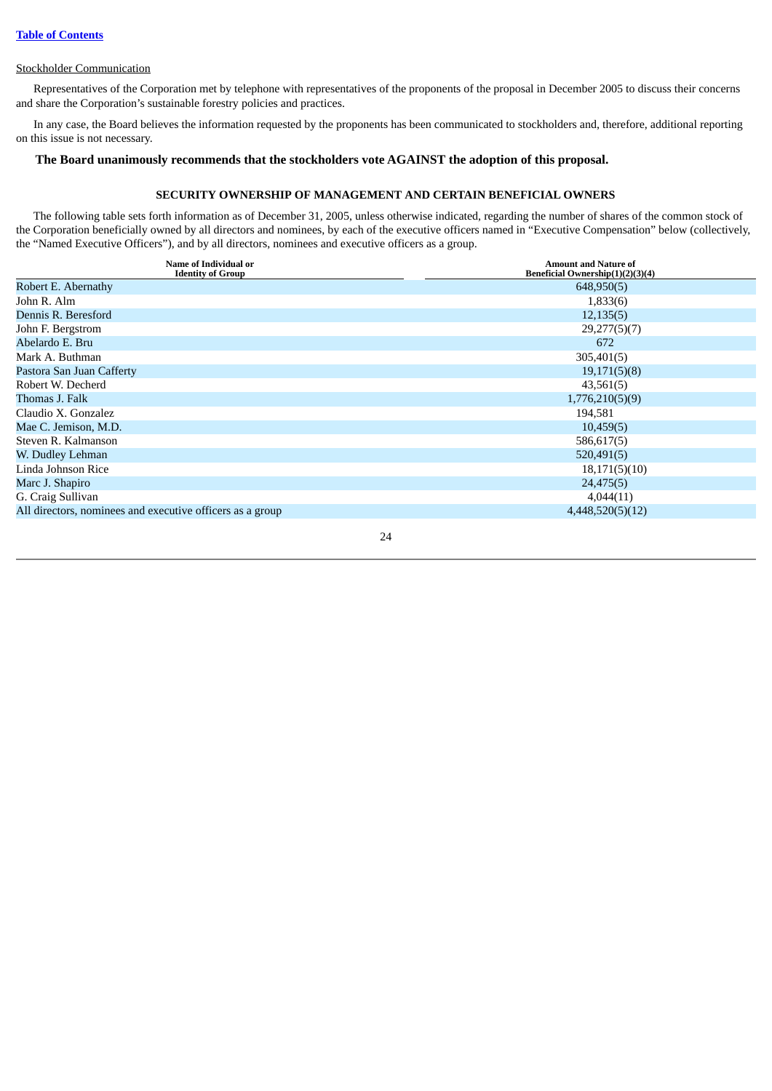## Stockholder Communication

Representatives of the Corporation met by telephone with representatives of the proponents of the proposal in December 2005 to discuss their concerns and share the Corporation's sustainable forestry policies and practices.

In any case, the Board believes the information requested by the proponents has been communicated to stockholders and, therefore, additional reporting on this issue is not necessary.

## <span id="page-30-0"></span>**The Board unanimously recommends that the stockholders vote AGAINST the adoption of this proposal.**

## **SECURITY OWNERSHIP OF MANAGEMENT AND CERTAIN BENEFICIAL OWNERS**

The following table sets forth information as of December 31, 2005, unless otherwise indicated, regarding the number of shares of the common stock of the Corporation beneficially owned by all directors and nominees, by each of the executive officers named in "Executive Compensation" below (collectively, the "Named Executive Officers"), and by all directors, nominees and executive officers as a group.

| <b>Name of Individual or</b><br><b>Identity of Group</b>  | <b>Amount and Nature of</b><br>Beneficial Ownership(1)(2)(3)(4) |
|-----------------------------------------------------------|-----------------------------------------------------------------|
| Robert E. Abernathy                                       | 648,950(5)                                                      |
| John R. Alm                                               | 1,833(6)                                                        |
| Dennis R. Beresford                                       | 12,135(5)                                                       |
| John F. Bergstrom                                         | 29,277(5)(7)                                                    |
| Abelardo E. Bru                                           | 672                                                             |
| Mark A. Buthman                                           | 305,401(5)                                                      |
| Pastora San Juan Cafferty                                 | 19,171(5)(8)                                                    |
| Robert W. Decherd                                         | 43,561(5)                                                       |
| Thomas J. Falk                                            | 1,776,210(5)(9)                                                 |
| Claudio X. Gonzalez                                       | 194,581                                                         |
| Mae C. Jemison, M.D.                                      | 10,459(5)                                                       |
| Steven R. Kalmanson                                       | 586,617(5)                                                      |
| W. Dudley Lehman                                          | 520,491(5)                                                      |
| Linda Johnson Rice                                        | 18,171(5)(10)                                                   |
| Marc J. Shapiro                                           | 24,475(5)                                                       |
| G. Craig Sullivan                                         | 4,044(11)                                                       |
| All directors, nominees and executive officers as a group | 4,448,520(5)(12)                                                |
|                                                           |                                                                 |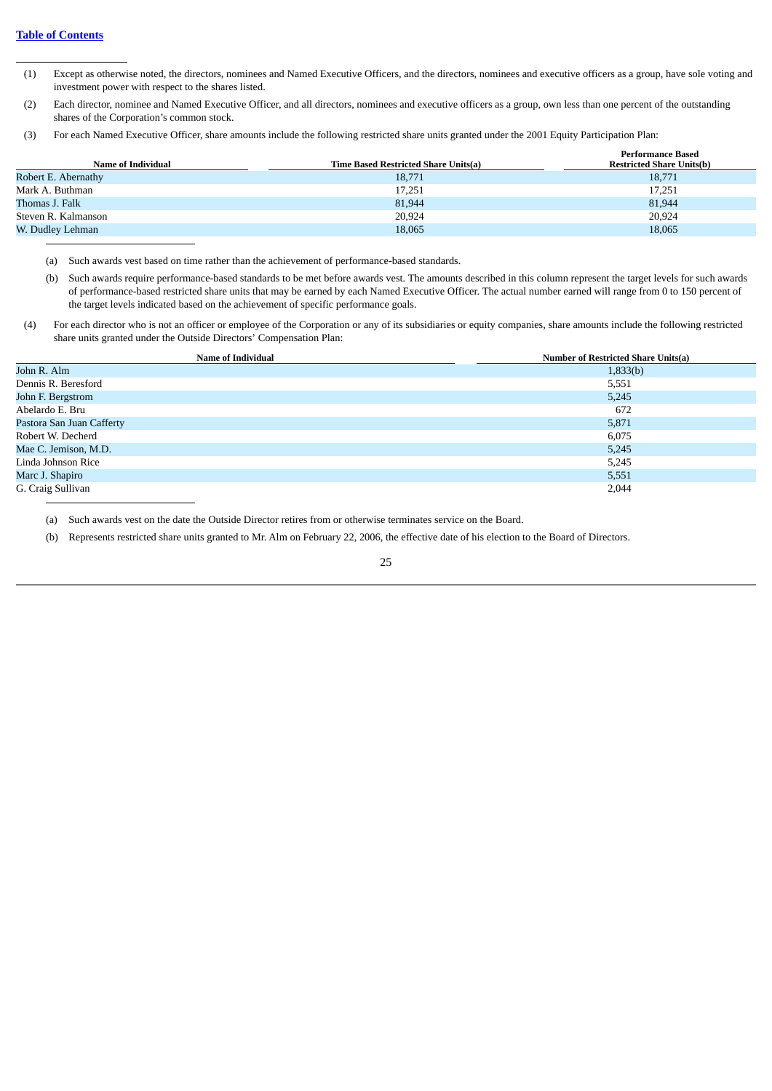- (1) Except as otherwise noted, the directors, nominees and Named Executive Officers, and the directors, nominees and executive officers as a group, have sole voting and investment power with respect to the shares listed.
- (2) Each director, nominee and Named Executive Officer, and all directors, nominees and executive officers as a group, own less than one percent of the outstanding shares of the Corporation's common stock.
- (3) For each Named Executive Officer, share amounts include the following restricted share units granted under the 2001 Equity Participation Plan:

| Name of Individual  | Time Based Restricted Share Units(a) | <b>Performance Based</b><br><b>Restricted Share Units(b)</b> |
|---------------------|--------------------------------------|--------------------------------------------------------------|
| Robert E. Abernathy | 18,771                               | 18,771                                                       |
| Mark A. Buthman     | 17,251                               | 17,251                                                       |
| Thomas J. Falk      | 81,944                               | 81,944                                                       |
| Steven R. Kalmanson | 20.924                               | 20,924                                                       |
| W. Dudley Lehman    | 18,065                               | 18,065                                                       |

- (a) Such awards vest based on time rather than the achievement of performance-based standards.
- (b) Such awards require performance-based standards to be met before awards vest. The amounts described in this column represent the target levels for such awards of performance-based restricted share units that may be earned by each Named Executive Officer. The actual number earned will range from 0 to 150 percent of the target levels indicated based on the achievement of specific performance goals.
- (4) For each director who is not an officer or employee of the Corporation or any of its subsidiaries or equity companies, share amounts include the following restricted share units granted under the Outside Directors' Compensation Plan:

| <b>Name of Individual</b> | <b>Number of Restricted Share Units(a)</b> |
|---------------------------|--------------------------------------------|
| John R. Alm               | 1,833(b)                                   |
| Dennis R. Beresford       | 5,551                                      |
| John F. Bergstrom         | 5,245                                      |
| Abelardo E. Bru           | 672                                        |
| Pastora San Juan Cafferty | 5,871                                      |
| Robert W. Decherd         | 6,075                                      |
| Mae C. Jemison, M.D.      | 5,245                                      |
| Linda Johnson Rice        | 5,245                                      |
| Marc J. Shapiro           | 5,551                                      |
| G. Craig Sullivan         | 2,044                                      |

(a) Such awards vest on the date the Outside Director retires from or otherwise terminates service on the Board.

(b) Represents restricted share units granted to Mr. Alm on February 22, 2006, the effective date of his election to the Board of Directors.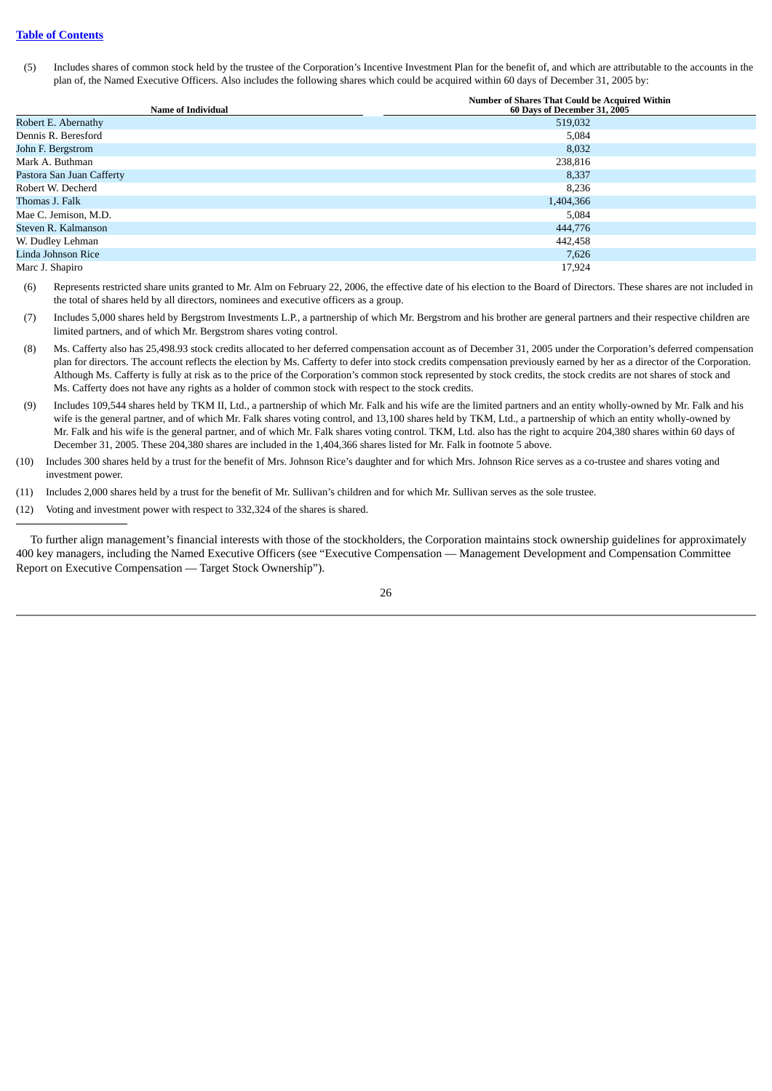## **Table of [Contents](#page-5-0)**

(5) Includes shares of common stock held by the trustee of the Corporation's Incentive Investment Plan for the benefit of, and which are attributable to the accounts in the plan of, the Named Executive Officers. Also includes the following shares which could be acquired within 60 days of December 31, 2005 by:

| <b>Name of Individual</b> | <b>Number of Shares That Could be Acquired Within</b><br>60 Days of December 31, 2005 |
|---------------------------|---------------------------------------------------------------------------------------|
| Robert E. Abernathy       | 519,032                                                                               |
| Dennis R. Beresford       | 5,084                                                                                 |
| John F. Bergstrom         | 8,032                                                                                 |
| Mark A. Buthman           | 238,816                                                                               |
| Pastora San Juan Cafferty | 8,337                                                                                 |
| Robert W. Decherd         | 8,236                                                                                 |
| Thomas J. Falk            | 1,404,366                                                                             |
| Mae C. Jemison, M.D.      | 5,084                                                                                 |
| Steven R. Kalmanson       | 444,776                                                                               |
| W. Dudley Lehman          | 442,458                                                                               |
| Linda Johnson Rice        | 7,626                                                                                 |
| Marc J. Shapiro           | 17,924                                                                                |

(6) Represents restricted share units granted to Mr. Alm on February 22, 2006, the effective date of his election to the Board of Directors. These shares are not included in the total of shares held by all directors, nominees and executive officers as a group.

(7) Includes 5,000 shares held by Bergstrom Investments L.P., a partnership of which Mr. Bergstrom and his brother are general partners and their respective children are limited partners, and of which Mr. Bergstrom shares voting control.

- (8) Ms. Cafferty also has 25,498.93 stock credits allocated to her deferred compensation account as of December 31, 2005 under the Corporation's deferred compensation plan for directors. The account reflects the election by Ms. Cafferty to defer into stock credits compensation previously earned by her as a director of the Corporation. Although Ms. Cafferty is fully at risk as to the price of the Corporation's common stock represented by stock credits, the stock credits are not shares of stock and Ms. Cafferty does not have any rights as a holder of common stock with respect to the stock credits.
- (9) Includes 109,544 shares held by TKM II, Ltd., a partnership of which Mr. Falk and his wife are the limited partners and an entity wholly-owned by Mr. Falk and his wife is the general partner, and of which Mr. Falk shares voting control, and 13,100 shares held by TKM, Ltd., a partnership of which an entity wholly-owned by Mr. Falk and his wife is the general partner, and of which Mr. Falk shares voting control. TKM, Ltd. also has the right to acquire 204,380 shares within 60 days of December 31, 2005. These 204,380 shares are included in the 1,404,366 shares listed for Mr. Falk in footnote 5 above.

(10) Includes 300 shares held by a trust for the benefit of Mrs. Johnson Rice's daughter and for which Mrs. Johnson Rice serves as a co-trustee and shares voting and investment power.

(11) Includes 2,000 shares held by a trust for the benefit of Mr. Sullivan's children and for which Mr. Sullivan serves as the sole trustee.

(12) Voting and investment power with respect to 332,324 of the shares is shared.

To further align management's financial interests with those of the stockholders, the Corporation maintains stock ownership guidelines for approximately 400 key managers, including the Named Executive Officers (see "Executive Compensation — Management Development and Compensation Committee Report on Executive Compensation — Target Stock Ownership").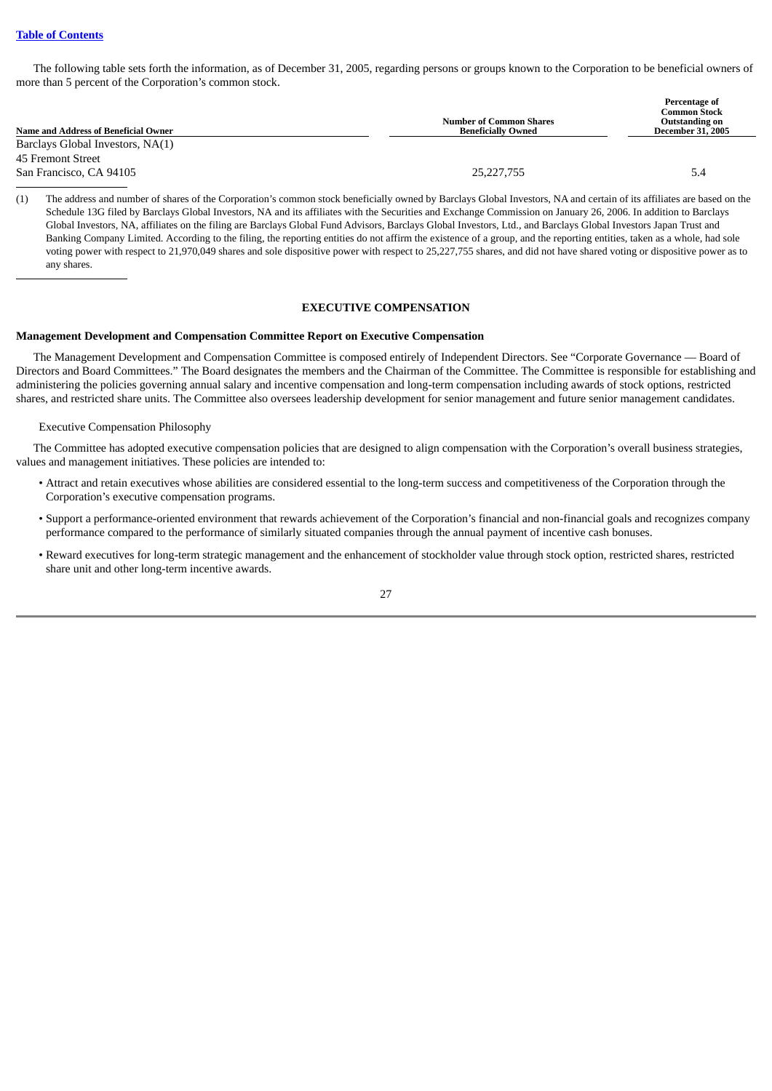The following table sets forth the information, as of December 31, 2005, regarding persons or groups known to the Corporation to be beneficial owners of more than 5 percent of the Corporation's common stock.

|                                      |                                | Percentage of                                |
|--------------------------------------|--------------------------------|----------------------------------------------|
|                                      | <b>Number of Common Shares</b> | <b>Common Stock</b><br><b>Outstanding on</b> |
| Name and Address of Beneficial Owner | <b>Beneficially Owned</b>      | <b>December 31, 2005</b>                     |
| Barclays Global Investors, NA(1)     |                                |                                              |
| 45 Fremont Street                    |                                |                                              |
| San Francisco, CA 94105              | 25, 227, 755                   | 5.4                                          |

(1) The address and number of shares of the Corporation's common stock beneficially owned by Barclays Global Investors, NA and certain of its affiliates are based on the Schedule 13G filed by Barclays Global Investors, NA and its affiliates with the Securities and Exchange Commission on January 26, 2006. In addition to Barclays Global Investors, NA, affiliates on the filing are Barclays Global Fund Advisors, Barclays Global Investors, Ltd., and Barclays Global Investors Japan Trust and Banking Company Limited. According to the filing, the reporting entities do not affirm the existence of a group, and the reporting entities, taken as a whole, had sole voting power with respect to 21,970,049 shares and sole dispositive power with respect to 25,227,755 shares, and did not have shared voting or dispositive power as to any shares.

## **EXECUTIVE COMPENSATION**

#### <span id="page-33-1"></span><span id="page-33-0"></span>**Management Development and Compensation Committee Report on Executive Compensation**

The Management Development and Compensation Committee is composed entirely of Independent Directors. See "Corporate Governance — Board of Directors and Board Committees." The Board designates the members and the Chairman of the Committee. The Committee is responsible for establishing and administering the policies governing annual salary and incentive compensation and long-term compensation including awards of stock options, restricted shares, and restricted share units. The Committee also oversees leadership development for senior management and future senior management candidates.

#### Executive Compensation Philosophy

The Committee has adopted executive compensation policies that are designed to align compensation with the Corporation's overall business strategies, values and management initiatives. These policies are intended to:

- Attract and retain executives whose abilities are considered essential to the long-term success and competitiveness of the Corporation through the Corporation's executive compensation programs.
- Support a performance-oriented environment that rewards achievement of the Corporation's financial and non-financial goals and recognizes company performance compared to the performance of similarly situated companies through the annual payment of incentive cash bonuses.
- Reward executives for long-term strategic management and the enhancement of stockholder value through stock option, restricted shares, restricted share unit and other long-term incentive awards.

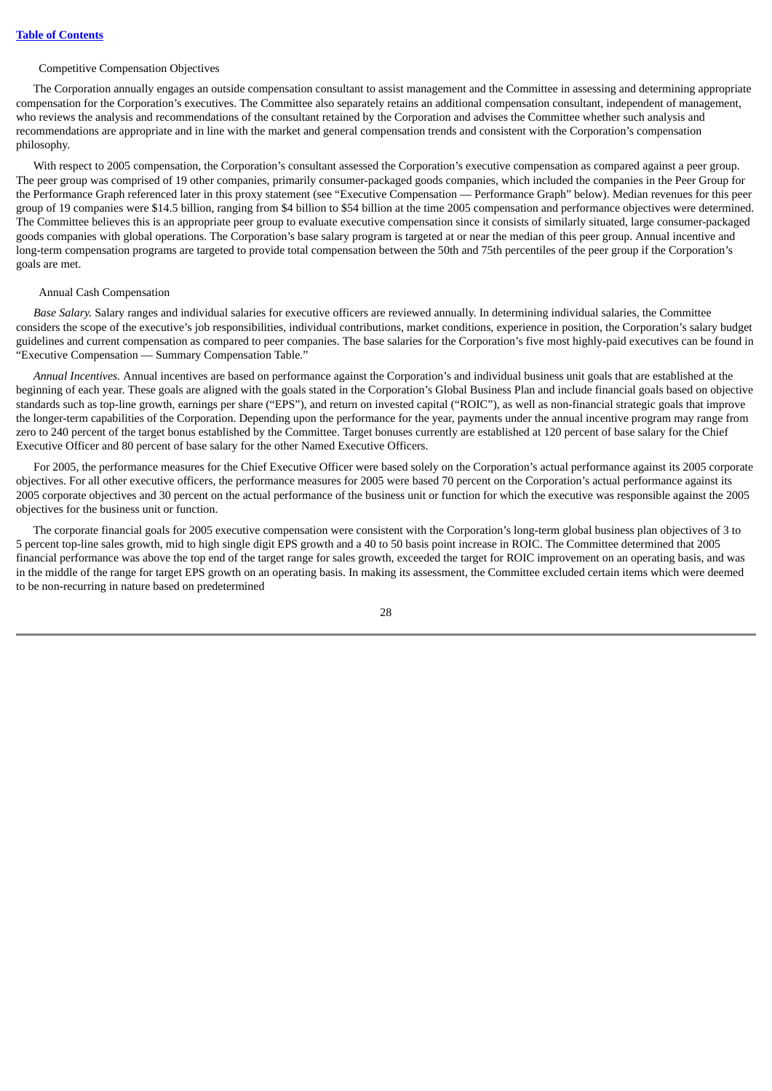#### Competitive Compensation Objectives

The Corporation annually engages an outside compensation consultant to assist management and the Committee in assessing and determining appropriate compensation for the Corporation's executives. The Committee also separately retains an additional compensation consultant, independent of management, who reviews the analysis and recommendations of the consultant retained by the Corporation and advises the Committee whether such analysis and recommendations are appropriate and in line with the market and general compensation trends and consistent with the Corporation's compensation philosophy.

With respect to 2005 compensation, the Corporation's consultant assessed the Corporation's executive compensation as compared against a peer group. The peer group was comprised of 19 other companies, primarily consumer-packaged goods companies, which included the companies in the Peer Group for the Performance Graph referenced later in this proxy statement (see "Executive Compensation — Performance Graph" below). Median revenues for this peer group of 19 companies were \$14.5 billion, ranging from \$4 billion to \$54 billion at the time 2005 compensation and performance objectives were determined. The Committee believes this is an appropriate peer group to evaluate executive compensation since it consists of similarly situated, large consumer-packaged goods companies with global operations. The Corporation's base salary program is targeted at or near the median of this peer group. Annual incentive and long-term compensation programs are targeted to provide total compensation between the 50th and 75th percentiles of the peer group if the Corporation's goals are met.

#### Annual Cash Compensation

*Base Salary.* Salary ranges and individual salaries for executive officers are reviewed annually. In determining individual salaries, the Committee considers the scope of the executive's job responsibilities, individual contributions, market conditions, experience in position, the Corporation's salary budget guidelines and current compensation as compared to peer companies. The base salaries for the Corporation's five most highly-paid executives can be found in "Executive Compensation — Summary Compensation Table."

*Annual Incentives.* Annual incentives are based on performance against the Corporation's and individual business unit goals that are established at the beginning of each year. These goals are aligned with the goals stated in the Corporation's Global Business Plan and include financial goals based on objective standards such as top-line growth, earnings per share ("EPS"), and return on invested capital ("ROIC"), as well as non-financial strategic goals that improve the longer-term capabilities of the Corporation. Depending upon the performance for the year, payments under the annual incentive program may range from zero to 240 percent of the target bonus established by the Committee. Target bonuses currently are established at 120 percent of base salary for the Chief Executive Officer and 80 percent of base salary for the other Named Executive Officers.

For 2005, the performance measures for the Chief Executive Officer were based solely on the Corporation's actual performance against its 2005 corporate objectives. For all other executive officers, the performance measures for 2005 were based 70 percent on the Corporation's actual performance against its 2005 corporate objectives and 30 percent on the actual performance of the business unit or function for which the executive was responsible against the 2005 objectives for the business unit or function.

The corporate financial goals for 2005 executive compensation were consistent with the Corporation's long-term global business plan objectives of 3 to 5 percent top-line sales growth, mid to high single digit EPS growth and a 40 to 50 basis point increase in ROIC. The Committee determined that 2005 financial performance was above the top end of the target range for sales growth, exceeded the target for ROIC improvement on an operating basis, and was in the middle of the range for target EPS growth on an operating basis. In making its assessment, the Committee excluded certain items which were deemed to be non-recurring in nature based on predetermined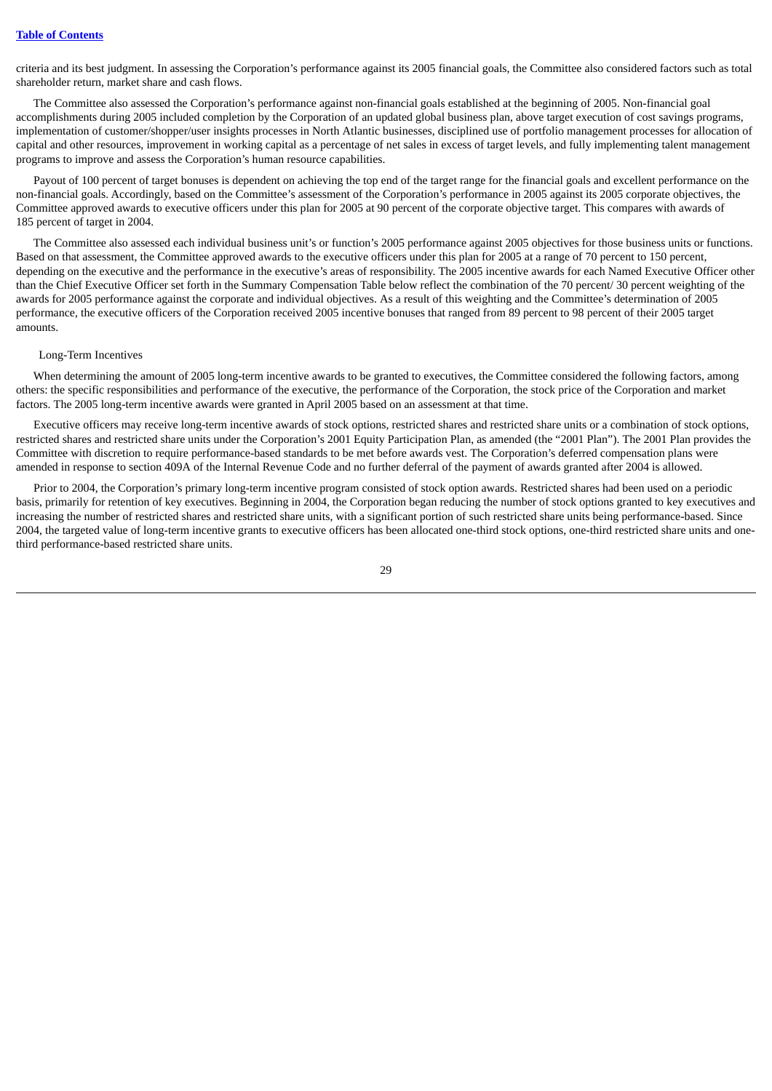criteria and its best judgment. In assessing the Corporation's performance against its 2005 financial goals, the Committee also considered factors such as total shareholder return, market share and cash flows.

The Committee also assessed the Corporation's performance against non-financial goals established at the beginning of 2005. Non-financial goal accomplishments during 2005 included completion by the Corporation of an updated global business plan, above target execution of cost savings programs, implementation of customer/shopper/user insights processes in North Atlantic businesses, disciplined use of portfolio management processes for allocation of capital and other resources, improvement in working capital as a percentage of net sales in excess of target levels, and fully implementing talent management programs to improve and assess the Corporation's human resource capabilities.

Payout of 100 percent of target bonuses is dependent on achieving the top end of the target range for the financial goals and excellent performance on the non-financial goals. Accordingly, based on the Committee's assessment of the Corporation's performance in 2005 against its 2005 corporate objectives, the Committee approved awards to executive officers under this plan for 2005 at 90 percent of the corporate objective target. This compares with awards of 185 percent of target in 2004.

The Committee also assessed each individual business unit's or function's 2005 performance against 2005 objectives for those business units or functions. Based on that assessment, the Committee approved awards to the executive officers under this plan for 2005 at a range of 70 percent to 150 percent, depending on the executive and the performance in the executive's areas of responsibility. The 2005 incentive awards for each Named Executive Officer other than the Chief Executive Officer set forth in the Summary Compensation Table below reflect the combination of the 70 percent/ 30 percent weighting of the awards for 2005 performance against the corporate and individual objectives. As a result of this weighting and the Committee's determination of 2005 performance, the executive officers of the Corporation received 2005 incentive bonuses that ranged from 89 percent to 98 percent of their 2005 target amounts.

#### Long-Term Incentives

When determining the amount of 2005 long-term incentive awards to be granted to executives, the Committee considered the following factors, among others: the specific responsibilities and performance of the executive, the performance of the Corporation, the stock price of the Corporation and market factors. The 2005 long-term incentive awards were granted in April 2005 based on an assessment at that time.

Executive officers may receive long-term incentive awards of stock options, restricted shares and restricted share units or a combination of stock options, restricted shares and restricted share units under the Corporation's 2001 Equity Participation Plan, as amended (the "2001 Plan"). The 2001 Plan provides the Committee with discretion to require performance-based standards to be met before awards vest. The Corporation's deferred compensation plans were amended in response to section 409A of the Internal Revenue Code and no further deferral of the payment of awards granted after 2004 is allowed.

Prior to 2004, the Corporation's primary long-term incentive program consisted of stock option awards. Restricted shares had been used on a periodic basis, primarily for retention of key executives. Beginning in 2004, the Corporation began reducing the number of stock options granted to key executives and increasing the number of restricted shares and restricted share units, with a significant portion of such restricted share units being performance-based. Since 2004, the targeted value of long-term incentive grants to executive officers has been allocated one-third stock options, one-third restricted share units and onethird performance-based restricted share units.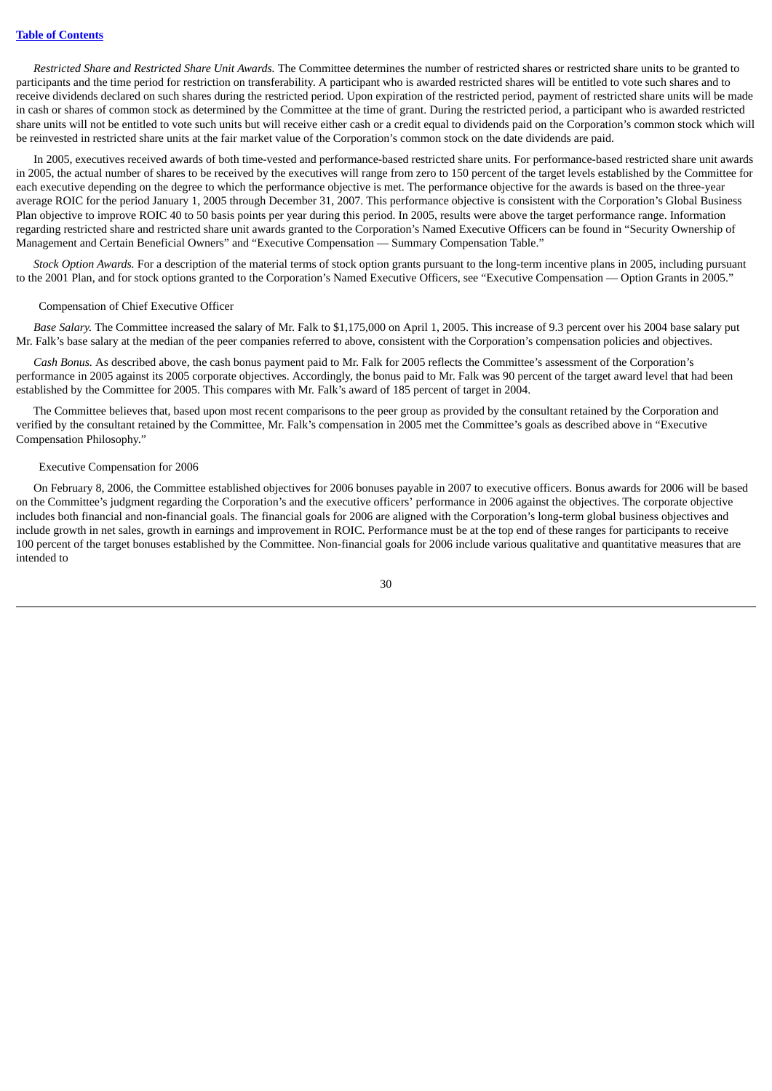*Restricted Share and Restricted Share Unit Awards.* The Committee determines the number of restricted shares or restricted share units to be granted to participants and the time period for restriction on transferability. A participant who is awarded restricted shares will be entitled to vote such shares and to receive dividends declared on such shares during the restricted period. Upon expiration of the restricted period, payment of restricted share units will be made in cash or shares of common stock as determined by the Committee at the time of grant. During the restricted period, a participant who is awarded restricted share units will not be entitled to vote such units but will receive either cash or a credit equal to dividends paid on the Corporation's common stock which will be reinvested in restricted share units at the fair market value of the Corporation's common stock on the date dividends are paid.

In 2005, executives received awards of both time-vested and performance-based restricted share units. For performance-based restricted share unit awards in 2005, the actual number of shares to be received by the executives will range from zero to 150 percent of the target levels established by the Committee for each executive depending on the degree to which the performance objective is met. The performance objective for the awards is based on the three-year average ROIC for the period January 1, 2005 through December 31, 2007. This performance objective is consistent with the Corporation's Global Business Plan objective to improve ROIC 40 to 50 basis points per year during this period. In 2005, results were above the target performance range. Information regarding restricted share and restricted share unit awards granted to the Corporation's Named Executive Officers can be found in "Security Ownership of Management and Certain Beneficial Owners" and "Executive Compensation — Summary Compensation Table."

*Stock Option Awards.* For a description of the material terms of stock option grants pursuant to the long-term incentive plans in 2005, including pursuant to the 2001 Plan, and for stock options granted to the Corporation's Named Executive Officers, see "Executive Compensation — Option Grants in 2005."

#### Compensation of Chief Executive Officer

*Base Salary.* The Committee increased the salary of Mr. Falk to \$1,175,000 on April 1, 2005. This increase of 9.3 percent over his 2004 base salary put Mr. Falk's base salary at the median of the peer companies referred to above, consistent with the Corporation's compensation policies and objectives.

*Cash Bonus.* As described above, the cash bonus payment paid to Mr. Falk for 2005 reflects the Committee's assessment of the Corporation's performance in 2005 against its 2005 corporate objectives. Accordingly, the bonus paid to Mr. Falk was 90 percent of the target award level that had been established by the Committee for 2005. This compares with Mr. Falk's award of 185 percent of target in 2004.

The Committee believes that, based upon most recent comparisons to the peer group as provided by the consultant retained by the Corporation and verified by the consultant retained by the Committee, Mr. Falk's compensation in 2005 met the Committee's goals as described above in "Executive Compensation Philosophy."

#### Executive Compensation for 2006

On February 8, 2006, the Committee established objectives for 2006 bonuses payable in 2007 to executive officers. Bonus awards for 2006 will be based on the Committee's judgment regarding the Corporation's and the executive officers' performance in 2006 against the objectives. The corporate objective includes both financial and non-financial goals. The financial goals for 2006 are aligned with the Corporation's long-term global business objectives and include growth in net sales, growth in earnings and improvement in ROIC. Performance must be at the top end of these ranges for participants to receive 100 percent of the target bonuses established by the Committee. Non-financial goals for 2006 include various qualitative and quantitative measures that are intended to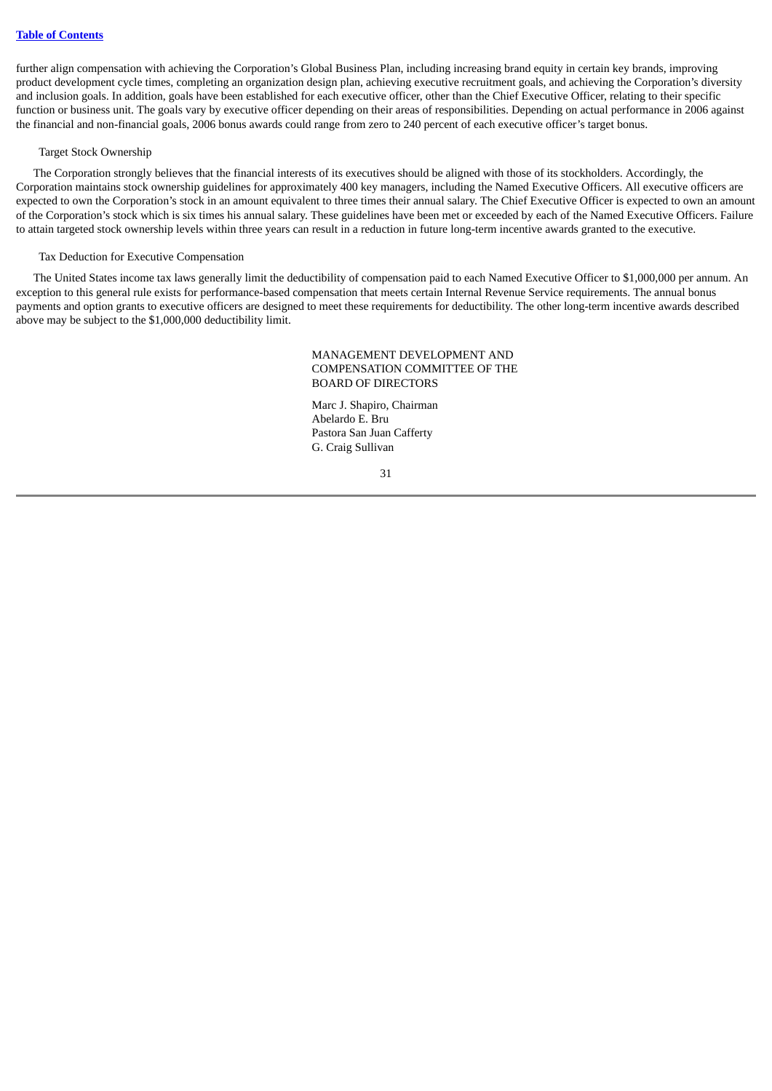further align compensation with achieving the Corporation's Global Business Plan, including increasing brand equity in certain key brands, improving product development cycle times, completing an organization design plan, achieving executive recruitment goals, and achieving the Corporation's diversity and inclusion goals. In addition, goals have been established for each executive officer, other than the Chief Executive Officer, relating to their specific function or business unit. The goals vary by executive officer depending on their areas of responsibilities. Depending on actual performance in 2006 against the financial and non-financial goals, 2006 bonus awards could range from zero to 240 percent of each executive officer's target bonus.

## Target Stock Ownership

The Corporation strongly believes that the financial interests of its executives should be aligned with those of its stockholders. Accordingly, the Corporation maintains stock ownership guidelines for approximately 400 key managers, including the Named Executive Officers. All executive officers are expected to own the Corporation's stock in an amount equivalent to three times their annual salary. The Chief Executive Officer is expected to own an amount of the Corporation's stock which is six times his annual salary. These guidelines have been met or exceeded by each of the Named Executive Officers. Failure to attain targeted stock ownership levels within three years can result in a reduction in future long-term incentive awards granted to the executive.

#### Tax Deduction for Executive Compensation

The United States income tax laws generally limit the deductibility of compensation paid to each Named Executive Officer to \$1,000,000 per annum. An exception to this general rule exists for performance-based compensation that meets certain Internal Revenue Service requirements. The annual bonus payments and option grants to executive officers are designed to meet these requirements for deductibility. The other long-term incentive awards described above may be subject to the \$1,000,000 deductibility limit.

## MANAGEMENT DEVELOPMENT AND COMPENSATION COMMITTEE OF THE BOARD OF DIRECTORS

Marc J. Shapiro, Chairman Abelardo E. Bru Pastora San Juan Cafferty G. Craig Sullivan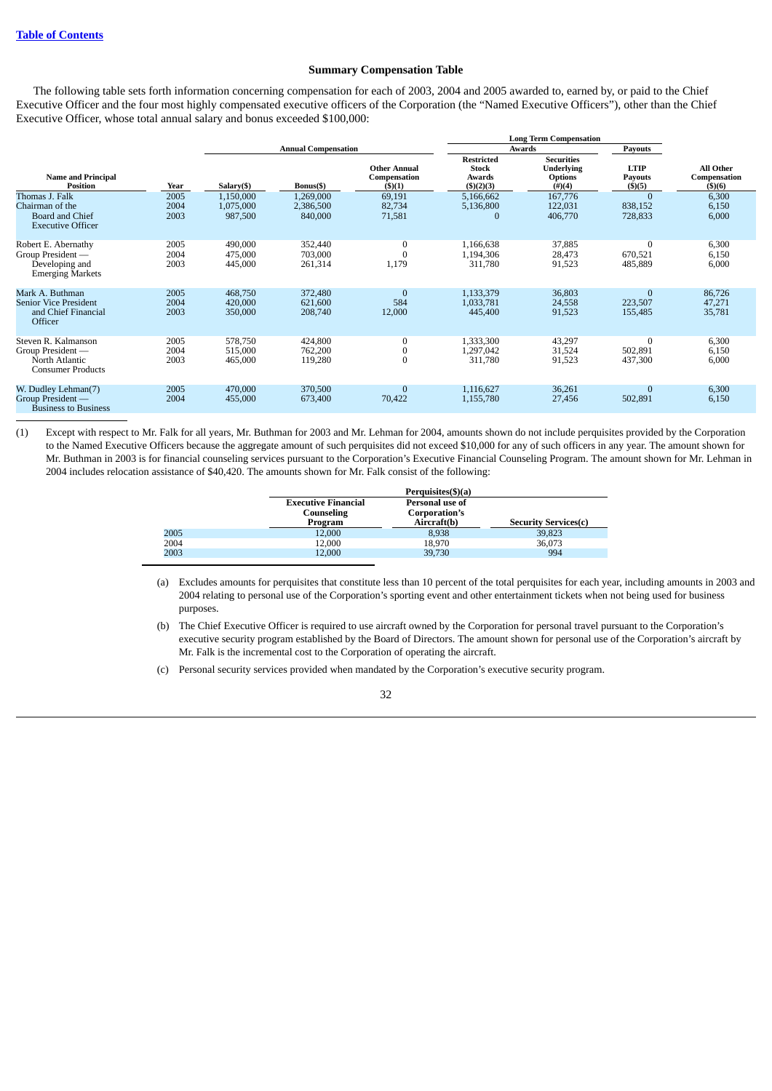## **Summary Compensation Table**

<span id="page-38-0"></span>The following table sets forth information concerning compensation for each of 2003, 2004 and 2005 awarded to, earned by, or paid to the Chief Executive Officer and the four most highly compensated executive officers of the Corporation (the "Named Executive Officers"), other than the Chief Executive Officer, whose total annual salary and bonus exceeded \$100,000:

|                                                                                         |                      |                                   |                                   |                                               |                                                                 | <b>Long Term Compensation</b>                                         |                                         |                                     |
|-----------------------------------------------------------------------------------------|----------------------|-----------------------------------|-----------------------------------|-----------------------------------------------|-----------------------------------------------------------------|-----------------------------------------------------------------------|-----------------------------------------|-------------------------------------|
|                                                                                         |                      |                                   | <b>Annual Compensation</b>        |                                               |                                                                 | <b>Awards</b>                                                         | <b>Payouts</b>                          |                                     |
| <b>Name and Principal</b><br><b>Position</b>                                            | Year                 | Salary(\$)                        | Bonus(\$)                         | <b>Other Annual</b><br>Compensation<br>(3)(1) | <b>Restricted</b><br><b>Stock</b><br>Awards<br>$($ \$ $)(2)(3)$ | <b>Securities</b><br><b>Underlying</b><br><b>Options</b><br>$(\#)(4)$ | <b>LTIP</b><br><b>Payouts</b><br>(5)(5) | All Other<br>Compensation<br>(5)(6) |
| Thomas J. Falk<br>Chairman of the<br><b>Board and Chief</b><br><b>Executive Officer</b> | 2005<br>2004<br>2003 | 1,150,000<br>1,075,000<br>987,500 | 1,269,000<br>2,386,500<br>840,000 | 69,191<br>82,734<br>71,581                    | 5,166,662<br>5,136,800<br>$\Omega$                              | 167,776<br>122,031<br>406,770                                         | $\Omega$<br>838,152<br>728,833          | 6,300<br>6,150<br>6,000             |
| Robert E. Abernathy<br>Group President -<br>Developing and<br><b>Emerging Markets</b>   | 2005<br>2004<br>2003 | 490,000<br>475,000<br>445,000     | 352,440<br>703,000<br>261,314     | 0<br>1,179                                    | 1,166,638<br>1,194,306<br>311,780                               | 37,885<br>28,473<br>91,523                                            | $\bf{0}$<br>670,521<br>485,889          | 6,300<br>6,150<br>6,000             |
| Mark A. Buthman<br><b>Senior Vice President</b><br>and Chief Financial<br>Officer       | 2005<br>2004<br>2003 | 468,750<br>420,000<br>350,000     | 372,480<br>621,600<br>208,740     | $\Omega$<br>584<br>12,000                     | 1,133,379<br>1,033,781<br>445,400                               | 36,803<br>24,558<br>91,523                                            | $\mathbf{0}$<br>223,507<br>155,485      | 86,726<br>47,271<br>35,781          |
| Steven R. Kalmanson<br>Group President -<br>North Atlantic<br><b>Consumer Products</b>  | 2005<br>2004<br>2003 | 578,750<br>515,000<br>465,000     | 424,800<br>762,200<br>119,280     | 0<br>0<br>0                                   | 1,333,300<br>1,297,042<br>311,780                               | 43,297<br>31,524<br>91,523                                            | $\bf{0}$<br>502,891<br>437,300          | 6,300<br>6,150<br>6,000             |
| W. Dudley Lehman(7)<br>Group President —<br><b>Business to Business</b>                 | 2005<br>2004         | 470,000<br>455,000                | 370,500<br>673,400                | $\Omega$<br>70,422                            | 1,116,627<br>1,155,780                                          | 36,261<br>27,456                                                      | $\mathbf{0}$<br>502,891                 | 6,300<br>6,150                      |

(1) Except with respect to Mr. Falk for all years, Mr. Buthman for 2003 and Mr. Lehman for 2004, amounts shown do not include perquisites provided by the Corporation to the Named Executive Officers because the aggregate amount of such perquisites did not exceed \$10,000 for any of such officers in any year. The amount shown for Mr. Buthman in 2003 is for financial counseling services pursuant to the Corporation's Executive Financial Counseling Program. The amount shown for Mr. Lehman in 2004 includes relocation assistance of \$40,420. The amounts shown for Mr. Falk consist of the following:

|      |                                                     | Perquisites(\$)(a)                              |                             |  |  |  |  |  |  |
|------|-----------------------------------------------------|-------------------------------------------------|-----------------------------|--|--|--|--|--|--|
|      | <b>Executive Financial</b><br>Counseling<br>Program | Personal use of<br>Corporation's<br>Aircraft(b) | <b>Security Services(c)</b> |  |  |  |  |  |  |
| 2005 | 12,000                                              | 8,938                                           | 39,823                      |  |  |  |  |  |  |
| 2004 | 12,000                                              | 18,970                                          | 36,073                      |  |  |  |  |  |  |
| 2003 | 12,000                                              | 39,730                                          | 994                         |  |  |  |  |  |  |

- (a) Excludes amounts for perquisites that constitute less than 10 percent of the total perquisites for each year, including amounts in 2003 and 2004 relating to personal use of the Corporation's sporting event and other entertainment tickets when not being used for business purposes.
- (b) The Chief Executive Officer is required to use aircraft owned by the Corporation for personal travel pursuant to the Corporation's executive security program established by the Board of Directors. The amount shown for personal use of the Corporation's aircraft by Mr. Falk is the incremental cost to the Corporation of operating the aircraft.
- (c) Personal security services provided when mandated by the Corporation's executive security program.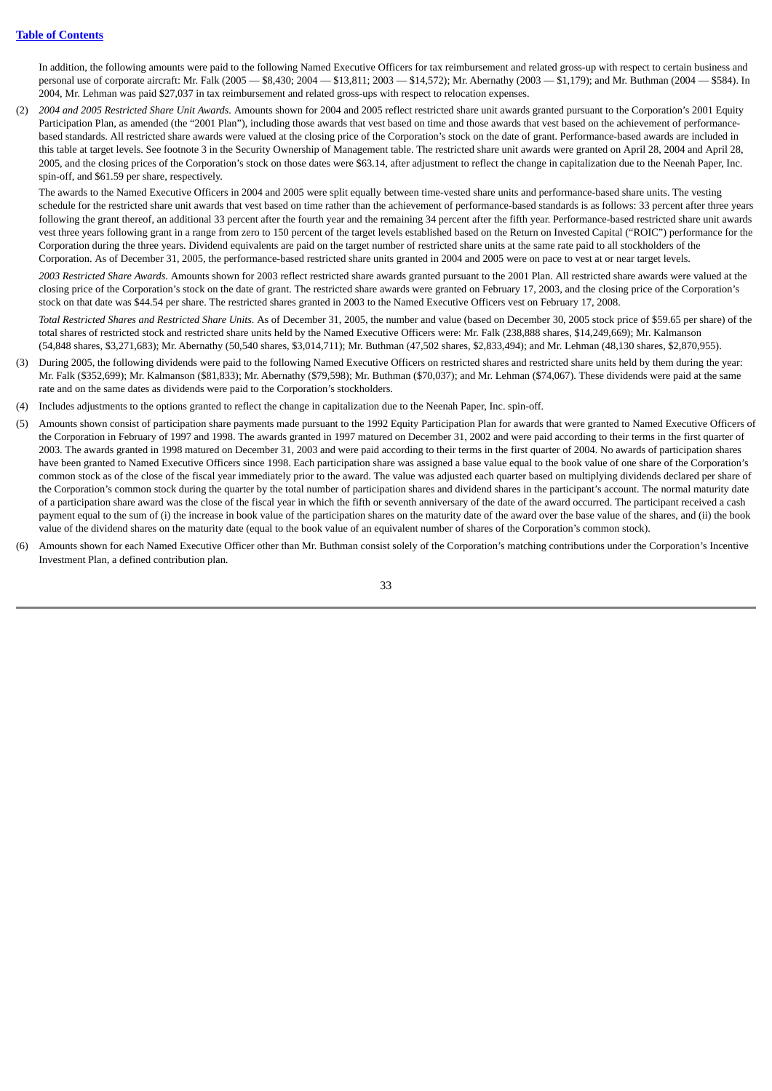In addition, the following amounts were paid to the following Named Executive Officers for tax reimbursement and related gross-up with respect to certain business and personal use of corporate aircraft: Mr. Falk (2005 — \$8,430; 2004 — \$13,811; 2003 — \$14,572); Mr. Abernathy (2003 — \$1,179); and Mr. Buthman (2004 — \$584). In 2004, Mr. Lehman was paid \$27,037 in tax reimbursement and related gross-ups with respect to relocation expenses.

(2) *2004 and 2005 Restricted Share Unit Awards.* Amounts shown for 2004 and 2005 reflect restricted share unit awards granted pursuant to the Corporation's 2001 Equity Participation Plan, as amended (the "2001 Plan"), including those awards that vest based on time and those awards that vest based on the achievement of performancebased standards. All restricted share awards were valued at the closing price of the Corporation's stock on the date of grant. Performance-based awards are included in this table at target levels. See footnote 3 in the Security Ownership of Management table. The restricted share unit awards were granted on April 28, 2004 and April 28, 2005, and the closing prices of the Corporation's stock on those dates were \$63.14, after adjustment to reflect the change in capitalization due to the Neenah Paper, Inc. spin-off, and \$61.59 per share, respectively.

The awards to the Named Executive Officers in 2004 and 2005 were split equally between time-vested share units and performance-based share units. The vesting schedule for the restricted share unit awards that vest based on time rather than the achievement of performance-based standards is as follows: 33 percent after three years following the grant thereof, an additional 33 percent after the fourth year and the remaining 34 percent after the fifth year. Performance-based restricted share unit awards vest three years following grant in a range from zero to 150 percent of the target levels established based on the Return on Invested Capital ("ROIC") performance for the Corporation during the three years. Dividend equivalents are paid on the target number of restricted share units at the same rate paid to all stockholders of the Corporation. As of December 31, 2005, the performance-based restricted share units granted in 2004 and 2005 were on pace to vest at or near target levels.

*2003 Restricted Share Awards.* Amounts shown for 2003 reflect restricted share awards granted pursuant to the 2001 Plan. All restricted share awards were valued at the closing price of the Corporation's stock on the date of grant. The restricted share awards were granted on February 17, 2003, and the closing price of the Corporation's stock on that date was \$44.54 per share. The restricted shares granted in 2003 to the Named Executive Officers vest on February 17, 2008.

*Total Restricted Shares and Restricted Share Units.* As of December 31, 2005, the number and value (based on December 30, 2005 stock price of \$59.65 per share) of the total shares of restricted stock and restricted share units held by the Named Executive Officers were: Mr. Falk (238,888 shares, \$14,249,669); Mr. Kalmanson (54,848 shares, \$3,271,683); Mr. Abernathy (50,540 shares, \$3,014,711); Mr. Buthman (47,502 shares, \$2,833,494); and Mr. Lehman (48,130 shares, \$2,870,955).

- (3) During 2005, the following dividends were paid to the following Named Executive Officers on restricted shares and restricted share units held by them during the year: Mr. Falk (\$352,699); Mr. Kalmanson (\$81,833); Mr. Abernathy (\$79,598); Mr. Buthman (\$70,037); and Mr. Lehman (\$74,067). These dividends were paid at the same rate and on the same dates as dividends were paid to the Corporation's stockholders.
- (4) Includes adjustments to the options granted to reflect the change in capitalization due to the Neenah Paper, Inc. spin-off.
- (5) Amounts shown consist of participation share payments made pursuant to the 1992 Equity Participation Plan for awards that were granted to Named Executive Officers of the Corporation in February of 1997 and 1998. The awards granted in 1997 matured on December 31, 2002 and were paid according to their terms in the first quarter of 2003. The awards granted in 1998 matured on December 31, 2003 and were paid according to their terms in the first quarter of 2004. No awards of participation shares have been granted to Named Executive Officers since 1998. Each participation share was assigned a base value equal to the book value of one share of the Corporation's common stock as of the close of the fiscal year immediately prior to the award. The value was adjusted each quarter based on multiplying dividends declared per share of the Corporation's common stock during the quarter by the total number of participation shares and dividend shares in the participant's account. The normal maturity date of a participation share award was the close of the fiscal year in which the fifth or seventh anniversary of the date of the award occurred. The participant received a cash payment equal to the sum of (i) the increase in book value of the participation shares on the maturity date of the award over the base value of the shares, and (ii) the book value of the dividend shares on the maturity date (equal to the book value of an equivalent number of shares of the Corporation's common stock).
- (6) Amounts shown for each Named Executive Officer other than Mr. Buthman consist solely of the Corporation's matching contributions under the Corporation's Incentive Investment Plan, a defined contribution plan.

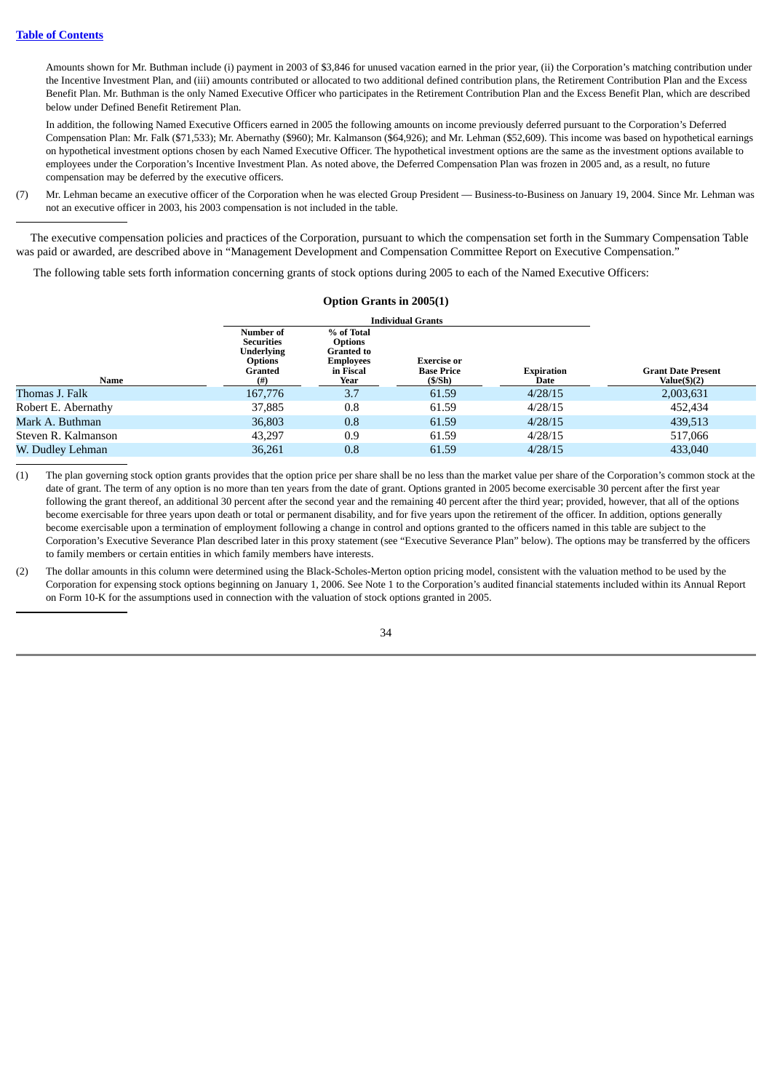Amounts shown for Mr. Buthman include (i) payment in 2003 of \$3,846 for unused vacation earned in the prior year, (ii) the Corporation's matching contribution under the Incentive Investment Plan, and (iii) amounts contributed or allocated to two additional defined contribution plans, the Retirement Contribution Plan and the Excess Benefit Plan. Mr. Buthman is the only Named Executive Officer who participates in the Retirement Contribution Plan and the Excess Benefit Plan, which are described below under Defined Benefit Retirement Plan.

 In addition, the following Named Executive Officers earned in 2005 the following amounts on income previously deferred pursuant to the Corporation's Deferred Compensation Plan: Mr. Falk (\$71,533); Mr. Abernathy (\$960); Mr. Kalmanson (\$64,926); and Mr. Lehman (\$52,609). This income was based on hypothetical earnings on hypothetical investment options chosen by each Named Executive Officer. The hypothetical investment options are the same as the investment options available to employees under the Corporation's Incentive Investment Plan. As noted above, the Deferred Compensation Plan was frozen in 2005 and, as a result, no future compensation may be deferred by the executive officers.

(7) Mr. Lehman became an executive officer of the Corporation when he was elected Group President — Business-to-Business on January 19, 2004. Since Mr. Lehman was not an executive officer in 2003, his 2003 compensation is not included in the table.

The executive compensation policies and practices of the Corporation, pursuant to which the compensation set forth in the Summary Compensation Table was paid or awarded, are described above in "Management Development and Compensation Committee Report on Executive Compensation."

The following table sets forth information concerning grants of stock options during 2005 to each of the Named Executive Officers:

<span id="page-40-0"></span>

|                     |                                                                                          | <b>Option Grants in 2005(1)</b>                                                            |                                                   |                           |                                              |
|---------------------|------------------------------------------------------------------------------------------|--------------------------------------------------------------------------------------------|---------------------------------------------------|---------------------------|----------------------------------------------|
|                     |                                                                                          | <b>Individual Grants</b>                                                                   |                                                   |                           |                                              |
| Name                | Number of<br><b>Securities</b><br><b>Underlying</b><br><b>Options</b><br>Granted<br>(# ) | % of Total<br><b>Options</b><br><b>Granted to</b><br><b>Employees</b><br>in Fiscal<br>Year | <b>Exercise or</b><br><b>Base Price</b><br>(S/Sh) | <b>Expiration</b><br>Date | <b>Grant Date Present</b><br>Value $(\$)(2)$ |
| Thomas J. Falk      | 167,776                                                                                  | 3.7                                                                                        | 61.59                                             | 4/28/15                   | 2,003,631                                    |
| Robert E. Abernathy | 37,885                                                                                   | 0.8                                                                                        | 61.59                                             | 4/28/15                   | 452,434                                      |
| Mark A. Buthman     | 36,803                                                                                   | 0.8                                                                                        | 61.59                                             | 4/28/15                   | 439,513                                      |
| Steven R. Kalmanson | 43.297                                                                                   | 0.9                                                                                        | 61.59                                             | 4/28/15                   | 517,066                                      |
| W. Dudley Lehman    | 36,261                                                                                   | 0.8                                                                                        | 61.59                                             | 4/28/15                   | 433,040                                      |

(1) The plan governing stock option grants provides that the option price per share shall be no less than the market value per share of the Corporation's common stock at the date of grant. The term of any option is no more than ten years from the date of grant. Options granted in 2005 become exercisable 30 percent after the first year following the grant thereof, an additional 30 percent after the second year and the remaining 40 percent after the third year; provided, however, that all of the options become exercisable for three years upon death or total or permanent disability, and for five years upon the retirement of the officer. In addition, options generally become exercisable upon a termination of employment following a change in control and options granted to the officers named in this table are subject to the Corporation's Executive Severance Plan described later in this proxy statement (see "Executive Severance Plan" below). The options may be transferred by the officers to family members or certain entities in which family members have interests.

(2) The dollar amounts in this column were determined using the Black-Scholes-Merton option pricing model, consistent with the valuation method to be used by the Corporation for expensing stock options beginning on January 1, 2006. See Note 1 to the Corporation's audited financial statements included within its Annual Report on Form 10-K for the assumptions used in connection with the valuation of stock options granted in 2005.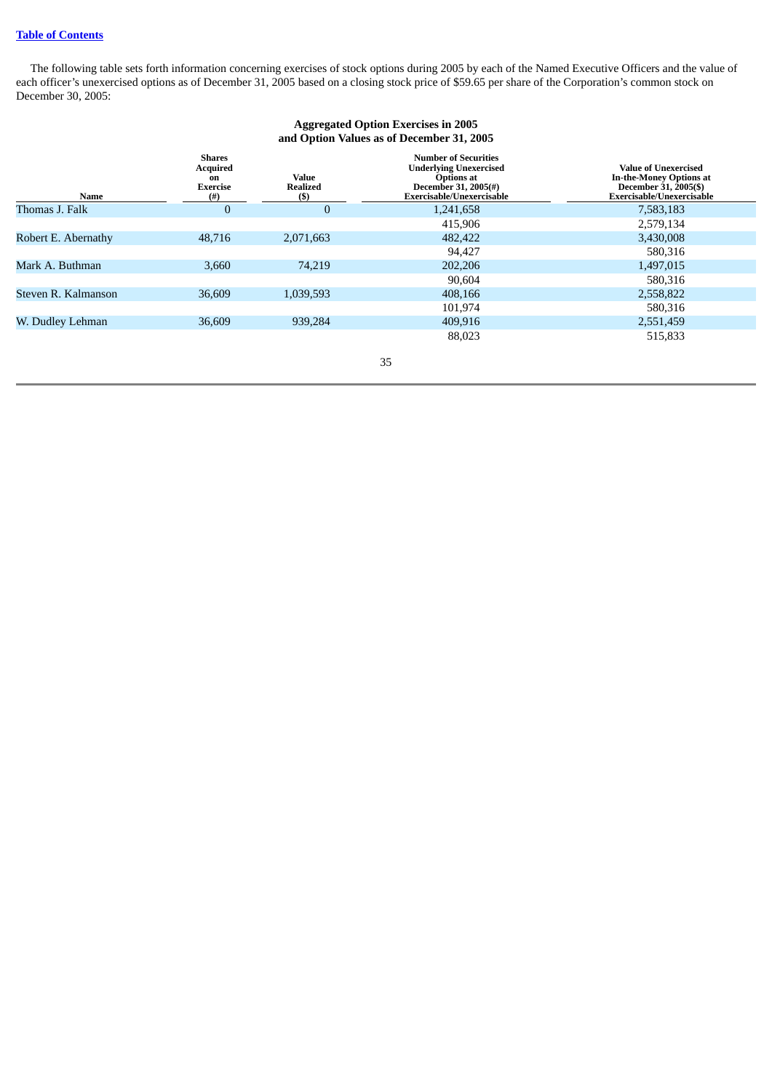<span id="page-41-0"></span>The following table sets forth information concerning exercises of stock options during 2005 by each of the Named Executive Officers and the value of each officer's unexercised options as of December 31, 2005 based on a closing stock price of \$59.65 per share of the Corporation's common stock on December 30, 2005:

## **Aggregated Option Exercises in 2005 and Option Values as of December 31, 2005**

| Name                | Shares<br><b>Acquired</b><br>on<br><b>Exercise</b><br>(# ) | <b>Value</b><br><b>Realized</b><br>(\$) | <b>Number of Securities</b><br><b>Underlying Unexercised</b><br><b>Options at</b><br>December 31, 2005(#)<br>Exercisable/Unexercisable | Value of Unexercised<br><b>In-the-Money Options at</b><br>December 31, 2005(\$)<br>Exercisable/Unexercisable |
|---------------------|------------------------------------------------------------|-----------------------------------------|----------------------------------------------------------------------------------------------------------------------------------------|--------------------------------------------------------------------------------------------------------------|
| Thomas J. Falk      | 0                                                          | $\Omega$                                | 1,241,658                                                                                                                              | 7,583,183                                                                                                    |
|                     |                                                            |                                         | 415,906                                                                                                                                | 2,579,134                                                                                                    |
| Robert E. Abernathy | 48,716                                                     | 2,071,663                               | 482,422                                                                                                                                | 3,430,008                                                                                                    |
|                     |                                                            |                                         | 94,427                                                                                                                                 | 580,316                                                                                                      |
| Mark A. Buthman     | 3,660                                                      | 74.219                                  | 202,206                                                                                                                                | 1,497,015                                                                                                    |
|                     |                                                            |                                         | 90,604                                                                                                                                 | 580,316                                                                                                      |
| Steven R. Kalmanson | 36,609                                                     | 1,039,593                               | 408,166                                                                                                                                | 2,558,822                                                                                                    |
|                     |                                                            |                                         | 101,974                                                                                                                                | 580,316                                                                                                      |
| W. Dudley Lehman    | 36,609                                                     | 939,284                                 | 409,916                                                                                                                                | 2,551,459                                                                                                    |
|                     |                                                            |                                         | 88,023                                                                                                                                 | 515.833                                                                                                      |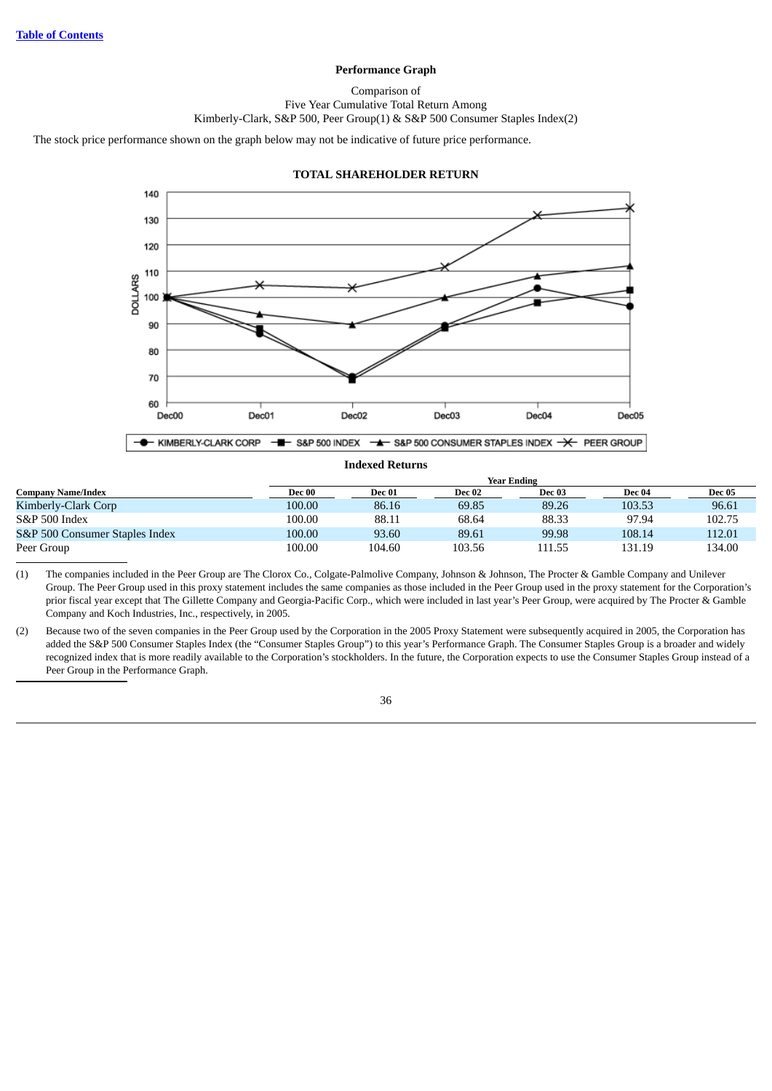## **Performance Graph**

## Comparison of

Five Year Cumulative Total Return Among

Kimberly-Clark, S&P 500, Peer Group(1) & S&P 500 Consumer Staples Index(2)

<span id="page-42-0"></span>The stock price performance shown on the graph below may not be indicative of future price performance.



#### **TOTAL SHAREHOLDER RETURN**

|                                |        |        |        | <b>Year Ending</b> |        |               |
|--------------------------------|--------|--------|--------|--------------------|--------|---------------|
| <b>Company Name/Index</b>      | Dec 00 | Dec 01 | Dec 02 | Dec 03             | Dec 04 | <b>Dec 05</b> |
| Kimberly-Clark Corp            | 100.00 | 86.16  | 69.85  | 89.26              | 103.53 | 96.61         |
| S&P 500 Index                  | 100.00 | 88.11  | 68.64  | 88.33              | 97.94  | 102.75        |
| S&P 500 Consumer Staples Index | 100.00 | 93.60  | 89.61  | 99.98              | 108.14 | 112.01        |
| Peer Group                     | 100.00 | 104.60 | 103.56 | 111.55             | 131.19 | 134.00        |

**Indexed Returns**

(1) The companies included in the Peer Group are The Clorox Co., Colgate-Palmolive Company, Johnson & Johnson, The Procter & Gamble Company and Unilever Group. The Peer Group used in this proxy statement includes the same companies as those included in the Peer Group used in the proxy statement for the Corporation's prior fiscal year except that The Gillette Company and Georgia-Pacific Corp., which were included in last year's Peer Group, were acquired by The Procter & Gamble Company and Koch Industries, Inc., respectively, in 2005.

(2) Because two of the seven companies in the Peer Group used by the Corporation in the 2005 Proxy Statement were subsequently acquired in 2005, the Corporation has added the S&P 500 Consumer Staples Index (the "Consumer Staples Group") to this year's Performance Graph. The Consumer Staples Group is a broader and widely recognized index that is more readily available to the Corporation's stockholders. In the future, the Corporation expects to use the Consumer Staples Group instead of a Peer Group in the Performance Graph.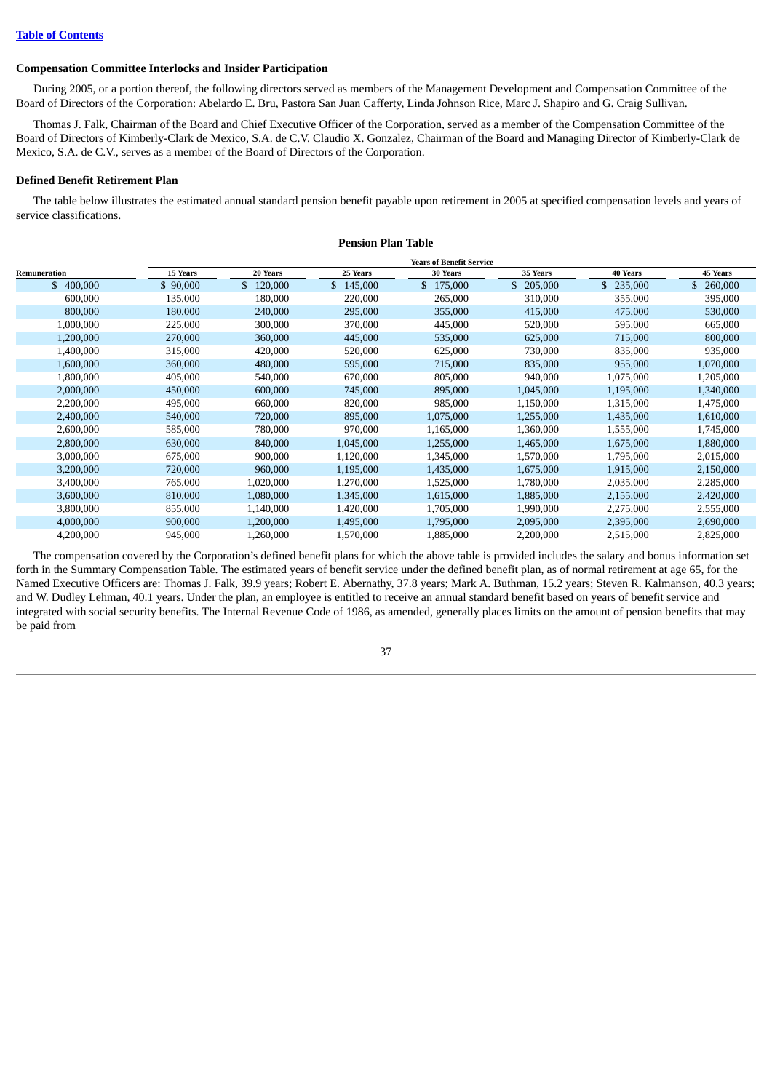## <span id="page-43-0"></span>**Compensation Committee Interlocks and Insider Participation**

During 2005, or a portion thereof, the following directors served as members of the Management Development and Compensation Committee of the Board of Directors of the Corporation: Abelardo E. Bru, Pastora San Juan Cafferty, Linda Johnson Rice, Marc J. Shapiro and G. Craig Sullivan.

Thomas J. Falk, Chairman of the Board and Chief Executive Officer of the Corporation, served as a member of the Compensation Committee of the Board of Directors of Kimberly-Clark de Mexico, S.A. de C.V. Claudio X. Gonzalez, Chairman of the Board and Managing Director of Kimberly-Clark de Mexico, S.A. de C.V., serves as a member of the Board of Directors of the Corporation.

## <span id="page-43-1"></span>**Defined Benefit Retirement Plan**

The table below illustrates the estimated annual standard pension benefit payable upon retirement in 2005 at specified compensation levels and years of service classifications.

**Pension Plan Table**

|              |          |           |           | <b>Years of Benefit Service</b> |                |                 |                 |
|--------------|----------|-----------|-----------|---------------------------------|----------------|-----------------|-----------------|
| Remuneration | 15 Years | 20 Years  | 25 Years  | <b>30 Years</b>                 | 35 Years       | <b>40 Years</b> | <b>45 Years</b> |
| \$400,000    | \$90,000 | \$120,000 | \$145,000 | \$175,000                       | \$.<br>205,000 | 235,000         | \$<br>260,000   |
| 600,000      | 135,000  | 180,000   | 220,000   | 265,000                         | 310,000        | 355,000         | 395,000         |
| 800,000      | 180,000  | 240,000   | 295,000   | 355,000                         | 415,000        | 475,000         | 530,000         |
| 1,000,000    | 225,000  | 300,000   | 370,000   | 445,000                         | 520,000        | 595,000         | 665,000         |
| 1,200,000    | 270,000  | 360,000   | 445,000   | 535,000                         | 625,000        | 715,000         | 800,000         |
| 1,400,000    | 315,000  | 420,000   | 520,000   | 625,000                         | 730,000        | 835,000         | 935,000         |
| 1,600,000    | 360,000  | 480,000   | 595,000   | 715,000                         | 835,000        | 955,000         | 1,070,000       |
| 1,800,000    | 405,000  | 540,000   | 670,000   | 805,000                         | 940,000        | 1,075,000       | 1,205,000       |
| 2,000,000    | 450,000  | 600,000   | 745,000   | 895,000                         | 1,045,000      | 1,195,000       | 1,340,000       |
| 2,200,000    | 495,000  | 660,000   | 820,000   | 985,000                         | 1,150,000      | 1,315,000       | 1,475,000       |
| 2,400,000    | 540,000  | 720,000   | 895,000   | 1,075,000                       | 1,255,000      | 1,435,000       | 1,610,000       |
| 2,600,000    | 585,000  | 780,000   | 970,000   | 1,165,000                       | 1,360,000      | 1,555,000       | 1,745,000       |
| 2,800,000    | 630,000  | 840,000   | 1,045,000 | 1,255,000                       | 1,465,000      | 1,675,000       | 1,880,000       |
| 3,000,000    | 675,000  | 900,000   | 1,120,000 | 1,345,000                       | 1,570,000      | 1,795,000       | 2,015,000       |
| 3,200,000    | 720,000  | 960,000   | 1,195,000 | 1,435,000                       | 1,675,000      | 1,915,000       | 2,150,000       |
| 3,400,000    | 765,000  | 1,020,000 | 1,270,000 | 1,525,000                       | 1,780,000      | 2,035,000       | 2,285,000       |
| 3,600,000    | 810,000  | 1,080,000 | 1,345,000 | 1,615,000                       | 1,885,000      | 2,155,000       | 2,420,000       |
| 3,800,000    | 855,000  | 1,140,000 | 1,420,000 | 1,705,000                       | 1,990,000      | 2,275,000       | 2,555,000       |
| 4,000,000    | 900,000  | 1,200,000 | 1,495,000 | 1,795,000                       | 2,095,000      | 2,395,000       | 2,690,000       |
| 4,200,000    | 945,000  | 1,260,000 | 1,570,000 | 1,885,000                       | 2,200,000      | 2,515,000       | 2,825,000       |

The compensation covered by the Corporation's defined benefit plans for which the above table is provided includes the salary and bonus information set forth in the Summary Compensation Table. The estimated years of benefit service under the defined benefit plan, as of normal retirement at age 65, for the Named Executive Officers are: Thomas J. Falk, 39.9 years; Robert E. Abernathy, 37.8 years; Mark A. Buthman, 15.2 years; Steven R. Kalmanson, 40.3 years; and W. Dudley Lehman, 40.1 years. Under the plan, an employee is entitled to receive an annual standard benefit based on years of benefit service and integrated with social security benefits. The Internal Revenue Code of 1986, as amended, generally places limits on the amount of pension benefits that may be paid from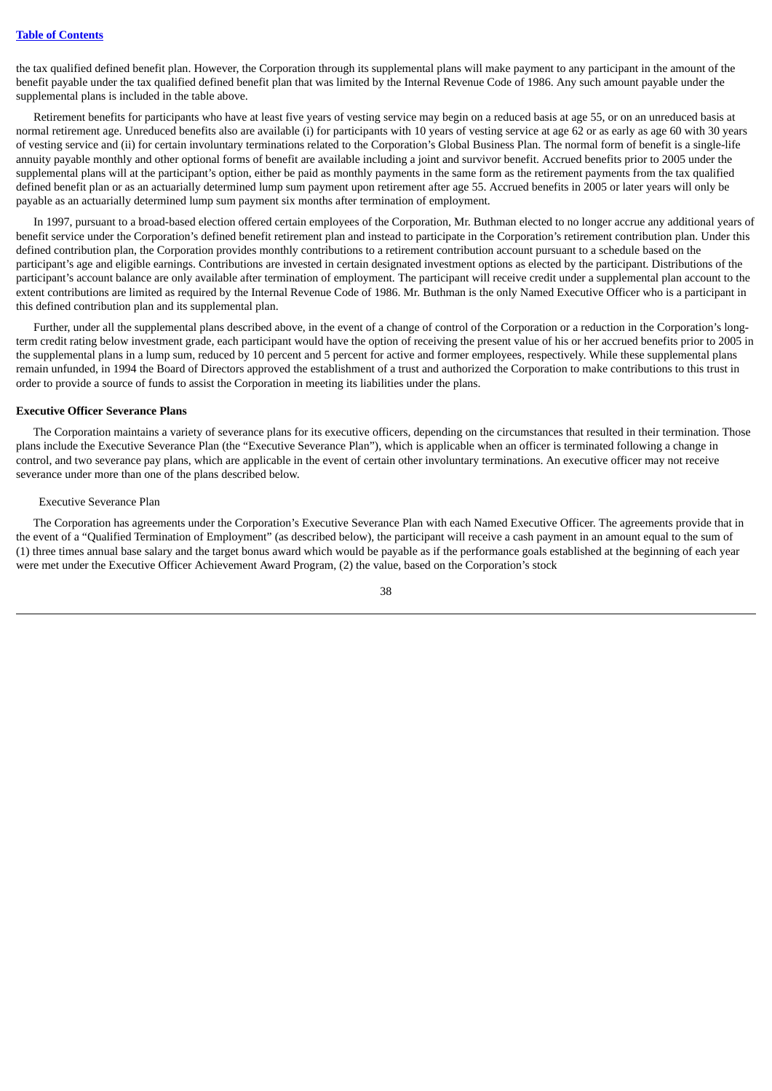the tax qualified defined benefit plan. However, the Corporation through its supplemental plans will make payment to any participant in the amount of the benefit payable under the tax qualified defined benefit plan that was limited by the Internal Revenue Code of 1986. Any such amount payable under the supplemental plans is included in the table above.

Retirement benefits for participants who have at least five years of vesting service may begin on a reduced basis at age 55, or on an unreduced basis at normal retirement age. Unreduced benefits also are available (i) for participants with 10 years of vesting service at age 62 or as early as age 60 with 30 years of vesting service and (ii) for certain involuntary terminations related to the Corporation's Global Business Plan. The normal form of benefit is a single-life annuity payable monthly and other optional forms of benefit are available including a joint and survivor benefit. Accrued benefits prior to 2005 under the supplemental plans will at the participant's option, either be paid as monthly payments in the same form as the retirement payments from the tax qualified defined benefit plan or as an actuarially determined lump sum payment upon retirement after age 55. Accrued benefits in 2005 or later years will only be payable as an actuarially determined lump sum payment six months after termination of employment.

In 1997, pursuant to a broad-based election offered certain employees of the Corporation, Mr. Buthman elected to no longer accrue any additional years of benefit service under the Corporation's defined benefit retirement plan and instead to participate in the Corporation's retirement contribution plan. Under this defined contribution plan, the Corporation provides monthly contributions to a retirement contribution account pursuant to a schedule based on the participant's age and eligible earnings. Contributions are invested in certain designated investment options as elected by the participant. Distributions of the participant's account balance are only available after termination of employment. The participant will receive credit under a supplemental plan account to the extent contributions are limited as required by the Internal Revenue Code of 1986. Mr. Buthman is the only Named Executive Officer who is a participant in this defined contribution plan and its supplemental plan.

Further, under all the supplemental plans described above, in the event of a change of control of the Corporation or a reduction in the Corporation's longterm credit rating below investment grade, each participant would have the option of receiving the present value of his or her accrued benefits prior to 2005 in the supplemental plans in a lump sum, reduced by 10 percent and 5 percent for active and former employees, respectively. While these supplemental plans remain unfunded, in 1994 the Board of Directors approved the establishment of a trust and authorized the Corporation to make contributions to this trust in order to provide a source of funds to assist the Corporation in meeting its liabilities under the plans.

## <span id="page-44-0"></span>**Executive Officer Severance Plans**

The Corporation maintains a variety of severance plans for its executive officers, depending on the circumstances that resulted in their termination. Those plans include the Executive Severance Plan (the "Executive Severance Plan"), which is applicable when an officer is terminated following a change in control, and two severance pay plans, which are applicable in the event of certain other involuntary terminations. An executive officer may not receive severance under more than one of the plans described below.

#### Executive Severance Plan

The Corporation has agreements under the Corporation's Executive Severance Plan with each Named Executive Officer. The agreements provide that in the event of a "Qualified Termination of Employment" (as described below), the participant will receive a cash payment in an amount equal to the sum of (1) three times annual base salary and the target bonus award which would be payable as if the performance goals established at the beginning of each year were met under the Executive Officer Achievement Award Program, (2) the value, based on the Corporation's stock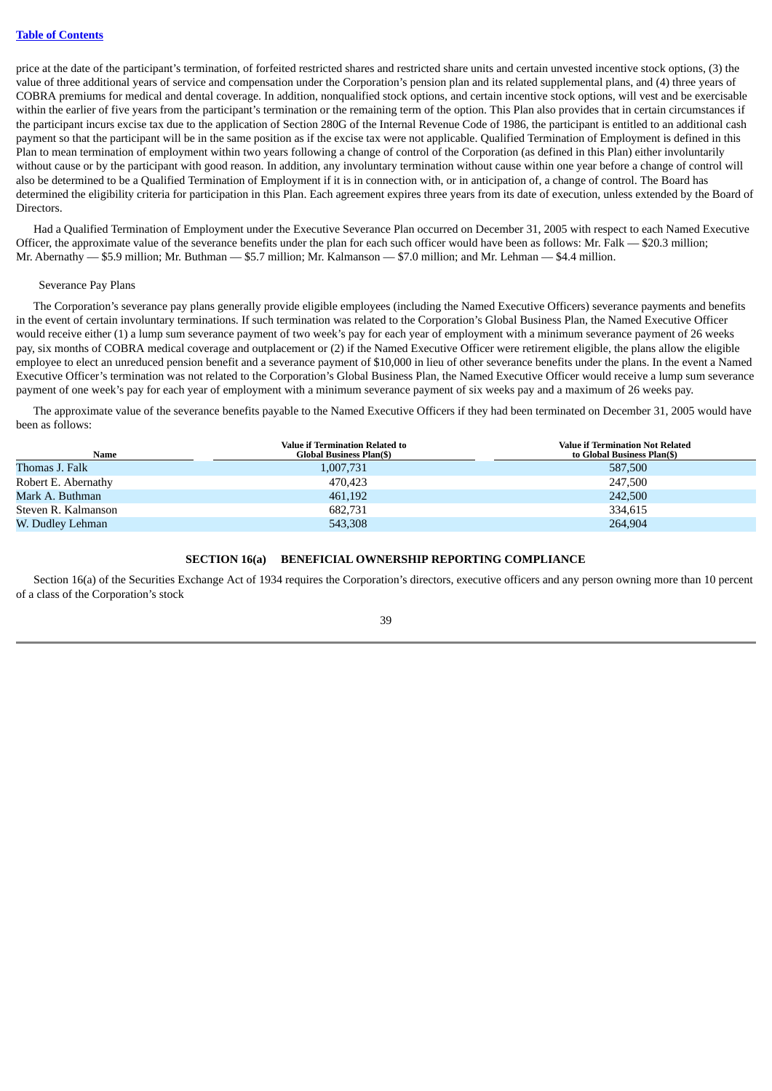price at the date of the participant's termination, of forfeited restricted shares and restricted share units and certain unvested incentive stock options, (3) the value of three additional years of service and compensation under the Corporation's pension plan and its related supplemental plans, and (4) three years of COBRA premiums for medical and dental coverage. In addition, nonqualified stock options, and certain incentive stock options, will vest and be exercisable within the earlier of five years from the participant's termination or the remaining term of the option. This Plan also provides that in certain circumstances if the participant incurs excise tax due to the application of Section 280G of the Internal Revenue Code of 1986, the participant is entitled to an additional cash payment so that the participant will be in the same position as if the excise tax were not applicable. Qualified Termination of Employment is defined in this Plan to mean termination of employment within two years following a change of control of the Corporation (as defined in this Plan) either involuntarily without cause or by the participant with good reason. In addition, any involuntary termination without cause within one year before a change of control will also be determined to be a Qualified Termination of Employment if it is in connection with, or in anticipation of, a change of control. The Board has determined the eligibility criteria for participation in this Plan. Each agreement expires three years from its date of execution, unless extended by the Board of Directors.

Had a Qualified Termination of Employment under the Executive Severance Plan occurred on December 31, 2005 with respect to each Named Executive Officer, the approximate value of the severance benefits under the plan for each such officer would have been as follows: Mr. Falk — \$20.3 million; Mr. Abernathy — \$5.9 million; Mr. Buthman — \$5.7 million; Mr. Kalmanson — \$7.0 million; and Mr. Lehman — \$4.4 million.

## Severance Pay Plans

The Corporation's severance pay plans generally provide eligible employees (including the Named Executive Officers) severance payments and benefits in the event of certain involuntary terminations. If such termination was related to the Corporation's Global Business Plan, the Named Executive Officer would receive either (1) a lump sum severance payment of two week's pay for each year of employment with a minimum severance payment of 26 weeks pay, six months of COBRA medical coverage and outplacement or (2) if the Named Executive Officer were retirement eligible, the plans allow the eligible employee to elect an unreduced pension benefit and a severance payment of \$10,000 in lieu of other severance benefits under the plans. In the event a Named Executive Officer's termination was not related to the Corporation's Global Business Plan, the Named Executive Officer would receive a lump sum severance payment of one week's pay for each year of employment with a minimum severance payment of six weeks pay and a maximum of 26 weeks pay.

The approximate value of the severance benefits payable to the Named Executive Officers if they had been terminated on December 31, 2005 would have been as follows:

| Name                | <b>Value if Termination Related to</b><br>Global Business Plan(\$) | <b>Value if Termination Not Related</b><br>to Global Business Plan(\$) |
|---------------------|--------------------------------------------------------------------|------------------------------------------------------------------------|
| Thomas J. Falk      | 1,007,731                                                          | 587,500                                                                |
| Robert E. Abernathy | 470.423                                                            | 247,500                                                                |
| Mark A. Buthman     | 461,192                                                            | 242,500                                                                |
| Steven R. Kalmanson | 682,731                                                            | 334,615                                                                |
| W. Dudley Lehman    | 543,308                                                            | 264.904                                                                |

## **SECTION 16(a) BENEFICIAL OWNERSHIP REPORTING COMPLIANCE**

<span id="page-45-0"></span>Section 16(a) of the Securities Exchange Act of 1934 requires the Corporation's directors, executive officers and any person owning more than 10 percent of a class of the Corporation's stock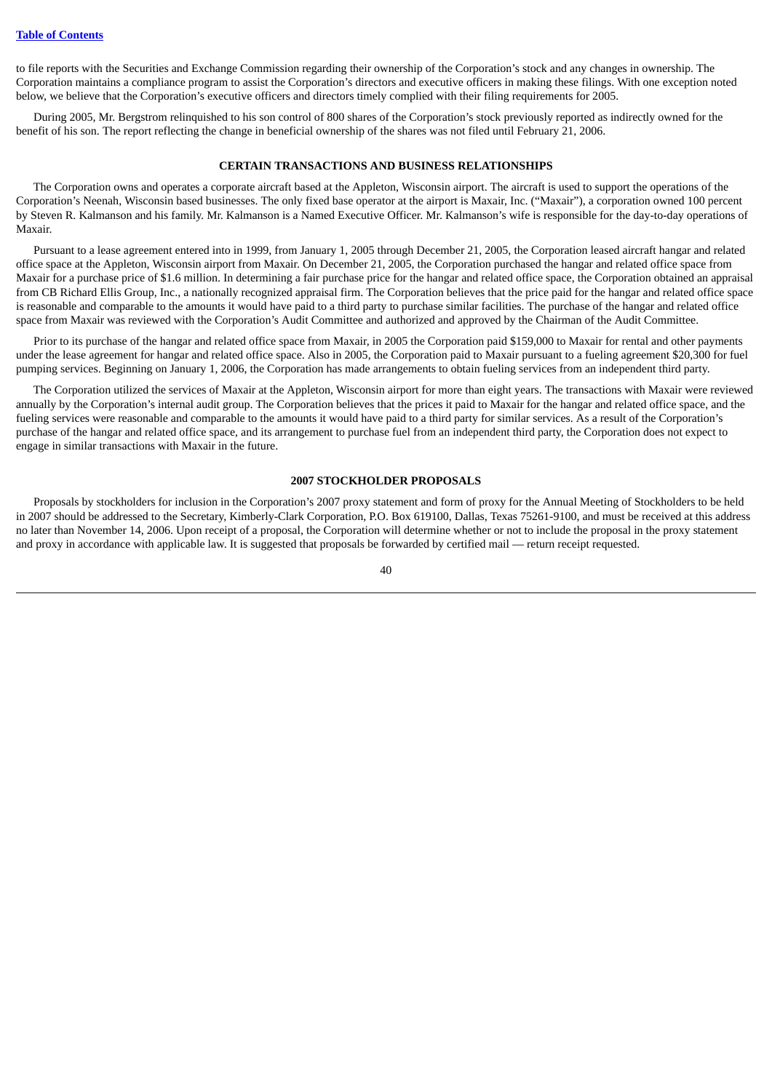to file reports with the Securities and Exchange Commission regarding their ownership of the Corporation's stock and any changes in ownership. The Corporation maintains a compliance program to assist the Corporation's directors and executive officers in making these filings. With one exception noted below, we believe that the Corporation's executive officers and directors timely complied with their filing requirements for 2005.

<span id="page-46-0"></span>During 2005, Mr. Bergstrom relinquished to his son control of 800 shares of the Corporation's stock previously reported as indirectly owned for the benefit of his son. The report reflecting the change in beneficial ownership of the shares was not filed until February 21, 2006.

## **CERTAIN TRANSACTIONS AND BUSINESS RELATIONSHIPS**

The Corporation owns and operates a corporate aircraft based at the Appleton, Wisconsin airport. The aircraft is used to support the operations of the Corporation's Neenah, Wisconsin based businesses. The only fixed base operator at the airport is Maxair, Inc. ("Maxair"), a corporation owned 100 percent by Steven R. Kalmanson and his family. Mr. Kalmanson is a Named Executive Officer. Mr. Kalmanson's wife is responsible for the day-to-day operations of Maxair.

Pursuant to a lease agreement entered into in 1999, from January 1, 2005 through December 21, 2005, the Corporation leased aircraft hangar and related office space at the Appleton, Wisconsin airport from Maxair. On December 21, 2005, the Corporation purchased the hangar and related office space from Maxair for a purchase price of \$1.6 million. In determining a fair purchase price for the hangar and related office space, the Corporation obtained an appraisal from CB Richard Ellis Group, Inc., a nationally recognized appraisal firm. The Corporation believes that the price paid for the hangar and related office space is reasonable and comparable to the amounts it would have paid to a third party to purchase similar facilities. The purchase of the hangar and related office space from Maxair was reviewed with the Corporation's Audit Committee and authorized and approved by the Chairman of the Audit Committee.

Prior to its purchase of the hangar and related office space from Maxair, in 2005 the Corporation paid \$159,000 to Maxair for rental and other payments under the lease agreement for hangar and related office space. Also in 2005, the Corporation paid to Maxair pursuant to a fueling agreement \$20,300 for fuel pumping services. Beginning on January 1, 2006, the Corporation has made arrangements to obtain fueling services from an independent third party.

The Corporation utilized the services of Maxair at the Appleton, Wisconsin airport for more than eight years. The transactions with Maxair were reviewed annually by the Corporation's internal audit group. The Corporation believes that the prices it paid to Maxair for the hangar and related office space, and the fueling services were reasonable and comparable to the amounts it would have paid to a third party for similar services. As a result of the Corporation's purchase of the hangar and related office space, and its arrangement to purchase fuel from an independent third party, the Corporation does not expect to engage in similar transactions with Maxair in the future.

## **2007 STOCKHOLDER PROPOSALS**

<span id="page-46-1"></span>Proposals by stockholders for inclusion in the Corporation's 2007 proxy statement and form of proxy for the Annual Meeting of Stockholders to be held in 2007 should be addressed to the Secretary, Kimberly-Clark Corporation, P.O. Box 619100, Dallas, Texas 75261-9100, and must be received at this address no later than November 14, 2006. Upon receipt of a proposal, the Corporation will determine whether or not to include the proposal in the proxy statement and proxy in accordance with applicable law. It is suggested that proposals be forwarded by certified mail — return receipt requested.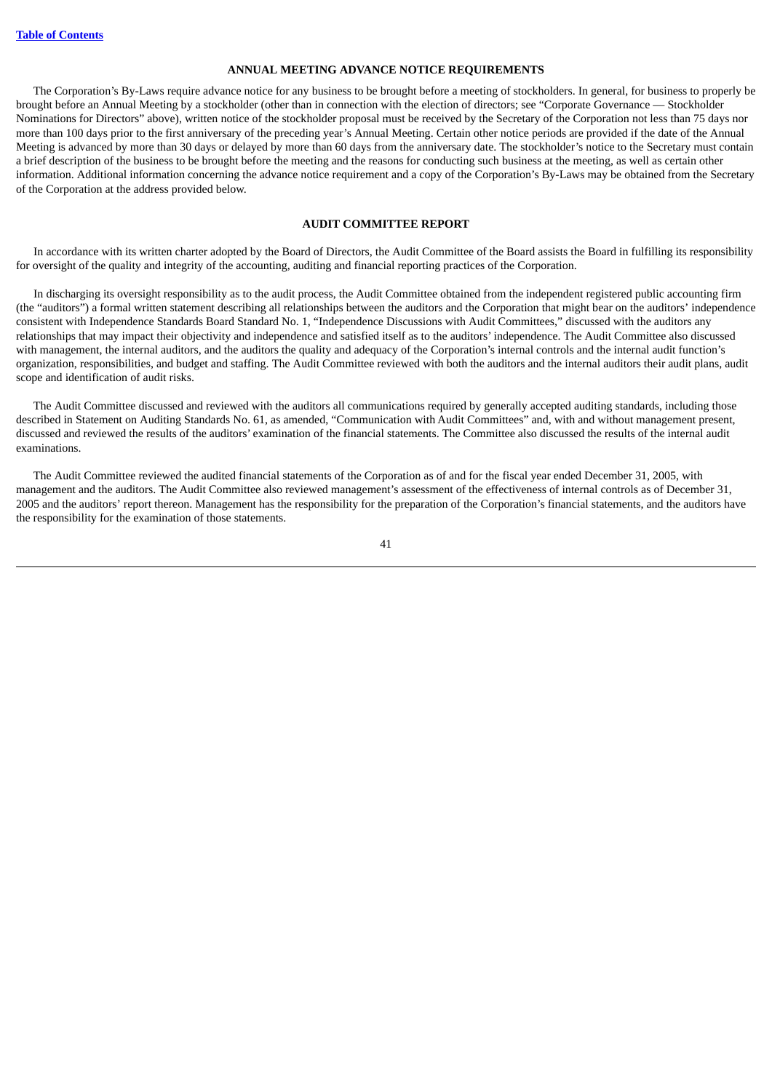## **ANNUAL MEETING ADVANCE NOTICE REQUIREMENTS**

<span id="page-47-0"></span>The Corporation's By-Laws require advance notice for any business to be brought before a meeting of stockholders. In general, for business to properly be brought before an Annual Meeting by a stockholder (other than in connection with the election of directors; see "Corporate Governance — Stockholder Nominations for Directors" above), written notice of the stockholder proposal must be received by the Secretary of the Corporation not less than 75 days nor more than 100 days prior to the first anniversary of the preceding year's Annual Meeting. Certain other notice periods are provided if the date of the Annual Meeting is advanced by more than 30 days or delayed by more than 60 days from the anniversary date. The stockholder's notice to the Secretary must contain a brief description of the business to be brought before the meeting and the reasons for conducting such business at the meeting, as well as certain other information. Additional information concerning the advance notice requirement and a copy of the Corporation's By-Laws may be obtained from the Secretary of the Corporation at the address provided below.

## **AUDIT COMMITTEE REPORT**

<span id="page-47-1"></span>In accordance with its written charter adopted by the Board of Directors, the Audit Committee of the Board assists the Board in fulfilling its responsibility for oversight of the quality and integrity of the accounting, auditing and financial reporting practices of the Corporation.

In discharging its oversight responsibility as to the audit process, the Audit Committee obtained from the independent registered public accounting firm (the "auditors") a formal written statement describing all relationships between the auditors and the Corporation that might bear on the auditors' independence consistent with Independence Standards Board Standard No. 1, "Independence Discussions with Audit Committees," discussed with the auditors any relationships that may impact their objectivity and independence and satisfied itself as to the auditors' independence. The Audit Committee also discussed with management, the internal auditors, and the auditors the quality and adequacy of the Corporation's internal controls and the internal audit function's organization, responsibilities, and budget and staffing. The Audit Committee reviewed with both the auditors and the internal auditors their audit plans, audit scope and identification of audit risks.

The Audit Committee discussed and reviewed with the auditors all communications required by generally accepted auditing standards, including those described in Statement on Auditing Standards No. 61, as amended, "Communication with Audit Committees" and, with and without management present, discussed and reviewed the results of the auditors' examination of the financial statements. The Committee also discussed the results of the internal audit examinations.

The Audit Committee reviewed the audited financial statements of the Corporation as of and for the fiscal year ended December 31, 2005, with management and the auditors. The Audit Committee also reviewed management's assessment of the effectiveness of internal controls as of December 31, 2005 and the auditors' report thereon. Management has the responsibility for the preparation of the Corporation's financial statements, and the auditors have the responsibility for the examination of those statements.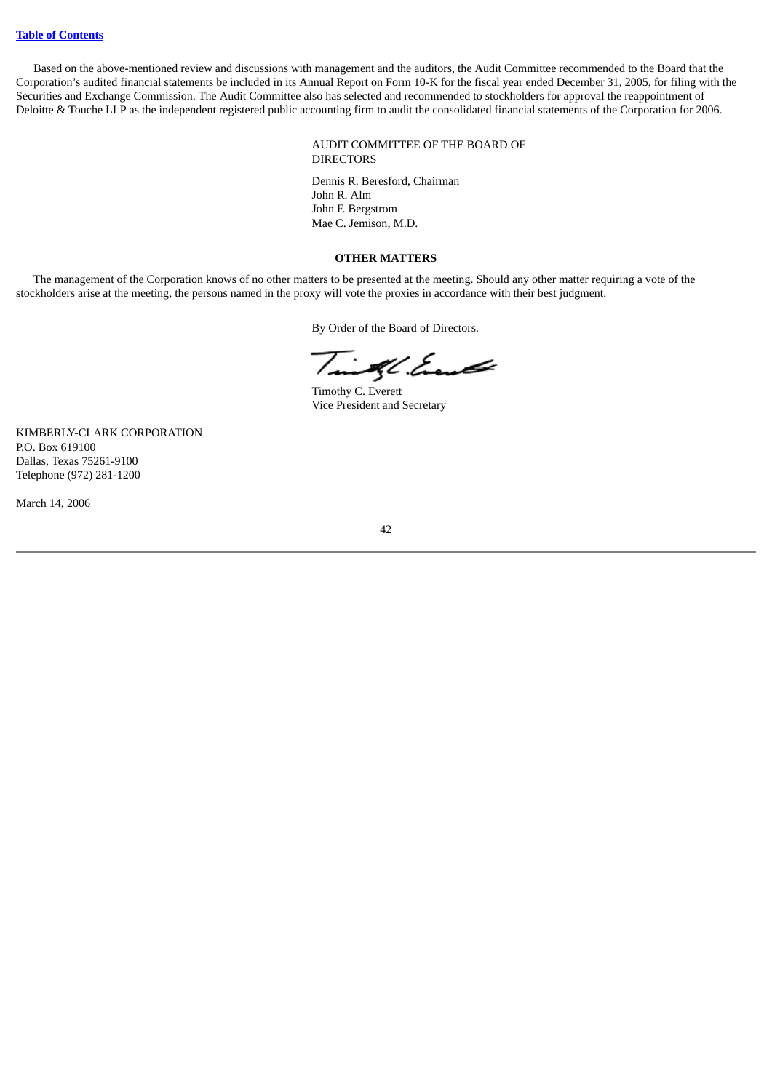Based on the above-mentioned review and discussions with management and the auditors, the Audit Committee recommended to the Board that the Corporation's audited financial statements be included in its Annual Report on Form 10-K for the fiscal year ended December 31, 2005, for filing with the Securities and Exchange Commission. The Audit Committee also has selected and recommended to stockholders for approval the reappointment of Deloitte & Touche LLP as the independent registered public accounting firm to audit the consolidated financial statements of the Corporation for 2006.

> AUDIT COMMITTEE OF THE BOARD OF DIRECTORS

Dennis R. Beresford, Chairman John R. Alm John F. Bergstrom Mae C. Jemison, M.D.

#### **OTHER MATTERS**

<span id="page-48-0"></span>The management of the Corporation knows of no other matters to be presented at the meeting. Should any other matter requiring a vote of the stockholders arise at the meeting, the persons named in the proxy will vote the proxies in accordance with their best judgment.

By Order of the Board of Directors.

Taill Event

Timothy C. Everett Vice President and Secretary

KIMBERLY-CLARK CORPORATION P.O. Box 619100 Dallas, Texas 75261-9100 Telephone (972) 281-1200

March 14, 2006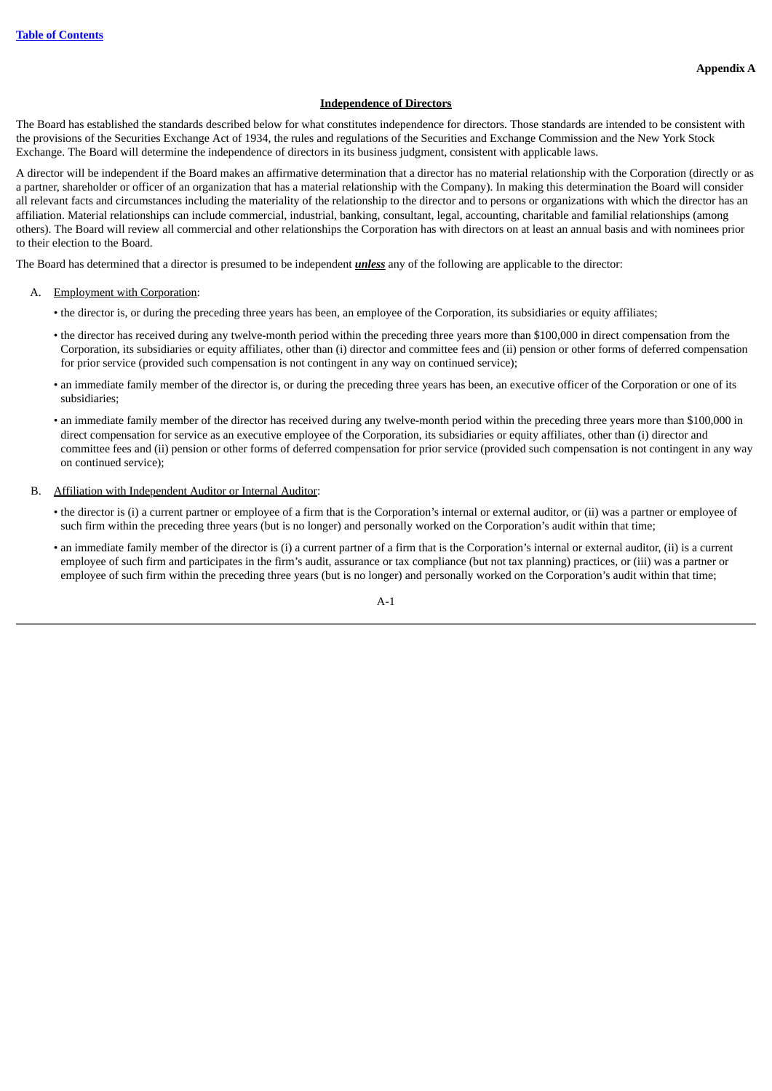### **Independence of Directors**

<span id="page-49-0"></span>The Board has established the standards described below for what constitutes independence for directors. Those standards are intended to be consistent with the provisions of the Securities Exchange Act of 1934, the rules and regulations of the Securities and Exchange Commission and the New York Stock Exchange. The Board will determine the independence of directors in its business judgment, consistent with applicable laws.

A director will be independent if the Board makes an affirmative determination that a director has no material relationship with the Corporation (directly or as a partner, shareholder or officer of an organization that has a material relationship with the Company). In making this determination the Board will consider all relevant facts and circumstances including the materiality of the relationship to the director and to persons or organizations with which the director has an affiliation. Material relationships can include commercial, industrial, banking, consultant, legal, accounting, charitable and familial relationships (among others). The Board will review all commercial and other relationships the Corporation has with directors on at least an annual basis and with nominees prior to their election to the Board.

The Board has determined that a director is presumed to be independent *unless* any of the following are applicable to the director:

- A. Employment with Corporation:
	- the director is, or during the preceding three years has been, an employee of the Corporation, its subsidiaries or equity affiliates;
	- the director has received during any twelve-month period within the preceding three years more than \$100,000 in direct compensation from the Corporation, its subsidiaries or equity affiliates, other than (i) director and committee fees and (ii) pension or other forms of deferred compensation for prior service (provided such compensation is not contingent in any way on continued service);
	- an immediate family member of the director is, or during the preceding three years has been, an executive officer of the Corporation or one of its subsidiaries;
	- an immediate family member of the director has received during any twelve-month period within the preceding three years more than \$100,000 in direct compensation for service as an executive employee of the Corporation, its subsidiaries or equity affiliates, other than (i) director and committee fees and (ii) pension or other forms of deferred compensation for prior service (provided such compensation is not contingent in any way on continued service);
- B. Affiliation with Independent Auditor or Internal Auditor:
	- the director is (i) a current partner or employee of a firm that is the Corporation's internal or external auditor, or (ii) was a partner or employee of such firm within the preceding three years (but is no longer) and personally worked on the Corporation's audit within that time;
	- an immediate family member of the director is (i) a current partner of a firm that is the Corporation's internal or external auditor, (ii) is a current employee of such firm and participates in the firm's audit, assurance or tax compliance (but not tax planning) practices, or (iii) was a partner or employee of such firm within the preceding three years (but is no longer) and personally worked on the Corporation's audit within that time;

A-1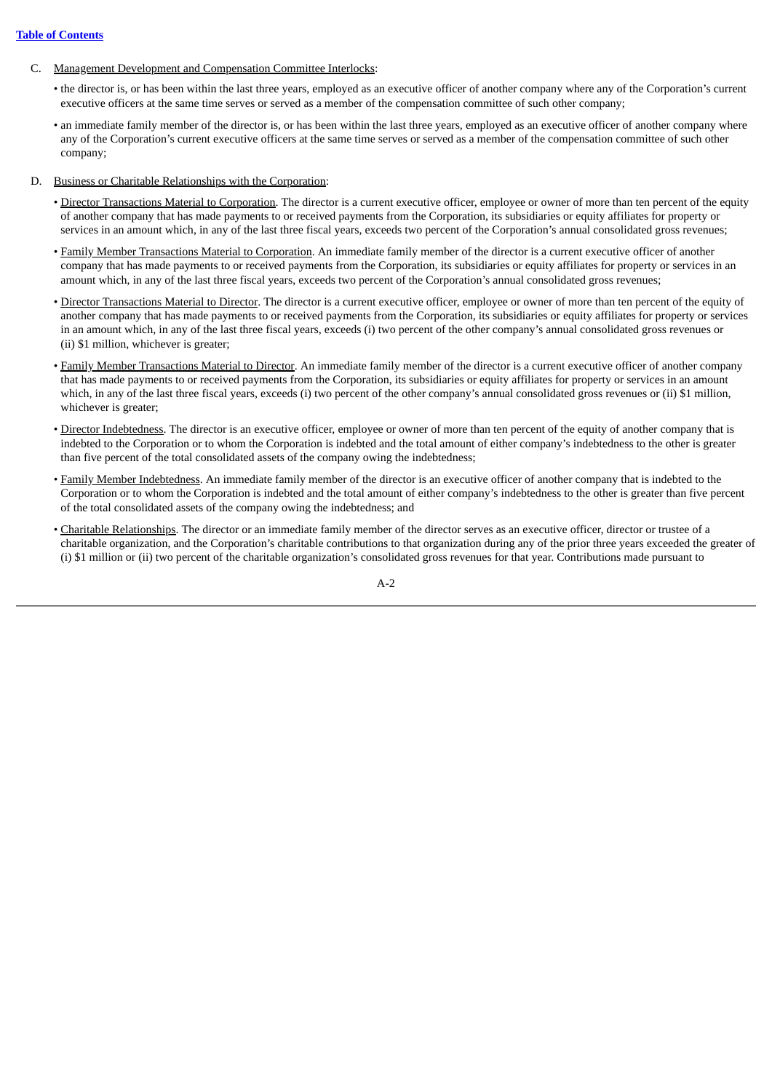- C. Management Development and Compensation Committee Interlocks:
	- the director is, or has been within the last three years, employed as an executive officer of another company where any of the Corporation's current executive officers at the same time serves or served as a member of the compensation committee of such other company;
	- an immediate family member of the director is, or has been within the last three years, employed as an executive officer of another company where any of the Corporation's current executive officers at the same time serves or served as a member of the compensation committee of such other company;
- D. Business or Charitable Relationships with the Corporation:
	- Director Transactions Material to Corporation. The director is a current executive officer, employee or owner of more than ten percent of the equity of another company that has made payments to or received payments from the Corporation, its subsidiaries or equity affiliates for property or services in an amount which, in any of the last three fiscal years, exceeds two percent of the Corporation's annual consolidated gross revenues;
	- Family Member Transactions Material to Corporation. An immediate family member of the director is a current executive officer of another company that has made payments to or received payments from the Corporation, its subsidiaries or equity affiliates for property or services in an amount which, in any of the last three fiscal years, exceeds two percent of the Corporation's annual consolidated gross revenues;
	- Director Transactions Material to Director. The director is a current executive officer, employee or owner of more than ten percent of the equity of another company that has made payments to or received payments from the Corporation, its subsidiaries or equity affiliates for property or services in an amount which, in any of the last three fiscal years, exceeds (i) two percent of the other company's annual consolidated gross revenues or (ii) \$1 million, whichever is greater;
	- Family Member Transactions Material to Director. An immediate family member of the director is a current executive officer of another company that has made payments to or received payments from the Corporation, its subsidiaries or equity affiliates for property or services in an amount which, in any of the last three fiscal years, exceeds (i) two percent of the other company's annual consolidated gross revenues or (ii) \$1 million, whichever is greater;
	- Director Indebtedness. The director is an executive officer, employee or owner of more than ten percent of the equity of another company that is indebted to the Corporation or to whom the Corporation is indebted and the total amount of either company's indebtedness to the other is greater than five percent of the total consolidated assets of the company owing the indebtedness;
	- Family Member Indebtedness. An immediate family member of the director is an executive officer of another company that is indebted to the Corporation or to whom the Corporation is indebted and the total amount of either company's indebtedness to the other is greater than five percent of the total consolidated assets of the company owing the indebtedness; and
	- Charitable Relationships. The director or an immediate family member of the director serves as an executive officer, director or trustee of a charitable organization, and the Corporation's charitable contributions to that organization during any of the prior three years exceeded the greater of (i) \$1 million or (ii) two percent of the charitable organization's consolidated gross revenues for that year. Contributions made pursuant to

A-2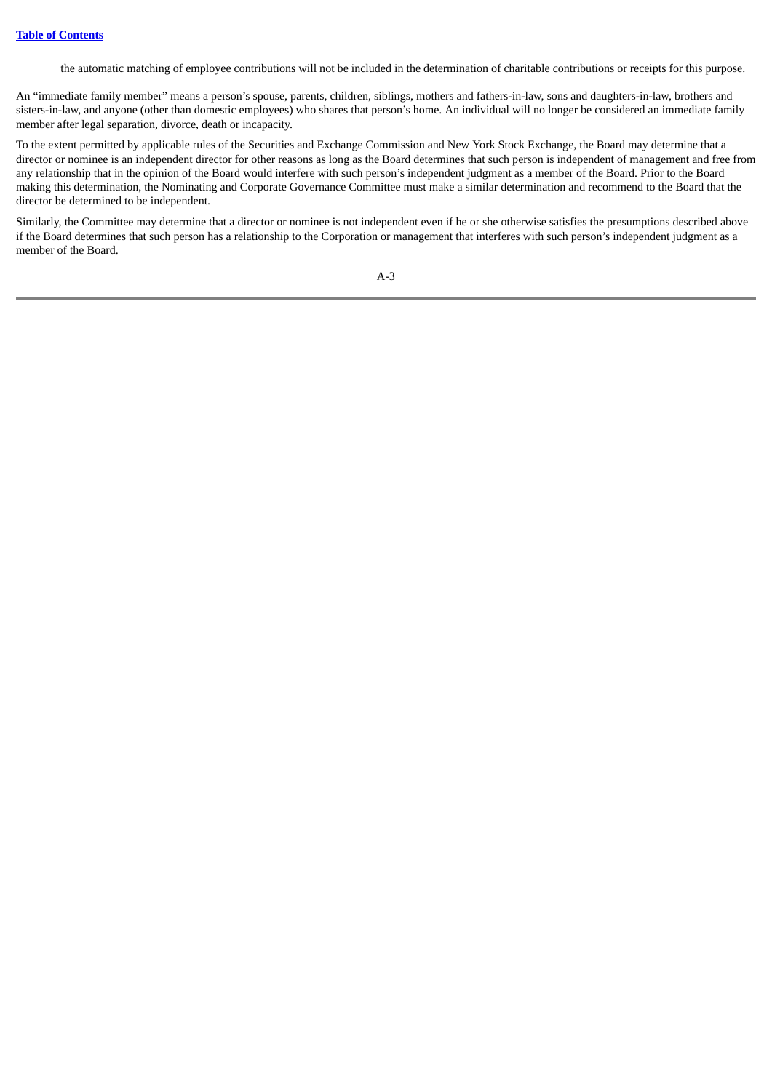the automatic matching of employee contributions will not be included in the determination of charitable contributions or receipts for this purpose.

An "immediate family member" means a person's spouse, parents, children, siblings, mothers and fathers-in-law, sons and daughters-in-law, brothers and sisters-in-law, and anyone (other than domestic employees) who shares that person's home. An individual will no longer be considered an immediate family member after legal separation, divorce, death or incapacity.

To the extent permitted by applicable rules of the Securities and Exchange Commission and New York Stock Exchange, the Board may determine that a director or nominee is an independent director for other reasons as long as the Board determines that such person is independent of management and free from any relationship that in the opinion of the Board would interfere with such person's independent judgment as a member of the Board. Prior to the Board making this determination, the Nominating and Corporate Governance Committee must make a similar determination and recommend to the Board that the director be determined to be independent.

Similarly, the Committee may determine that a director or nominee is not independent even if he or she otherwise satisfies the presumptions described above if the Board determines that such person has a relationship to the Corporation or management that interferes with such person's independent judgment as a member of the Board.

A-3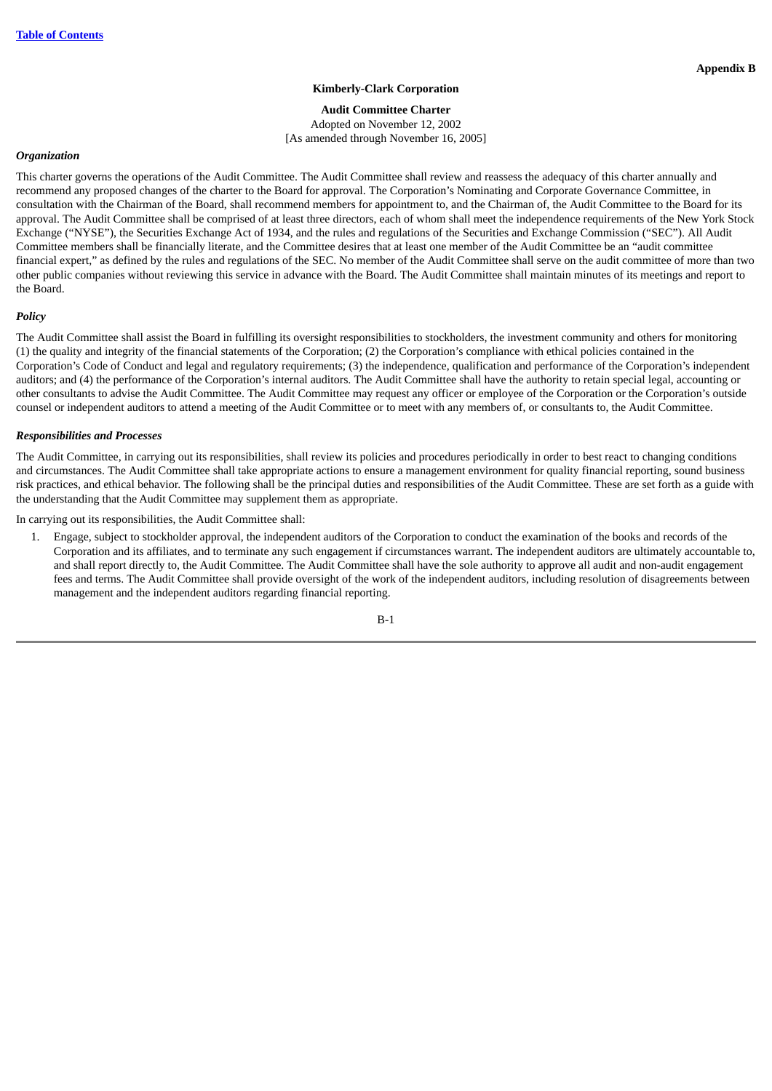## **Kimberly-Clark Corporation**

## **Audit Committee Charter**

Adopted on November 12, 2002 [As amended through November 16, 2005]

#### <span id="page-52-0"></span>*Organization*

This charter governs the operations of the Audit Committee. The Audit Committee shall review and reassess the adequacy of this charter annually and recommend any proposed changes of the charter to the Board for approval. The Corporation's Nominating and Corporate Governance Committee, in consultation with the Chairman of the Board, shall recommend members for appointment to, and the Chairman of, the Audit Committee to the Board for its approval. The Audit Committee shall be comprised of at least three directors, each of whom shall meet the independence requirements of the New York Stock Exchange ("NYSE"), the Securities Exchange Act of 1934, and the rules and regulations of the Securities and Exchange Commission ("SEC"). All Audit Committee members shall be financially literate, and the Committee desires that at least one member of the Audit Committee be an "audit committee financial expert," as defined by the rules and regulations of the SEC. No member of the Audit Committee shall serve on the audit committee of more than two other public companies without reviewing this service in advance with the Board. The Audit Committee shall maintain minutes of its meetings and report to the Board.

## *Policy*

The Audit Committee shall assist the Board in fulfilling its oversight responsibilities to stockholders, the investment community and others for monitoring (1) the quality and integrity of the financial statements of the Corporation; (2) the Corporation's compliance with ethical policies contained in the Corporation's Code of Conduct and legal and regulatory requirements; (3) the independence, qualification and performance of the Corporation's independent auditors; and (4) the performance of the Corporation's internal auditors. The Audit Committee shall have the authority to retain special legal, accounting or other consultants to advise the Audit Committee. The Audit Committee may request any officer or employee of the Corporation or the Corporation's outside counsel or independent auditors to attend a meeting of the Audit Committee or to meet with any members of, or consultants to, the Audit Committee.

#### *Responsibilities and Processes*

The Audit Committee, in carrying out its responsibilities, shall review its policies and procedures periodically in order to best react to changing conditions and circumstances. The Audit Committee shall take appropriate actions to ensure a management environment for quality financial reporting, sound business risk practices, and ethical behavior. The following shall be the principal duties and responsibilities of the Audit Committee. These are set forth as a guide with the understanding that the Audit Committee may supplement them as appropriate.

In carrying out its responsibilities, the Audit Committee shall:

1. Engage, subject to stockholder approval, the independent auditors of the Corporation to conduct the examination of the books and records of the Corporation and its affiliates, and to terminate any such engagement if circumstances warrant. The independent auditors are ultimately accountable to, and shall report directly to, the Audit Committee. The Audit Committee shall have the sole authority to approve all audit and non-audit engagement fees and terms. The Audit Committee shall provide oversight of the work of the independent auditors, including resolution of disagreements between management and the independent auditors regarding financial reporting.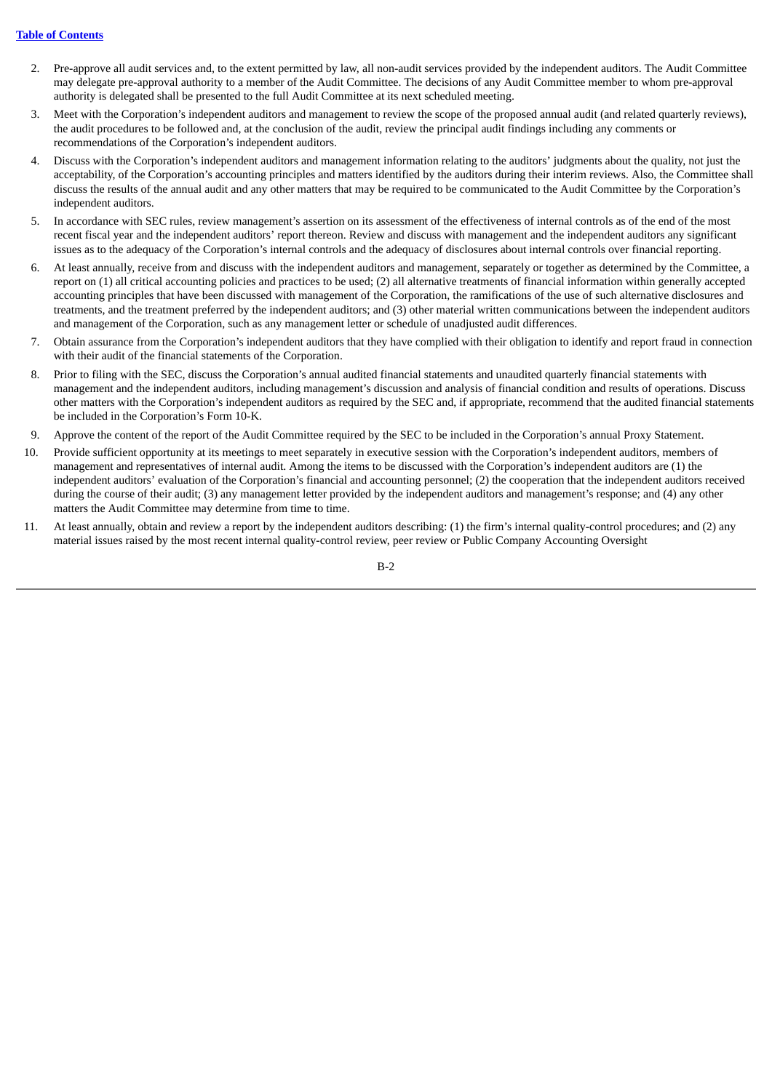- 2. Pre-approve all audit services and, to the extent permitted by law, all non-audit services provided by the independent auditors. The Audit Committee may delegate pre-approval authority to a member of the Audit Committee. The decisions of any Audit Committee member to whom pre-approval authority is delegated shall be presented to the full Audit Committee at its next scheduled meeting.
- 3. Meet with the Corporation's independent auditors and management to review the scope of the proposed annual audit (and related quarterly reviews), the audit procedures to be followed and, at the conclusion of the audit, review the principal audit findings including any comments or recommendations of the Corporation's independent auditors.
- 4. Discuss with the Corporation's independent auditors and management information relating to the auditors' judgments about the quality, not just the acceptability, of the Corporation's accounting principles and matters identified by the auditors during their interim reviews. Also, the Committee shall discuss the results of the annual audit and any other matters that may be required to be communicated to the Audit Committee by the Corporation's independent auditors.
- 5. In accordance with SEC rules, review management's assertion on its assessment of the effectiveness of internal controls as of the end of the most recent fiscal year and the independent auditors' report thereon. Review and discuss with management and the independent auditors any significant issues as to the adequacy of the Corporation's internal controls and the adequacy of disclosures about internal controls over financial reporting.
- 6. At least annually, receive from and discuss with the independent auditors and management, separately or together as determined by the Committee, a report on (1) all critical accounting policies and practices to be used; (2) all alternative treatments of financial information within generally accepted accounting principles that have been discussed with management of the Corporation, the ramifications of the use of such alternative disclosures and treatments, and the treatment preferred by the independent auditors; and (3) other material written communications between the independent auditors and management of the Corporation, such as any management letter or schedule of unadjusted audit differences.
- 7. Obtain assurance from the Corporation's independent auditors that they have complied with their obligation to identify and report fraud in connection with their audit of the financial statements of the Corporation.
- 8. Prior to filing with the SEC, discuss the Corporation's annual audited financial statements and unaudited quarterly financial statements with management and the independent auditors, including management's discussion and analysis of financial condition and results of operations. Discuss other matters with the Corporation's independent auditors as required by the SEC and, if appropriate, recommend that the audited financial statements be included in the Corporation's Form 10-K.
- 9. Approve the content of the report of the Audit Committee required by the SEC to be included in the Corporation's annual Proxy Statement.
- 10. Provide sufficient opportunity at its meetings to meet separately in executive session with the Corporation's independent auditors, members of management and representatives of internal audit. Among the items to be discussed with the Corporation's independent auditors are (1) the independent auditors' evaluation of the Corporation's financial and accounting personnel; (2) the cooperation that the independent auditors received during the course of their audit; (3) any management letter provided by the independent auditors and management's response; and (4) any other matters the Audit Committee may determine from time to time.
- 11. At least annually, obtain and review a report by the independent auditors describing: (1) the firm's internal quality-control procedures; and (2) any material issues raised by the most recent internal quality-control review, peer review or Public Company Accounting Oversight

 $B-2$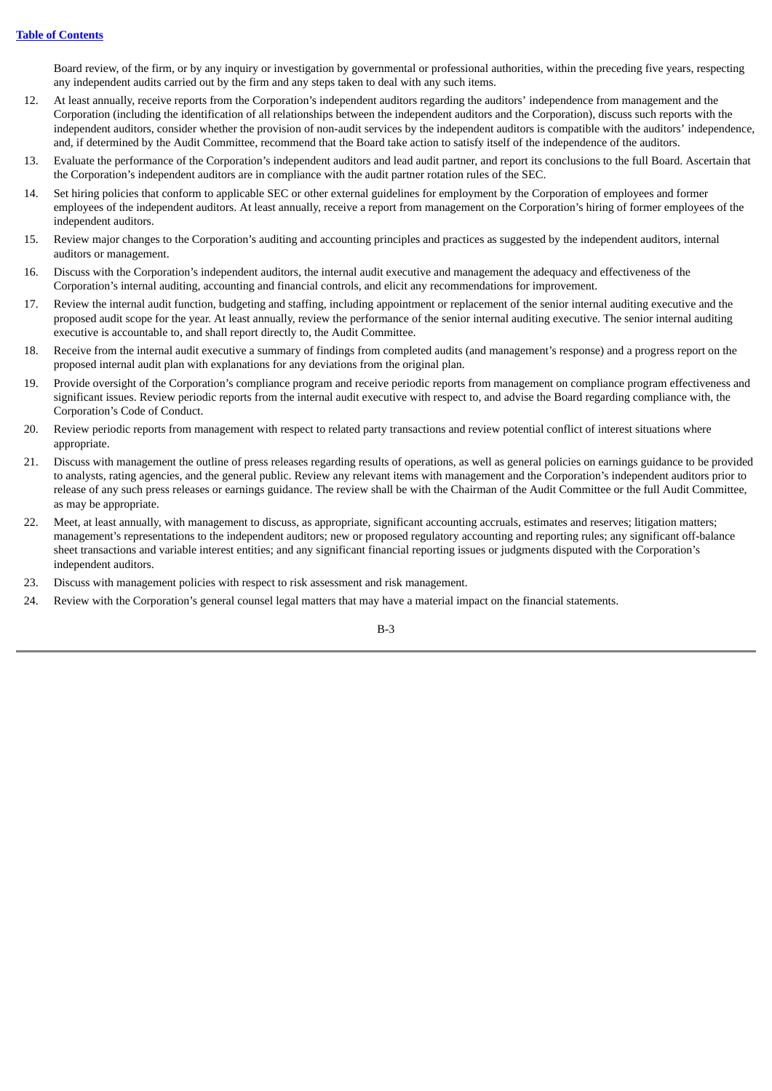Board review, of the firm, or by any inquiry or investigation by governmental or professional authorities, within the preceding five years, respecting any independent audits carried out by the firm and any steps taken to deal with any such items.

- 12. At least annually, receive reports from the Corporation's independent auditors regarding the auditors' independence from management and the Corporation (including the identification of all relationships between the independent auditors and the Corporation), discuss such reports with the independent auditors, consider whether the provision of non-audit services by the independent auditors is compatible with the auditors' independence, and, if determined by the Audit Committee, recommend that the Board take action to satisfy itself of the independence of the auditors.
- 13. Evaluate the performance of the Corporation's independent auditors and lead audit partner, and report its conclusions to the full Board. Ascertain that the Corporation's independent auditors are in compliance with the audit partner rotation rules of the SEC.
- 14. Set hiring policies that conform to applicable SEC or other external guidelines for employment by the Corporation of employees and former employees of the independent auditors. At least annually, receive a report from management on the Corporation's hiring of former employees of the independent auditors.
- 15. Review major changes to the Corporation's auditing and accounting principles and practices as suggested by the independent auditors, internal auditors or management.
- 16. Discuss with the Corporation's independent auditors, the internal audit executive and management the adequacy and effectiveness of the Corporation's internal auditing, accounting and financial controls, and elicit any recommendations for improvement.
- 17. Review the internal audit function, budgeting and staffing, including appointment or replacement of the senior internal auditing executive and the proposed audit scope for the year. At least annually, review the performance of the senior internal auditing executive. The senior internal auditing executive is accountable to, and shall report directly to, the Audit Committee.
- 18. Receive from the internal audit executive a summary of findings from completed audits (and management's response) and a progress report on the proposed internal audit plan with explanations for any deviations from the original plan.
- 19. Provide oversight of the Corporation's compliance program and receive periodic reports from management on compliance program effectiveness and significant issues. Review periodic reports from the internal audit executive with respect to, and advise the Board regarding compliance with, the Corporation's Code of Conduct.
- 20. Review periodic reports from management with respect to related party transactions and review potential conflict of interest situations where appropriate.
- 21. Discuss with management the outline of press releases regarding results of operations, as well as general policies on earnings guidance to be provided to analysts, rating agencies, and the general public. Review any relevant items with management and the Corporation's independent auditors prior to release of any such press releases or earnings guidance. The review shall be with the Chairman of the Audit Committee or the full Audit Committee, as may be appropriate.
- 22. Meet, at least annually, with management to discuss, as appropriate, significant accounting accruals, estimates and reserves; litigation matters; management's representations to the independent auditors; new or proposed regulatory accounting and reporting rules; any significant off-balance sheet transactions and variable interest entities; and any significant financial reporting issues or judgments disputed with the Corporation's independent auditors.
- 23. Discuss with management policies with respect to risk assessment and risk management.
- 24. Review with the Corporation's general counsel legal matters that may have a material impact on the financial statements.

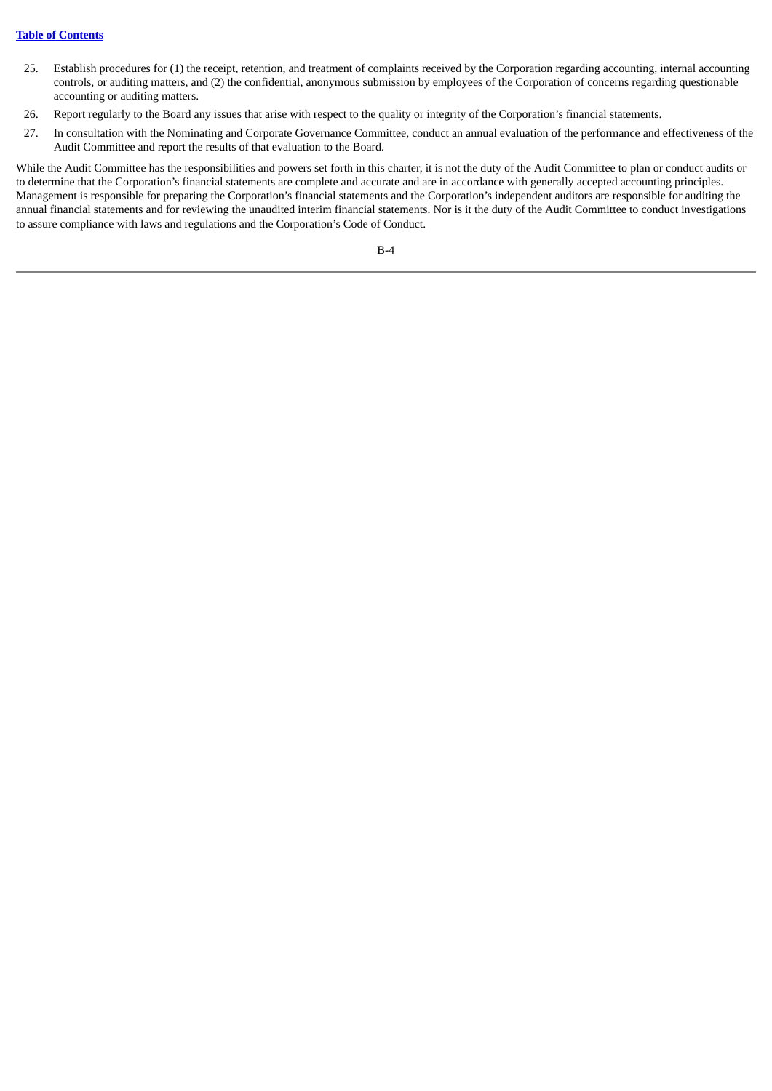## **Table of [Contents](#page-5-0)**

- 25. Establish procedures for (1) the receipt, retention, and treatment of complaints received by the Corporation regarding accounting, internal accounting controls, or auditing matters, and (2) the confidential, anonymous submission by employees of the Corporation of concerns regarding questionable accounting or auditing matters.
- 26. Report regularly to the Board any issues that arise with respect to the quality or integrity of the Corporation's financial statements.
- 27. In consultation with the Nominating and Corporate Governance Committee, conduct an annual evaluation of the performance and effectiveness of the Audit Committee and report the results of that evaluation to the Board.

While the Audit Committee has the responsibilities and powers set forth in this charter, it is not the duty of the Audit Committee to plan or conduct audits or to determine that the Corporation's financial statements are complete and accurate and are in accordance with generally accepted accounting principles. Management is responsible for preparing the Corporation's financial statements and the Corporation's independent auditors are responsible for auditing the annual financial statements and for reviewing the unaudited interim financial statements. Nor is it the duty of the Audit Committee to conduct investigations to assure compliance with laws and regulations and the Corporation's Code of Conduct.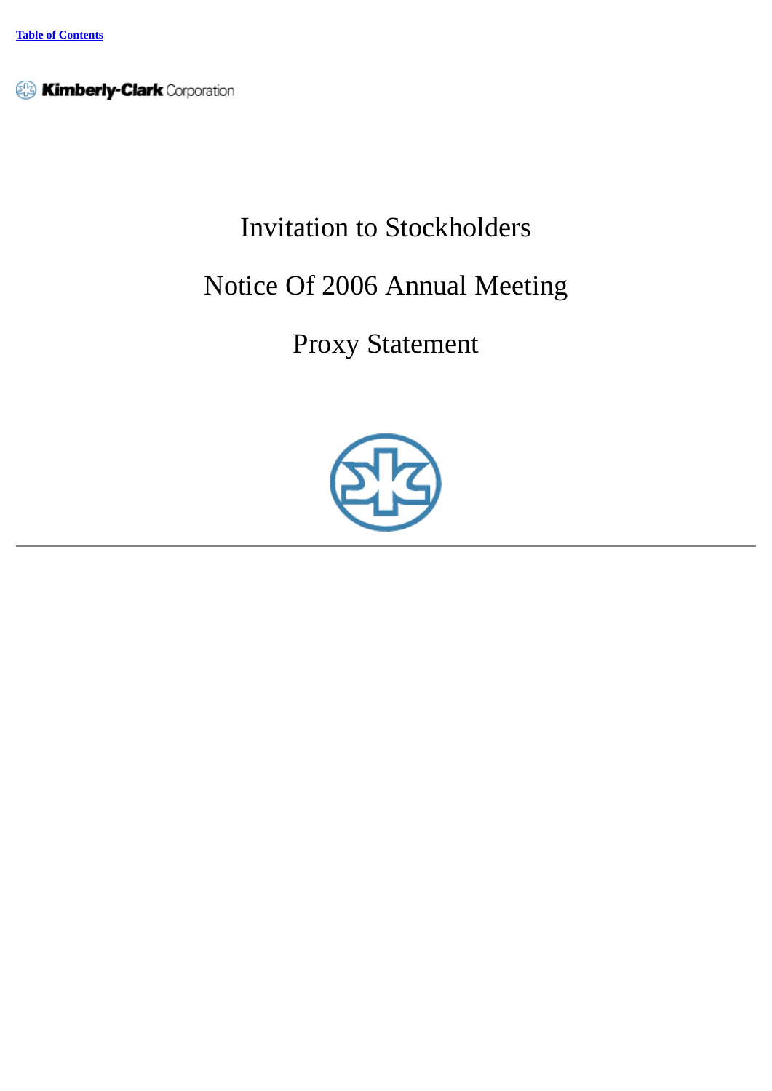**Ximberly-Clark** Corporation

# Invitation to Stockholders

# Notice Of 2006 Annual Meeting

# Proxy Statement

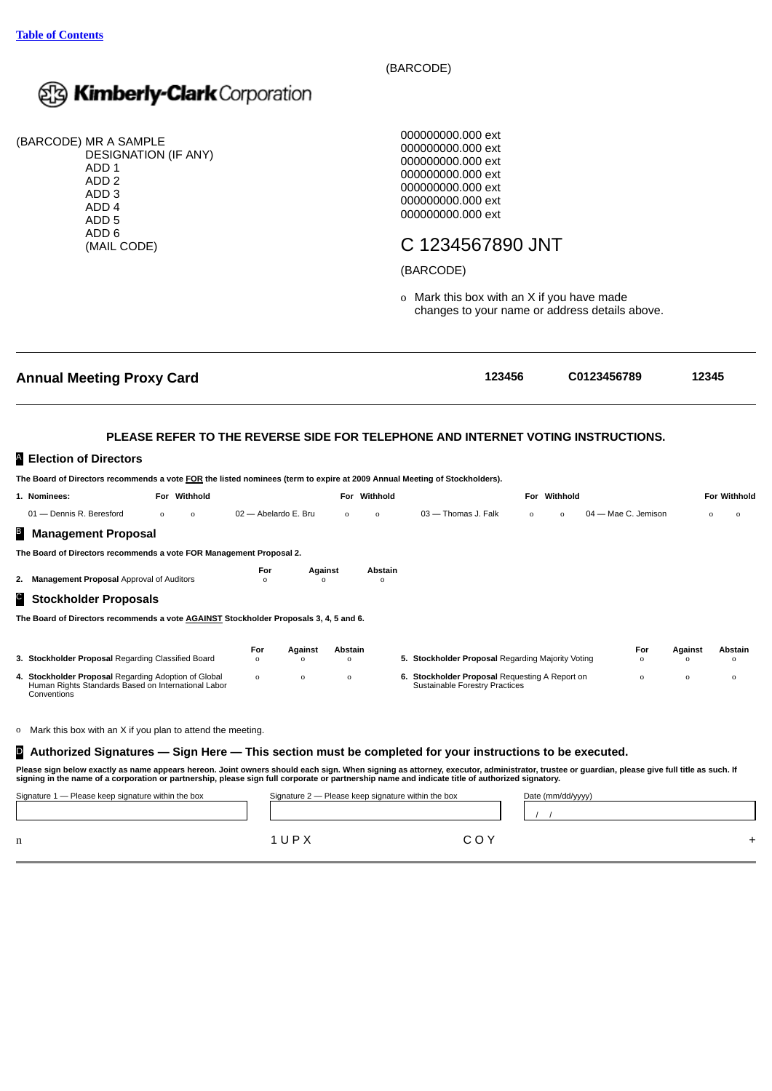

(BARCODE) MR A SAMPLE DESIGNATION (IF ANY) ADD 1 ADD 2 ADD 3 ADD 4 ADD 5 ADD 6 (MAIL CODE)

(BARCODE)

000000000.000 ext 000000000.000 ext 000000000.000 ext 000000000.000 ext 000000000.000 ext 000000000.000 ext 000000000.000 ext

## C 1234567890 JNT

## (BARCODE)

o Mark this box with an X if you have made changes to your name or address details above.

| <b>Annual Meeting Proxy Card</b>                                                                                                                                                                                                                                                                                                               |                      |                 |                        |                        |                            | 123456                                                                                  |          |                   | C0123456789         |                    | 12345               |                         |
|------------------------------------------------------------------------------------------------------------------------------------------------------------------------------------------------------------------------------------------------------------------------------------------------------------------------------------------------|----------------------|-----------------|------------------------|------------------------|----------------------------|-----------------------------------------------------------------------------------------|----------|-------------------|---------------------|--------------------|---------------------|-------------------------|
|                                                                                                                                                                                                                                                                                                                                                |                      |                 |                        |                        |                            | PLEASE REFER TO THE REVERSE SIDE FOR TELEPHONE AND INTERNET VOTING INSTRUCTIONS.        |          |                   |                     |                    |                     |                         |
| Election of Directors                                                                                                                                                                                                                                                                                                                          |                      |                 |                        |                        |                            |                                                                                         |          |                   |                     |                    |                     |                         |
| The Board of Directors recommends a vote FOR the listed nominees (term to expire at 2009 Annual Meeting of Stockholders).                                                                                                                                                                                                                      |                      |                 |                        |                        |                            |                                                                                         |          |                   |                     |                    |                     |                         |
| 1. Nominees:                                                                                                                                                                                                                                                                                                                                   | For Withhold         |                 |                        |                        | For Withhold               |                                                                                         |          | For Withhold      |                     |                    |                     | <b>For Withhold</b>     |
| 01 - Dennis R. Beresford                                                                                                                                                                                                                                                                                                                       | $\Omega$<br>$\Omega$ |                 | 02 - Abelardo E. Bru   | $\Omega$               | $\Omega$                   | 03 - Thomas J. Falk                                                                     | $\Omega$ | $\Omega$          | 04 - Mae C. Jemison |                    |                     | $\mathbf 0$<br>$\Omega$ |
| <b>Management Proposal</b>                                                                                                                                                                                                                                                                                                                     |                      |                 |                        |                        |                            |                                                                                         |          |                   |                     |                    |                     |                         |
| The Board of Directors recommends a vote FOR Management Proposal 2.                                                                                                                                                                                                                                                                            |                      |                 |                        |                        |                            |                                                                                         |          |                   |                     |                    |                     |                         |
| 2. Management Proposal Approval of Auditors                                                                                                                                                                                                                                                                                                    |                      | For<br>$\Omega$ | Against<br>$\Omega$    |                        | <b>Abstain</b><br>$\Omega$ |                                                                                         |          |                   |                     |                    |                     |                         |
| <b>Stockholder Proposals</b>                                                                                                                                                                                                                                                                                                                   |                      |                 |                        |                        |                            |                                                                                         |          |                   |                     |                    |                     |                         |
| The Board of Directors recommends a vote AGAINST Stockholder Proposals 3, 4, 5 and 6.                                                                                                                                                                                                                                                          |                      |                 |                        |                        |                            |                                                                                         |          |                   |                     |                    |                     |                         |
|                                                                                                                                                                                                                                                                                                                                                |                      |                 |                        |                        |                            |                                                                                         |          |                   |                     |                    |                     |                         |
| 3. Stockholder Proposal Regarding Classified Board                                                                                                                                                                                                                                                                                             |                      | For<br>$\Omega$ | Against<br>$\mathbf 0$ | Abstain<br>$\mathbf 0$ |                            | 5. Stockholder Proposal Regarding Majority Voting                                       |          |                   |                     | For<br>$\mathbf 0$ | Against<br>$\Omega$ | Abstain<br>$\Omega$     |
| 4. Stockholder Proposal Regarding Adoption of Global<br>Human Rights Standards Based on International Labor<br>Conventions                                                                                                                                                                                                                     |                      | $\Omega$        | $\mathbf{o}$           | $\mathbf 0$            |                            | 6. Stockholder Proposal Requesting A Report on<br><b>Sustainable Forestry Practices</b> |          |                   |                     | $\mathbf 0$        | $\Omega$            | $\Omega$                |
|                                                                                                                                                                                                                                                                                                                                                |                      |                 |                        |                        |                            |                                                                                         |          |                   |                     |                    |                     |                         |
| Mark this box with an X if you plan to attend the meeting.<br>0                                                                                                                                                                                                                                                                                |                      |                 |                        |                        |                            |                                                                                         |          |                   |                     |                    |                     |                         |
| Authorized Signatures — Sign Here — This section must be completed for your instructions to be executed.<br>D.                                                                                                                                                                                                                                 |                      |                 |                        |                        |                            |                                                                                         |          |                   |                     |                    |                     |                         |
| Please sign below exactly as name appears hereon. Joint owners should each sign. When signing as attorney, executor, administrator, trustee or guardian, please give full title as such. If<br>signing in the name of a corporation or partnership, please sign full corporate or partnership name and indicate title of authorized signatory. |                      |                 |                        |                        |                            |                                                                                         |          |                   |                     |                    |                     |                         |
| Signature 1 - Please keep signature within the box                                                                                                                                                                                                                                                                                             |                      |                 |                        |                        |                            | Signature 2 – Please keep signature within the box                                      |          | Date (mm/dd/yyyy) |                     |                    |                     |                         |
|                                                                                                                                                                                                                                                                                                                                                |                      |                 |                        |                        |                            |                                                                                         |          |                   |                     |                    |                     |                         |